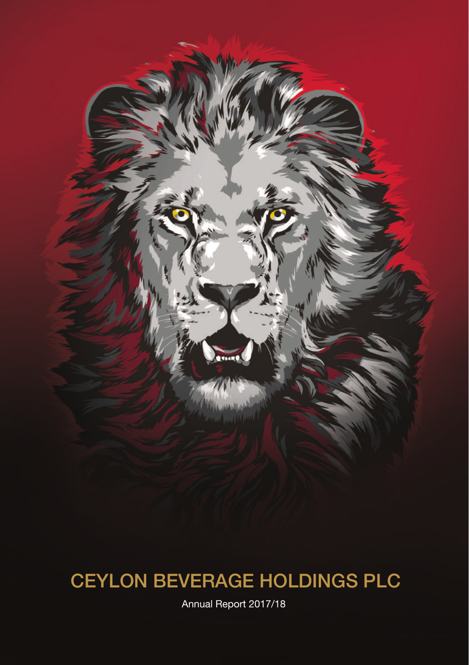

# CEYLON BEVERAGE HOLDINGS PLC

Annual Report 2017/18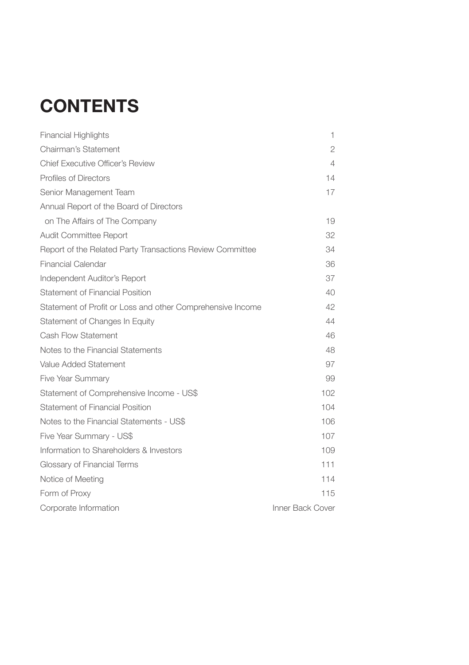# **CONTENTS**

| <b>Financial Highlights</b>                                | 1                |
|------------------------------------------------------------|------------------|
| Chairman's Statement                                       | $\overline{2}$   |
| Chief Executive Officer's Review                           | 4                |
| Profiles of Directors                                      | 14               |
| Senior Management Team                                     | 17               |
| Annual Report of the Board of Directors                    |                  |
| on The Affairs of The Company                              | 19               |
| Audit Committee Report                                     | 32               |
| Report of the Related Party Transactions Review Committee  | 34               |
| <b>Financial Calendar</b>                                  | 36               |
| Independent Auditor's Report                               | 37               |
| Statement of Financial Position                            | 40               |
| Statement of Profit or Loss and other Comprehensive Income | 42               |
| Statement of Changes In Equity                             | 44               |
| Cash Flow Statement                                        | 46               |
| Notes to the Financial Statements                          | 48               |
| Value Added Statement                                      | 97               |
| Five Year Summary                                          | 99               |
| Statement of Comprehensive Income - US\$                   | 102              |
| Statement of Financial Position                            | 104              |
| Notes to the Financial Statements - US\$                   | 106              |
| Five Year Summary - US\$                                   | 107              |
| Information to Shareholders & Investors                    | 109              |
| Glossary of Financial Terms                                | 111              |
| Notice of Meeting                                          | 114              |
| Form of Proxy                                              | 115              |
| Corporate Information                                      | Inner Back Cover |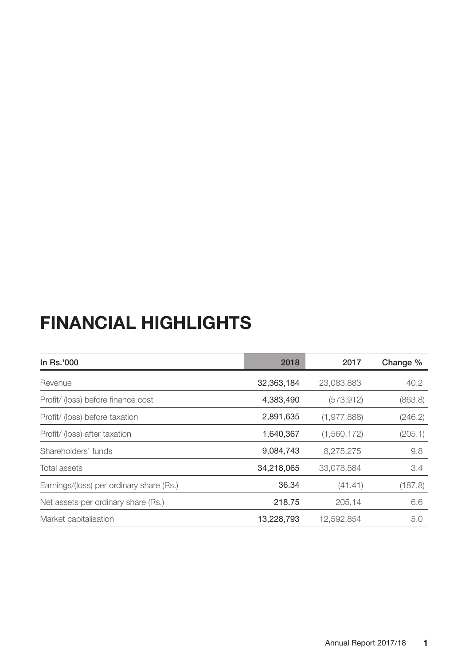# **FINANCIAL HIGHLIGHTS**

| In Rs.'000                               | 2018       | 2017          | Change % |
|------------------------------------------|------------|---------------|----------|
| Revenue                                  | 32,363,184 | 23,083,883    | 40.2     |
| Profit/ (loss) before finance cost       | 4,383,490  | (573, 912)    | (863.8)  |
| Profit/ (loss) before taxation           | 2,891,635  | (1, 977, 888) | (246.2)  |
| Profit/ (loss) after taxation            | 1,640,367  | (1,560,172)   | (205.1)  |
| Shareholders' funds                      | 9,084,743  | 8,275,275     | 9.8      |
| Total assets                             | 34,218,065 | 33,078,584    | 3.4      |
| Earnings/(loss) per ordinary share (Rs.) | 36.34      | (41.41)       | (187.8)  |
| Net assets per ordinary share (Rs.)      | 218.75     | 205.14        | 6.6      |
| Market capitalisation                    | 13,228,793 | 12.592.854    | 5.0      |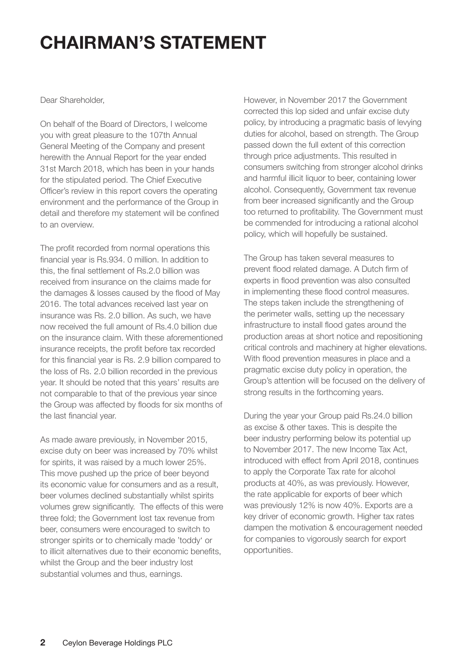# **CHAIRMAN'S STATEMENT**

Dear Shareholder,

On behalf of the Board of Directors, I welcome you with great pleasure to the 107th Annual General Meeting of the Company and present herewith the Annual Report for the year ended 31st March 2018, which has been in your hands for the stipulated period. The Chief Executive Officer's review in this report covers the operating environment and the performance of the Group in detail and therefore my statement will be confined to an overview.

The profit recorded from normal operations this financial year is Rs.934. 0 million. In addition to this, the final settlement of Rs.2.0 billion was received from insurance on the claims made for the damages & losses caused by the flood of May 2016. The total advances received last year on insurance was Rs. 2.0 billion. As such, we have now received the full amount of Rs.4.0 billion due on the insurance claim. With these aforementioned insurance receipts, the profit before tax recorded for this financial year is Rs. 2.9 billion compared to the loss of Rs. 2.0 billion recorded in the previous year. It should be noted that this years' results are not comparable to that of the previous year since the Group was affected by floods for six months of the last financial year.

As made aware previously, in November 2015, excise duty on beer was increased by 70% whilst for spirits, it was raised by a much lower 25%. This move pushed up the price of beer beyond its economic value for consumers and as a result, beer volumes declined substantially whilst spirits volumes grew significantly. The effects of this were three fold; the Government lost tax revenue from beer, consumers were encouraged to switch to stronger spirits or to chemically made 'toddy' or to illicit alternatives due to their economic benefits, whilst the Group and the beer industry lost substantial volumes and thus, earnings.

However, in November 2017 the Government corrected this lop sided and unfair excise duty policy, by introducing a pragmatic basis of levying duties for alcohol, based on strength. The Group passed down the full extent of this correction through price adjustments. This resulted in consumers switching from stronger alcohol drinks and harmful illicit liquor to beer, containing lower alcohol. Consequently, Government tax revenue from beer increased significantly and the Group too returned to profitability. The Government must be commended for introducing a rational alcohol policy, which will hopefully be sustained.

The Group has taken several measures to prevent flood related damage. A Dutch firm of experts in flood prevention was also consulted in implementing these flood control measures. The steps taken include the strengthening of the perimeter walls, setting up the necessary infrastructure to install flood gates around the production areas at short notice and repositioning critical controls and machinery at higher elevations. With flood prevention measures in place and a pragmatic excise duty policy in operation, the Group's attention will be focused on the delivery of strong results in the forthcoming years.

During the year your Group paid Rs.24.0 billion as excise & other taxes. This is despite the beer industry performing below its potential up to November 2017. The new Income Tax Act, introduced with effect from April 2018, continues to apply the Corporate Tax rate for alcohol products at 40%, as was previously. However, the rate applicable for exports of beer which was previously 12% is now 40%. Exports are a key driver of economic growth. Higher tax rates dampen the motivation & encouragement needed for companies to vigorously search for export opportunities.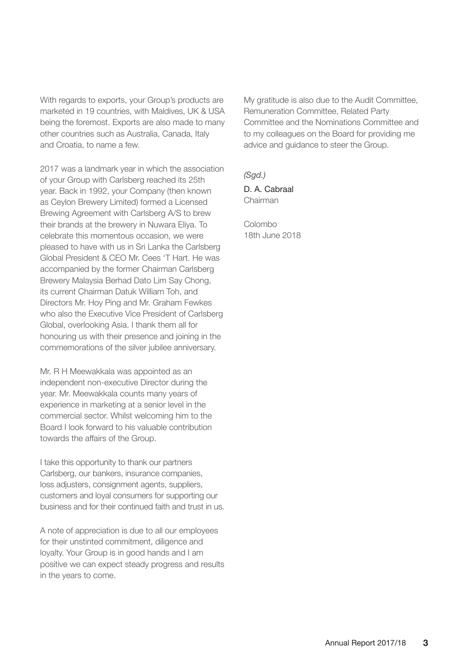With regards to exports, your Group's products are marketed in 19 countries, with Maldives, UK & USA being the foremost. Exports are also made to many other countries such as Australia, Canada, Italy and Croatia, to name a few.

2017 was a landmark year in which the association of your Group with Carlsberg reached its 25th year. Back in 1992, your Company (then known as Ceylon Brewery Limited) formed a Licensed Brewing Agreement with Carlsberg A/S to brew their brands at the brewery in Nuwara Eliya. To celebrate this momentous occasion, we were pleased to have with us in Sri Lanka the Carlsberg Global President & CEO Mr. Cees 'T Hart. He was accompanied by the former Chairman Carlsberg Brewery Malaysia Berhad Dato Lim Say Chong, its current Chairman Datuk William Toh, and Directors Mr. Hoy Ping and Mr. Graham Fewkes who also the Executive Vice President of Carlsberg Global, overlooking Asia. I thank them all for honouring us with their presence and joining in the commemorations of the silver jubilee anniversary.

Mr. R H Meewakkala was appointed as an independent non-executive Director during the year. Mr. Meewakkala counts many years of experience in marketing at a senior level in the commercial sector. Whilst welcoming him to the Board I look forward to his valuable contribution towards the affairs of the Group.

I take this opportunity to thank our partners Carlsberg, our bankers, insurance companies, loss adjusters, consignment agents, suppliers, customers and loyal consumers for supporting our business and for their continued faith and trust in us.

A note of appreciation is due to all our employees for their unstinted commitment, diligence and loyalty. Your Group is in good hands and I am positive we can expect steady progress and results in the years to come.

My gratitude is also due to the Audit Committee, Remuneration Committee, Related Party Committee and the Nominations Committee and to my colleagues on the Board for providing me advice and guidance to steer the Group.

*(Sgd.)*

D. A. Cabraal Chairman

Colombo 18th June 2018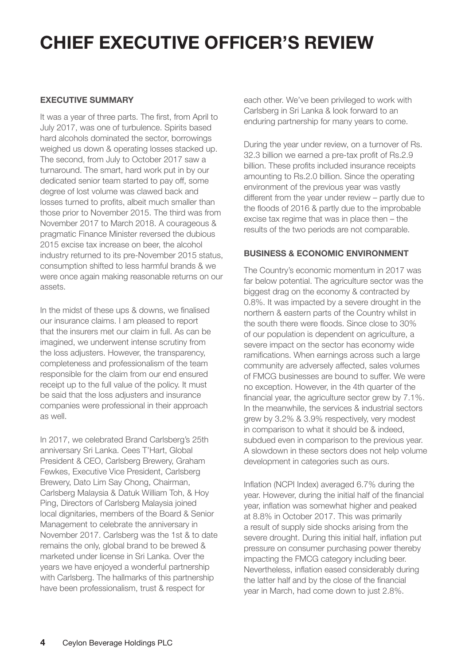# **CHIEF EXECUTIVE OFFICER'S REVIEW**

## **EXECUTIVE SUMMARY**

It was a year of three parts. The first, from April to July 2017, was one of turbulence. Spirits based hard alcohols dominated the sector, borrowings weighed us down & operating losses stacked up. The second, from July to October 2017 saw a turnaround. The smart, hard work put in by our dedicated senior team started to pay off, some degree of lost volume was clawed back and losses turned to profits, albeit much smaller than those prior to November 2015. The third was from November 2017 to March 2018. A courageous & pragmatic Finance Minister reversed the dubious 2015 excise tax increase on beer, the alcohol industry returned to its pre-November 2015 status, consumption shifted to less harmful brands & we were once again making reasonable returns on our assets.

In the midst of these ups & downs, we finalised our insurance claims. I am pleased to report that the insurers met our claim in full. As can be imagined, we underwent intense scrutiny from the loss adjusters. However, the transparency, completeness and professionalism of the team responsible for the claim from our end ensured receipt up to the full value of the policy. It must be said that the loss adjusters and insurance companies were professional in their approach as well.

In 2017, we celebrated Brand Carlsberg's 25th anniversary Sri Lanka. Cees T'Hart, Global President & CEO, Carlsberg Brewery, Graham Fewkes, Executive Vice President, Carlsberg Brewery, Dato Lim Say Chong, Chairman, Carlsberg Malaysia & Datuk William Toh, & Hoy Ping, Directors of Carlsberg Malaysia joined local dignitaries, members of the Board & Senior Management to celebrate the anniversary in November 2017. Carlsberg was the 1st & to date remains the only, global brand to be brewed & marketed under license in Sri Lanka. Over the years we have enjoyed a wonderful partnership with Carlsberg. The hallmarks of this partnership have been professionalism, trust & respect for

each other. We've been privileged to work with Carlsberg in Sri Lanka & look forward to an enduring partnership for many years to come.

During the year under review, on a turnover of Rs. 32.3 billion we earned a pre-tax profit of Rs.2.9 billion. These profits included insurance receipts amounting to Rs.2.0 billion. Since the operating environment of the previous year was vastly different from the year under review – partly due to the floods of 2016 & partly due to the improbable excise tax regime that was in place then – the results of the two periods are not comparable.

## **BUSINESS & ECONOMIC ENVIRONMENT**

The Country's economic momentum in 2017 was far below potential. The agriculture sector was the biggest drag on the economy & contracted by 0.8%. It was impacted by a severe drought in the northern & eastern parts of the Country whilst in the south there were floods. Since close to 30% of our population is dependent on agriculture, a severe impact on the sector has economy wide ramifications. When earnings across such a large community are adversely affected, sales volumes of FMCG businesses are bound to suffer. We were no exception. However, in the 4th quarter of the financial year, the agriculture sector grew by 7.1%. In the meanwhile, the services & industrial sectors grew by 3.2% & 3.9% respectively, very modest in comparison to what it should be & indeed, subdued even in comparison to the previous year. A slowdown in these sectors does not help volume development in categories such as ours.

Inflation (NCPI Index) averaged 6.7% during the year. However, during the initial half of the financial year, inflation was somewhat higher and peaked at 8.8% in October 2017. This was primarily a result of supply side shocks arising from the severe drought. During this initial half, inflation put pressure on consumer purchasing power thereby impacting the FMCG category including beer. Nevertheless, inflation eased considerably during the latter half and by the close of the financial year in March, had come down to just 2.8%.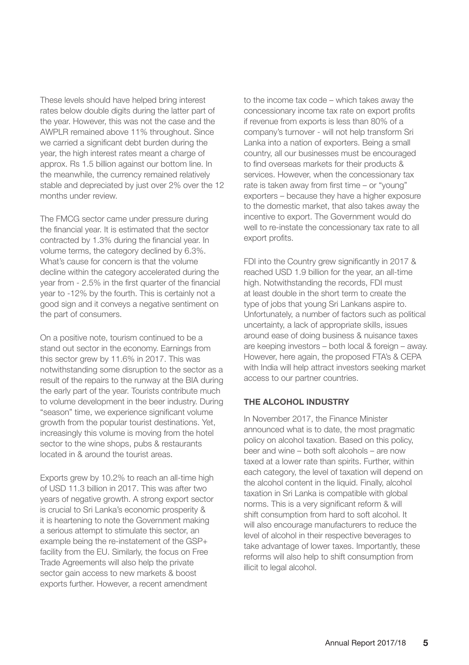These levels should have helped bring interest rates below double digits during the latter part of the year. However, this was not the case and the AWPLR remained above 11% throughout. Since we carried a significant debt burden during the year, the high interest rates meant a charge of approx. Rs 1.5 billion against our bottom line. In the meanwhile, the currency remained relatively stable and depreciated by just over 2% over the 12 months under review.

The FMCG sector came under pressure during the financial year. It is estimated that the sector contracted by 1.3% during the financial year. In volume terms, the category declined by 6.3%. What's cause for concern is that the volume decline within the category accelerated during the year from - 2.5% in the first quarter of the financial year to -12% by the fourth. This is certainly not a good sign and it conveys a negative sentiment on the part of consumers.

On a positive note, tourism continued to be a stand out sector in the economy. Earnings from this sector grew by 11.6% in 2017. This was notwithstanding some disruption to the sector as a result of the repairs to the runway at the BIA during the early part of the year. Tourists contribute much to volume development in the beer industry. During "season" time, we experience significant volume growth from the popular tourist destinations. Yet, increasingly this volume is moving from the hotel sector to the wine shops, pubs & restaurants located in & around the tourist areas.

Exports grew by 10.2% to reach an all-time high of USD 11.3 billion in 2017. This was after two years of negative growth. A strong export sector is crucial to Sri Lanka's economic prosperity & it is heartening to note the Government making a serious attempt to stimulate this sector, an example being the re-instatement of the GSP+ facility from the EU. Similarly, the focus on Free Trade Agreements will also help the private sector gain access to new markets & boost exports further. However, a recent amendment

to the income tax code – which takes away the concessionary income tax rate on export profits if revenue from exports is less than 80% of a company's turnover - will not help transform Sri Lanka into a nation of exporters. Being a small country, all our businesses must be encouraged to find overseas markets for their products & services. However, when the concessionary tax rate is taken away from first time – or "young" exporters – because they have a higher exposure to the domestic market, that also takes away the incentive to export. The Government would do well to re-instate the concessionary tax rate to all export profits.

FDI into the Country grew significantly in 2017 & reached USD 1.9 billion for the year, an all-time high. Notwithstanding the records, FDI must at least double in the short term to create the type of jobs that young Sri Lankans aspire to. Unfortunately, a number of factors such as political uncertainty, a lack of appropriate skills, issues around ease of doing business & nuisance taxes are keeping investors – both local & foreign – away. However, here again, the proposed FTA's & CEPA with India will help attract investors seeking market access to our partner countries.

#### **THE ALCOHOL INDUSTRY**

In November 2017, the Finance Minister announced what is to date, the most pragmatic policy on alcohol taxation. Based on this policy, beer and wine – both soft alcohols – are now taxed at a lower rate than spirits. Further, within each category, the level of taxation will depend on the alcohol content in the liquid. Finally, alcohol taxation in Sri Lanka is compatible with global norms. This is a very significant reform & will shift consumption from hard to soft alcohol. It will also encourage manufacturers to reduce the level of alcohol in their respective beverages to take advantage of lower taxes. Importantly, these reforms will also help to shift consumption from illicit to legal alcohol.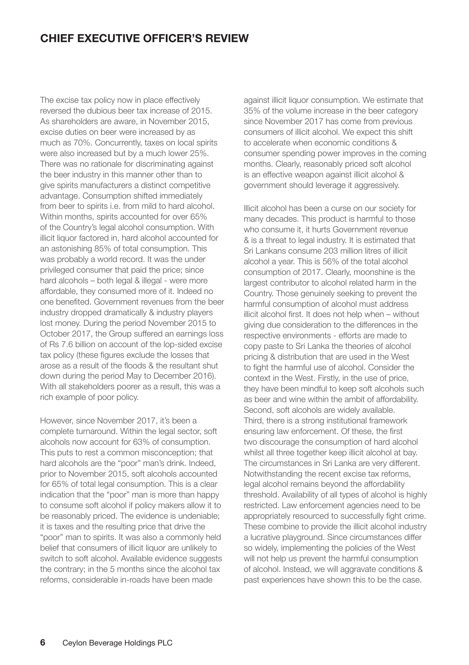## **CHIEF EXECUTIVE OFFICER'S REVIEW**

The excise tax policy now in place effectively reversed the dubious beer tax increase of 2015. As shareholders are aware, in November 2015, excise duties on beer were increased by as much as 70%. Concurrently, taxes on local spirits were also increased but by a much lower 25%. There was no rationale for discriminating against the beer industry in this manner other than to give spirits manufacturers a distinct competitive advantage. Consumption shifted immediately from beer to spirits i.e. from mild to hard alcohol. Within months, spirits accounted for over 65% of the Country's legal alcohol consumption. With illicit liquor factored in, hard alcohol accounted for an astonishing 85% of total consumption. This was probably a world record. It was the under privileged consumer that paid the price; since hard alcohols – both legal & illegal - were more affordable, they consumed more of it. Indeed no one benefited. Government revenues from the beer industry dropped dramatically & industry players lost money. During the period November 2015 to October 2017, the Group suffered an earnings loss of Rs 7.6 billion on account of the lop-sided excise tax policy (these figures exclude the losses that arose as a result of the floods & the resultant shut down during the period May to December 2016). With all stakeholders poorer as a result, this was a rich example of poor policy.

However, since November 2017, it's been a complete turnaround. Within the legal sector, soft alcohols now account for 63% of consumption. This puts to rest a common misconception; that hard alcohols are the "poor" man's drink. Indeed, prior to November 2015, soft alcohols accounted for 65% of total legal consumption. This is a clear indication that the "poor" man is more than happy to consume soft alcohol if policy makers allow it to be reasonably priced. The evidence is undeniable; it is taxes and the resulting price that drive the "poor" man to spirits. It was also a commonly held belief that consumers of illicit liquor are unlikely to switch to soft alcohol. Available evidence suggests the contrary; in the 5 months since the alcohol tax reforms, considerable in-roads have been made

against illicit liquor consumption. We estimate that 35% of the volume increase in the beer category since November 2017 has come from previous consumers of illicit alcohol. We expect this shift to accelerate when economic conditions & consumer spending power improves in the coming months. Clearly, reasonably priced soft alcohol is an effective weapon against illicit alcohol & government should leverage it aggressively.

Illicit alcohol has been a curse on our society for many decades. This product is harmful to those who consume it, it hurts Government revenue & is a threat to legal industry. It is estimated that Sri Lankans consume 203 million litres of illicit alcohol a year. This is 56% of the total alcohol consumption of 2017. Clearly, moonshine is the largest contributor to alcohol related harm in the Country. Those genuinely seeking to prevent the harmful consumption of alcohol must address illicit alcohol first. It does not help when – without giving due consideration to the differences in the respective environments - efforts are made to copy paste to Sri Lanka the theories of alcohol pricing & distribution that are used in the West to fight the harmful use of alcohol. Consider the context in the West. Firstly, in the use of price, they have been mindful to keep soft alcohols such as beer and wine within the ambit of affordability. Second, soft alcohols are widely available. Third, there is a strong institutional framework ensuring law enforcement. Of these, the first two discourage the consumption of hard alcohol whilst all three together keep illicit alcohol at bay. The circumstances in Sri Lanka are very different. Notwithstanding the recent excise tax reforms, legal alcohol remains beyond the affordability threshold. Availability of all types of alcohol is highly restricted. Law enforcement agencies need to be appropriately resourced to successfully fight crime. These combine to provide the illicit alcohol industry a lucrative playground. Since circumstances differ so widely, implementing the policies of the West will not help us prevent the harmful consumption of alcohol. Instead, we will aggravate conditions & past experiences have shown this to be the case.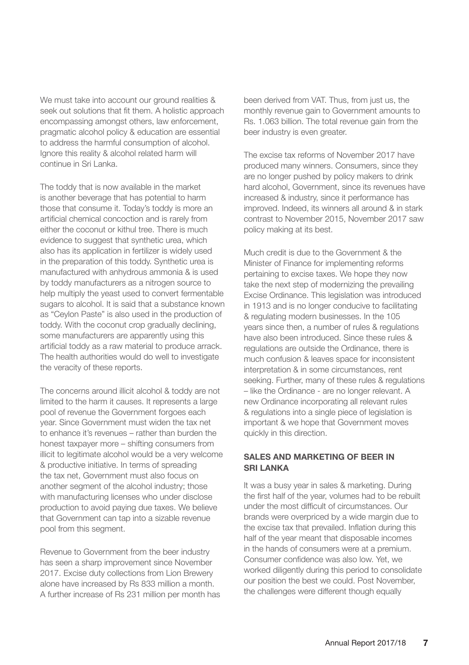We must take into account our ground realities & seek out solutions that fit them. A holistic approach encompassing amongst others, law enforcement, pragmatic alcohol policy & education are essential to address the harmful consumption of alcohol. Ignore this reality & alcohol related harm will continue in Sri Lanka.

The toddy that is now available in the market is another beverage that has potential to harm those that consume it. Today's toddy is more an artificial chemical concoction and is rarely from either the coconut or kithul tree. There is much evidence to suggest that synthetic urea, which also has its application in fertilizer is widely used in the preparation of this toddy. Synthetic urea is manufactured with anhydrous ammonia & is used by toddy manufacturers as a nitrogen source to help multiply the yeast used to convert fermentable sugars to alcohol. It is said that a substance known as "Ceylon Paste" is also used in the production of toddy. With the coconut crop gradually declining, some manufacturers are apparently using this artificial toddy as a raw material to produce arrack. The health authorities would do well to investigate the veracity of these reports.

The concerns around illicit alcohol & toddy are not limited to the harm it causes. It represents a large pool of revenue the Government forgoes each year. Since Government must widen the tax net to enhance it's revenues – rather than burden the honest taxpayer more – shifting consumers from illicit to legitimate alcohol would be a very welcome & productive initiative. In terms of spreading the tax net, Government must also focus on another segment of the alcohol industry; those with manufacturing licenses who under disclose production to avoid paying due taxes. We believe that Government can tap into a sizable revenue pool from this segment.

Revenue to Government from the beer industry has seen a sharp improvement since November 2017. Excise duty collections from Lion Brewery alone have increased by Rs 833 million a month. A further increase of Rs 231 million per month has been derived from VAT. Thus, from just us, the monthly revenue gain to Government amounts to Rs. 1.063 billion. The total revenue gain from the beer industry is even greater.

The excise tax reforms of November 2017 have produced many winners. Consumers, since they are no longer pushed by policy makers to drink hard alcohol, Government, since its revenues have increased & industry, since it performance has improved. Indeed, its winners all around & in stark contrast to November 2015, November 2017 saw policy making at its best.

Much credit is due to the Government & the Minister of Finance for implementing reforms pertaining to excise taxes. We hope they now take the next step of modernizing the prevailing Excise Ordinance. This legislation was introduced in 1913 and is no longer conducive to facilitating & regulating modern businesses. In the 105 years since then, a number of rules & regulations have also been introduced. Since these rules & regulations are outside the Ordinance, there is much confusion & leaves space for inconsistent interpretation & in some circumstances, rent seeking. Further, many of these rules & regulations – like the Ordinance - are no longer relevant. A new Ordinance incorporating all relevant rules & regulations into a single piece of legislation is important & we hope that Government moves quickly in this direction.

## **SALES AND MARKETING OF BEER IN SRI LANKA**

It was a busy year in sales & marketing. During the first half of the year, volumes had to be rebuilt under the most difficult of circumstances. Our brands were overpriced by a wide margin due to the excise tax that prevailed. Inflation during this half of the year meant that disposable incomes in the hands of consumers were at a premium. Consumer confidence was also low. Yet, we worked diligently during this period to consolidate our position the best we could. Post November, the challenges were different though equally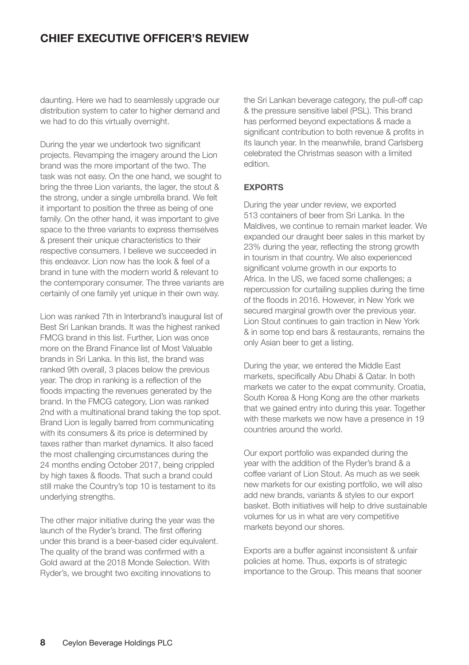## **CHIEF EXECUTIVE OFFICER'S REVIEW**

daunting. Here we had to seamlessly upgrade our distribution system to cater to higher demand and we had to do this virtually overnight.

During the year we undertook two significant projects. Revamping the imagery around the Lion brand was the more important of the two. The task was not easy. On the one hand, we sought to bring the three Lion variants, the lager, the stout & the strong, under a single umbrella brand. We felt it important to position the three as being of one family. On the other hand, it was important to give space to the three variants to express themselves & present their unique characteristics to their respective consumers. I believe we succeeded in this endeavor. Lion now has the look & feel of a brand in tune with the modern world & relevant to the contemporary consumer. The three variants are certainly of one family yet unique in their own way.

Lion was ranked 7th in Interbrand's inaugural list of Best Sri Lankan brands. It was the highest ranked FMCG brand in this list. Further, Lion was once more on the Brand Finance list of Most Valuable brands in Sri Lanka. In this list, the brand was ranked 9th overall, 3 places below the previous year. The drop in ranking is a reflection of the floods impacting the revenues generated by the brand. In the FMCG category, Lion was ranked 2nd with a multinational brand taking the top spot. Brand Lion is legally barred from communicating with its consumers & its price is determined by taxes rather than market dynamics. It also faced the most challenging circumstances during the 24 months ending October 2017, being crippled by high taxes & floods. That such a brand could still make the Country's top 10 is testament to its underlying strengths.

The other major initiative during the year was the launch of the Ryder's brand. The first offering under this brand is a beer-based cider equivalent. The quality of the brand was confirmed with a Gold award at the 2018 Monde Selection. With Ryder's, we brought two exciting innovations to

the Sri Lankan beverage category, the pull-off cap & the pressure sensitive label (PSL). This brand has performed beyond expectations & made a significant contribution to both revenue & profits in its launch year. In the meanwhile, brand Carlsberg celebrated the Christmas season with a limited edition.

## **EXPORTS**

During the year under review, we exported 513 containers of beer from Sri Lanka. In the Maldives, we continue to remain market leader. We expanded our draught beer sales in this market by 23% during the year, reflecting the strong growth in tourism in that country. We also experienced significant volume growth in our exports to Africa. In the US, we faced some challenges; a repercussion for curtailing supplies during the time of the floods in 2016. However, in New York we secured marginal growth over the previous year. Lion Stout continues to gain traction in New York & in some top end bars & restaurants, remains the only Asian beer to get a listing.

During the year, we entered the Middle East markets, specifically Abu Dhabi & Qatar. In both markets we cater to the expat community. Croatia, South Korea & Hong Kong are the other markets that we gained entry into during this year. Together with these markets we now have a presence in 19 countries around the world.

Our export portfolio was expanded during the year with the addition of the Ryder's brand & a coffee variant of Lion Stout. As much as we seek new markets for our existing portfolio, we will also add new brands, variants & styles to our export basket. Both initiatives will help to drive sustainable volumes for us in what are very competitive markets beyond our shores.

Exports are a buffer against inconsistent & unfair policies at home. Thus, exports is of strategic importance to the Group. This means that sooner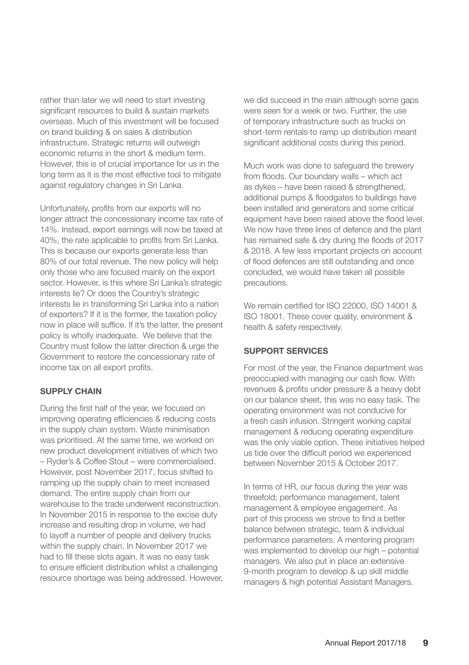rather than later we will need to start investing significant resources to build & sustain markets overseas. Much of this investment will be focused on brand building & on sales & distribution infrastructure. Strategic returns will outweigh economic returns in the short & medium term. However, this is of crucial importance for us in the long term as it is the most effective tool to mitigate against regulatory changes in Sri Lanka.

Unfortunately, profits from our exports will no longer attract the concessionary income tax rate of 14%. Instead, export earnings will now be taxed at 40%, the rate applicable to profits from Sri Lanka. This is because our exports generate less than 80% of our total revenue. The new policy will help only those who are focused mainly on the export sector. However, is this where Sri Lanka's strategic interests lie? Or does the Country's strategic interests lie in transforming Sri Lanka into a nation of exporters? If it is the former, the taxation policy now in place will suffice. If it's the latter, the present policy is wholly inadequate. We believe that the Country must follow the latter direction & urge the Government to restore the concessionary rate of income tax on all export profits.

## **SUPPLY CHAIN**

During the first half of the year, we focused on improving operating efficiencies & reducing costs in the supply chain system. Waste minimisation was prioritised. At the same time, we worked on new product development initiatives of which two – Ryder's & Coffee Stout – were commercialised. However, post November 2017, focus shifted to ramping up the supply chain to meet increased demand. The entire supply chain from our warehouse to the trade underwent reconstruction. In November 2015 in response to the excise duty increase and resulting drop in volume, we had to layoff a number of people and delivery trucks within the supply chain. In November 2017 we had to fill these slots again. It was no easy task to ensure efficient distribution whilst a challenging resource shortage was being addressed. However, we did succeed in the main although some gaps were seen for a week or two. Further, the use of temporary infrastructure such as trucks on short-term rentals to ramp up distribution meant significant additional costs during this period.

Much work was done to safeguard the brewery from floods. Our boundary walls – which act as dykes – have been raised & strengthened, additional pumps & floodgates to buildings have been installed and generators and some critical equipment have been raised above the flood level. We now have three lines of defence and the plant has remained safe & dry during the floods of 2017 & 2018. A few less important projects on account of flood defences are still outstanding and once concluded, we would have taken all possible precautions.

We remain certified for ISO 22000, ISO 14001 & ISO 18001. These cover quality, environment & health & safety respectively.

## **SUPPORT SERVICES**

For most of the year, the Finance department was preoccupied with managing our cash flow. With revenues & profits under pressure & a heavy debt on our balance sheet, this was no easy task. The operating environment was not conducive for a fresh cash infusion. Stringent working capital management & reducing operating expenditure was the only viable option. These initiatives helped us tide over the difficult period we experienced between November 2015 & October 2017.

In terms of HR, our focus during the year was threefold; performance management, talent management & employee engagement. As part of this process we strove to find a better balance between strategic, team & individual performance parameters. A mentoring program was implemented to develop our high – potential managers. We also put in place an extensive 9-month program to develop & up skill middle managers & high potential Assistant Managers.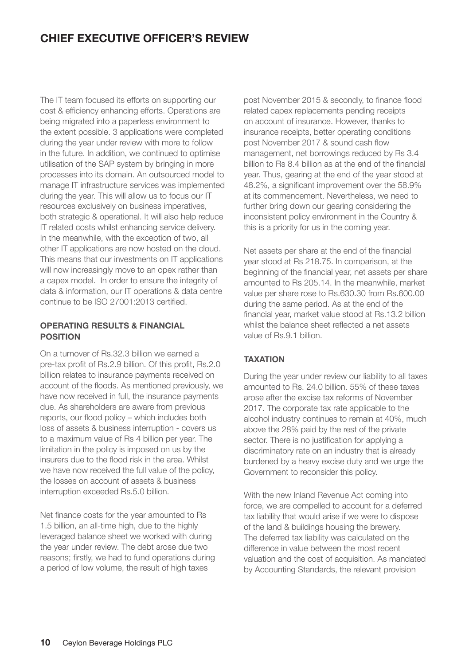## **CHIEF EXECUTIVE OFFICER'S REVIEW**

The IT team focused its efforts on supporting our cost & efficiency enhancing efforts. Operations are being migrated into a paperless environment to the extent possible. 3 applications were completed during the year under review with more to follow in the future. In addition, we continued to optimise utilisation of the SAP system by bringing in more processes into its domain. An outsourced model to manage IT infrastructure services was implemented during the year. This will allow us to focus our IT resources exclusively on business imperatives, both strategic & operational. It will also help reduce IT related costs whilst enhancing service delivery. In the meanwhile, with the exception of two, all other IT applications are now hosted on the cloud. This means that our investments on IT applications will now increasingly move to an opex rather than a capex model. In order to ensure the integrity of data & information, our IT operations & data centre continue to be ISO 27001:2013 certified.

## **OPERATING RESULTS & FINANCIAL POSITION**

On a turnover of Rs.32.3 billion we earned a pre-tax profit of Rs.2.9 billion. Of this profit, Rs.2.0 billion relates to insurance payments received on account of the floods. As mentioned previously, we have now received in full, the insurance payments due. As shareholders are aware from previous reports, our flood policy – which includes both loss of assets & business interruption - covers us to a maximum value of Rs 4 billion per year. The limitation in the policy is imposed on us by the insurers due to the flood risk in the area. Whilst we have now received the full value of the policy, the losses on account of assets & business interruption exceeded Rs.5.0 billion.

Net finance costs for the year amounted to Rs 1.5 billion, an all-time high, due to the highly leveraged balance sheet we worked with during the year under review. The debt arose due two reasons; firstly, we had to fund operations during a period of low volume, the result of high taxes

post November 2015 & secondly, to finance flood related capex replacements pending receipts on account of insurance. However, thanks to insurance receipts, better operating conditions post November 2017 & sound cash flow management, net borrowings reduced by Rs 3.4 billion to Rs 8.4 billion as at the end of the financial year. Thus, gearing at the end of the year stood at 48.2%, a significant improvement over the 58.9% at its commencement. Nevertheless, we need to further bring down our gearing considering the inconsistent policy environment in the Country & this is a priority for us in the coming year.

Net assets per share at the end of the financial year stood at Rs 218.75. In comparison, at the beginning of the financial year, net assets per share amounted to Rs 205.14. In the meanwhile, market value per share rose to Rs.630.30 from Rs.600.00 during the same period. As at the end of the financial year, market value stood at Rs.13.2 billion whilst the balance sheet reflected a net assets value of Rs.9.1 billion.

## **TAXATION**

During the year under review our liability to all taxes amounted to Rs. 24.0 billion. 55% of these taxes arose after the excise tax reforms of November 2017. The corporate tax rate applicable to the alcohol industry continues to remain at 40%, much above the 28% paid by the rest of the private sector. There is no justification for applying a discriminatory rate on an industry that is already burdened by a heavy excise duty and we urge the Government to reconsider this policy.

With the new Inland Revenue Act coming into force, we are compelled to account for a deferred tax liability that would arise if we were to dispose of the land & buildings housing the brewery. The deferred tax liability was calculated on the difference in value between the most recent valuation and the cost of acquisition. As mandated by Accounting Standards, the relevant provision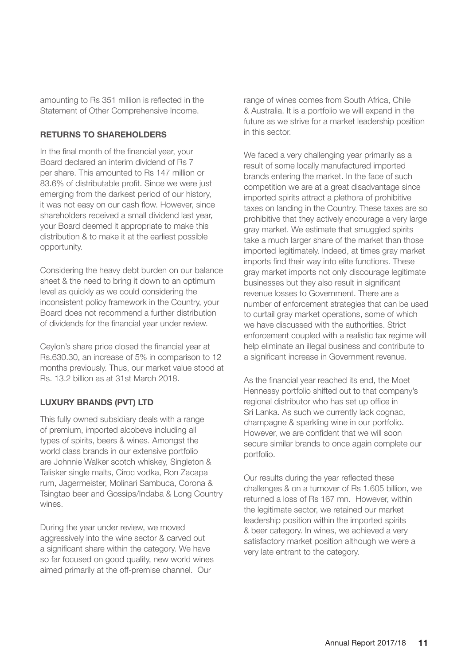amounting to Rs 351 million is reflected in the Statement of Other Comprehensive Income.

## **RETURNS TO SHAREHOLDERS**

In the final month of the financial year, your Board declared an interim dividend of Rs 7 per share. This amounted to Rs 147 million or 83.6% of distributable profit. Since we were just emerging from the darkest period of our history, it was not easy on our cash flow. However, since shareholders received a small dividend last year, your Board deemed it appropriate to make this distribution & to make it at the earliest possible opportunity.

Considering the heavy debt burden on our balance sheet & the need to bring it down to an optimum level as quickly as we could considering the inconsistent policy framework in the Country, your Board does not recommend a further distribution of dividends for the financial year under review.

Ceylon's share price closed the financial year at Rs.630.30, an increase of 5% in comparison to 12 months previously. Thus, our market value stood at Rs. 13.2 billion as at 31st March 2018.

## **LUXURY BRANDS (PVT) LTD**

This fully owned subsidiary deals with a range of premium, imported alcobevs including all types of spirits, beers & wines. Amongst the world class brands in our extensive portfolio are Johnnie Walker scotch whiskey, Singleton & Talisker single malts, Ciroc vodka, Ron Zacapa rum, Jagermeister, Molinari Sambuca, Corona & Tsingtao beer and Gossips/Indaba & Long Country wines.

During the year under review, we moved aggressively into the wine sector & carved out a significant share within the category. We have so far focused on good quality, new world wines aimed primarily at the off-premise channel. Our

range of wines comes from South Africa, Chile & Australia. It is a portfolio we will expand in the future as we strive for a market leadership position in this sector.

We faced a very challenging year primarily as a result of some locally manufactured imported brands entering the market. In the face of such competition we are at a great disadvantage since imported spirits attract a plethora of prohibitive taxes on landing in the Country. These taxes are so prohibitive that they actively encourage a very large gray market. We estimate that smuggled spirits take a much larger share of the market than those imported legitimately. Indeed, at times gray market imports find their way into elite functions. These gray market imports not only discourage legitimate businesses but they also result in significant revenue losses to Government. There are a number of enforcement strategies that can be used to curtail gray market operations, some of which we have discussed with the authorities. Strict enforcement coupled with a realistic tax regime will help eliminate an illegal business and contribute to a significant increase in Government revenue.

As the financial year reached its end, the Moet Hennessy portfolio shifted out to that company's regional distributor who has set up office in Sri Lanka. As such we currently lack cognac, champagne & sparkling wine in our portfolio. However, we are confident that we will soon secure similar brands to once again complete our portfolio.

Our results during the year reflected these challenges & on a turnover of Rs 1.605 billion, we returned a loss of Rs 167 mn. However, within the legitimate sector, we retained our market leadership position within the imported spirits & beer category. In wines, we achieved a very satisfactory market position although we were a very late entrant to the category.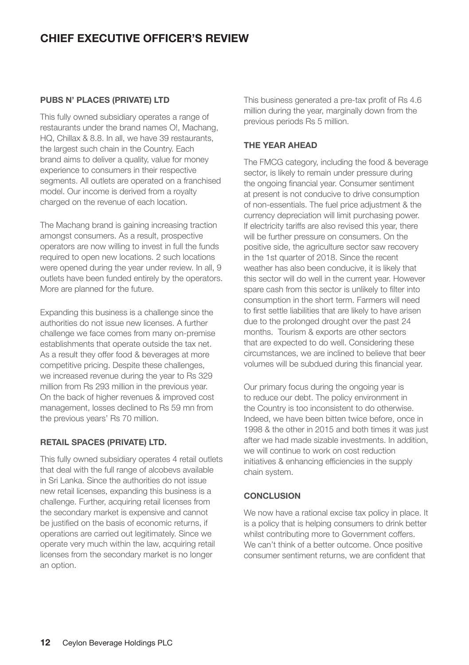## **PUBS N' PLACES (PRIVATE) LTD**

This fully owned subsidiary operates a range of restaurants under the brand names O!, Machang, HQ, Chillax & 8.8. In all, we have 39 restaurants, the largest such chain in the Country. Each brand aims to deliver a quality, value for money experience to consumers in their respective segments. All outlets are operated on a franchised model. Our income is derived from a royalty charged on the revenue of each location.

The Machang brand is gaining increasing traction amongst consumers. As a result, prospective operators are now willing to invest in full the funds required to open new locations. 2 such locations were opened during the year under review. In all, 9 outlets have been funded entirely by the operators. More are planned for the future.

Expanding this business is a challenge since the authorities do not issue new licenses. A further challenge we face comes from many on-premise establishments that operate outside the tax net. As a result they offer food & beverages at more competitive pricing. Despite these challenges, we increased revenue during the year to Rs 329 million from Rs 293 million in the previous year. On the back of higher revenues & improved cost management, losses declined to Rs 59 mn from the previous years' Rs 70 million.

## **RETAIL SPACES (PRIVATE) LTD.**

This fully owned subsidiary operates 4 retail outlets that deal with the full range of alcobevs available in Sri Lanka. Since the authorities do not issue new retail licenses, expanding this business is a challenge. Further, acquiring retail licenses from the secondary market is expensive and cannot be justified on the basis of economic returns, if operations are carried out legitimately. Since we operate very much within the law, acquiring retail licenses from the secondary market is no longer an option.

This business generated a pre-tax profit of Rs 4.6 million during the year, marginally down from the previous periods Rs 5 million.

## **THE YEAR AHEAD**

The FMCG category, including the food & beverage sector, is likely to remain under pressure during the ongoing financial year. Consumer sentiment at present is not conducive to drive consumption of non-essentials. The fuel price adjustment & the currency depreciation will limit purchasing power. If electricity tariffs are also revised this year, there will be further pressure on consumers. On the positive side, the agriculture sector saw recovery in the 1st quarter of 2018. Since the recent weather has also been conducive, it is likely that this sector will do well in the current year. However spare cash from this sector is unlikely to filter into consumption in the short term. Farmers will need to first settle liabilities that are likely to have arisen due to the prolonged drought over the past 24 months. Tourism & exports are other sectors that are expected to do well. Considering these circumstances, we are inclined to believe that beer volumes will be subdued during this financial year.

Our primary focus during the ongoing year is to reduce our debt. The policy environment in the Country is too inconsistent to do otherwise. Indeed, we have been bitten twice before, once in 1998 & the other in 2015 and both times it was just after we had made sizable investments. In addition, we will continue to work on cost reduction initiatives & enhancing efficiencies in the supply chain system.

## **CONCLUSION**

We now have a rational excise tax policy in place. It is a policy that is helping consumers to drink better whilst contributing more to Government coffers. We can't think of a better outcome. Once positive consumer sentiment returns, we are confident that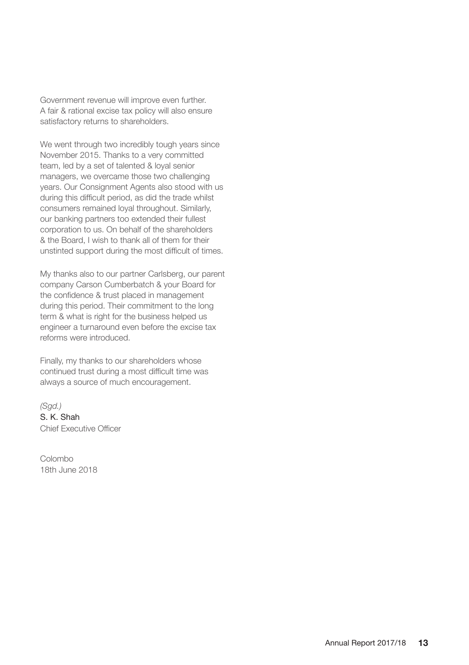Government revenue will improve even further. A fair & rational excise tax policy will also ensure satisfactory returns to shareholders.

We went through two incredibly tough years since November 2015. Thanks to a very committed team, led by a set of talented & loyal senior managers, we overcame those two challenging years. Our Consignment Agents also stood with us during this difficult period, as did the trade whilst consumers remained loyal throughout. Similarly, our banking partners too extended their fullest corporation to us. On behalf of the shareholders & the Board, I wish to thank all of them for their unstinted support during the most difficult of times.

My thanks also to our partner Carlsberg, our parent company Carson Cumberbatch & your Board for the confidence & trust placed in management during this period. Their commitment to the long term & what is right for the business helped us engineer a turnaround even before the excise tax reforms were introduced.

Finally, my thanks to our shareholders whose continued trust during a most difficult time was always a source of much encouragement.

*(Sgd.)* S. K. Shah Chief Executive Officer

Colombo 18th June 2018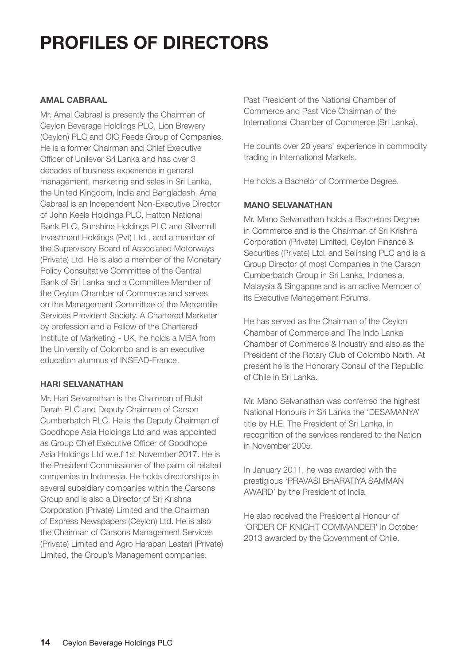# **PROFILES OF DIRECTORS**

## **AMAL CABRAAL**

Mr. Amal Cabraal is presently the Chairman of Ceylon Beverage Holdings PLC, Lion Brewery (Ceylon) PLC and CIC Feeds Group of Companies. He is a former Chairman and Chief Executive Officer of Unilever Sri Lanka and has over 3 decades of business experience in general management, marketing and sales in Sri Lanka, the United Kingdom, India and Bangladesh. Amal Cabraal is an Independent Non-Executive Director of John Keels Holdings PLC, Hatton National Bank PLC, Sunshine Holdings PLC and Silvermill Investment Holdings (Pvt) Ltd., and a member of the Supervisory Board of Associated Motorways (Private) Ltd. He is also a member of the Monetary Policy Consultative Committee of the Central Bank of Sri Lanka and a Committee Member of the Ceylon Chamber of Commerce and serves on the Management Committee of the Mercantile Services Provident Society. A Chartered Marketer by profession and a Fellow of the Chartered Institute of Marketing - UK, he holds a MBA from the University of Colombo and is an executive education alumnus of INSEAD-France.

## **HARI SELVANATHAN**

Mr. Hari Selvanathan is the Chairman of Bukit Darah PLC and Deputy Chairman of Carson Cumberbatch PLC. He is the Deputy Chairman of Goodhope Asia Holdings Ltd and was appointed as Group Chief Executive Officer of Goodhope Asia Holdings Ltd w.e.f 1st November 2017. He is the President Commissioner of the palm oil related companies in Indonesia. He holds directorships in several subsidiary companies within the Carsons Group and is also a Director of Sri Krishna Corporation (Private) Limited and the Chairman of Express Newspapers (Ceylon) Ltd. He is also the Chairman of Carsons Management Services (Private) Limited and Agro Harapan Lestari (Private) Limited, the Group's Management companies.

Past President of the National Chamber of Commerce and Past Vice Chairman of the International Chamber of Commerce (Sri Lanka).

He counts over 20 years' experience in commodity trading in International Markets.

He holds a Bachelor of Commerce Degree.

## **MANO SELVANATHAN**

Mr. Mano Selvanathan holds a Bachelors Degree in Commerce and is the Chairman of Sri Krishna Corporation (Private) Limited, Ceylon Finance & Securities (Private) Ltd. and Selinsing PLC and is a Group Director of most Companies in the Carson Cumberbatch Group in Sri Lanka, Indonesia, Malaysia & Singapore and is an active Member of its Executive Management Forums.

He has served as the Chairman of the Ceylon Chamber of Commerce and The Indo Lanka Chamber of Commerce & Industry and also as the President of the Rotary Club of Colombo North. At present he is the Honorary Consul of the Republic of Chile in Sri Lanka.

Mr. Mano Selvanathan was conferred the highest National Honours in Sri Lanka the 'DESAMANYA' title by H.E. The President of Sri Lanka, in recognition of the services rendered to the Nation in November 2005.

In January 2011, he was awarded with the prestigious 'PRAVASI BHARATIYA SAMMAN AWARD' by the President of India.

He also received the Presidential Honour of 'ORDER OF KNIGHT COMMANDER' in October 2013 awarded by the Government of Chile.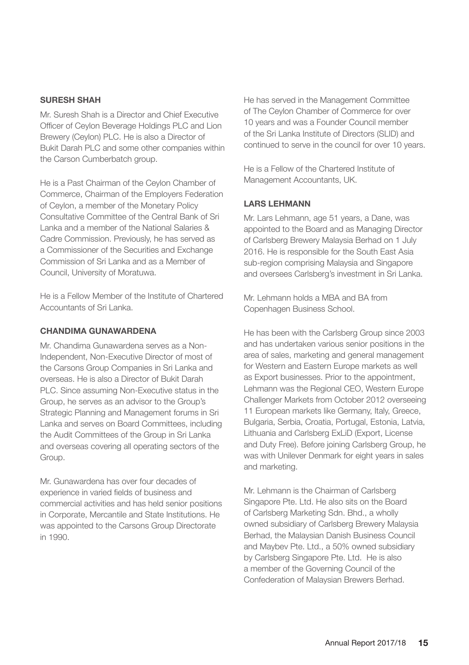## **SURESH SHAH**

Mr. Suresh Shah is a Director and Chief Executive Officer of Ceylon Beverage Holdings PLC and Lion Brewery (Ceylon) PLC. He is also a Director of Bukit Darah PLC and some other companies within the Carson Cumberbatch group.

He is a Past Chairman of the Ceylon Chamber of Commerce, Chairman of the Employers Federation of Ceylon, a member of the Monetary Policy Consultative Committee of the Central Bank of Sri Lanka and a member of the National Salaries & Cadre Commission. Previously, he has served as a Commissioner of the Securities and Exchange Commission of Sri Lanka and as a Member of Council, University of Moratuwa.

He is a Fellow Member of the Institute of Chartered Accountants of Sri Lanka.

#### **CHANDIMA GUNAWARDENA**

Mr. Chandima Gunawardena serves as a Non-Independent, Non-Executive Director of most of the Carsons Group Companies in Sri Lanka and overseas. He is also a Director of Bukit Darah PLC. Since assuming Non-Executive status in the Group, he serves as an advisor to the Group's Strategic Planning and Management forums in Sri Lanka and serves on Board Committees, including the Audit Committees of the Group in Sri Lanka and overseas covering all operating sectors of the Group.

Mr. Gunawardena has over four decades of experience in varied fields of business and commercial activities and has held senior positions in Corporate, Mercantile and State Institutions. He was appointed to the Carsons Group Directorate in 1990.

He has served in the Management Committee of The Ceylon Chamber of Commerce for over 10 years and was a Founder Council member of the Sri Lanka Institute of Directors (SLID) and continued to serve in the council for over 10 years.

He is a Fellow of the Chartered Institute of Management Accountants, UK.

## **LARS LEHMANN**

Mr. Lars Lehmann, age 51 years, a Dane, was appointed to the Board and as Managing Director of Carlsberg Brewery Malaysia Berhad on 1 July 2016. He is responsible for the South East Asia sub-region comprising Malaysia and Singapore and oversees Carlsberg's investment in Sri Lanka.

Mr. Lehmann holds a MBA and BA from Copenhagen Business School.

He has been with the Carlsberg Group since 2003 and has undertaken various senior positions in the area of sales, marketing and general management for Western and Eastern Europe markets as well as Export businesses. Prior to the appointment, Lehmann was the Regional CEO, Western Europe Challenger Markets from October 2012 overseeing 11 European markets like Germany, Italy, Greece, Bulgaria, Serbia, Croatia, Portugal, Estonia, Latvia, Lithuania and Carlsberg ExLiD (Export, License and Duty Free). Before joining Carlsberg Group, he was with Unilever Denmark for eight years in sales and marketing.

Mr. Lehmann is the Chairman of Carlsberg Singapore Pte. Ltd. He also sits on the Board of Carlsberg Marketing Sdn. Bhd., a wholly owned subsidiary of Carlsberg Brewery Malaysia Berhad, the Malaysian Danish Business Council and Maybev Pte. Ltd., a 50% owned subsidiary by Carlsberg Singapore Pte. Ltd. He is also a member of the Governing Council of the Confederation of Malaysian Brewers Berhad.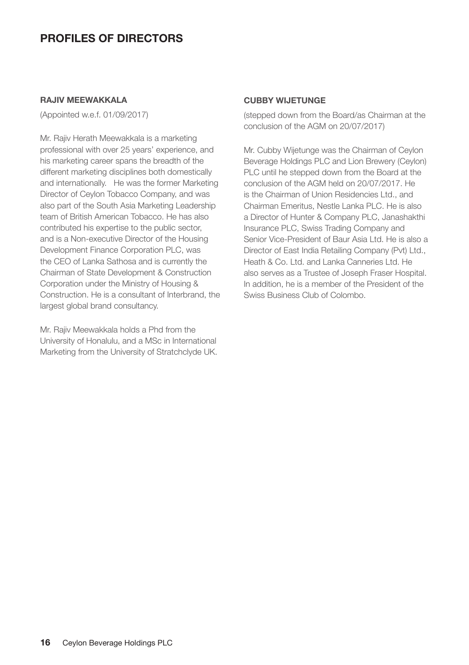## **PROFILES OF DIRECTORS**

#### **RAJIV MEEWAKKALA**

(Appointed w.e.f. 01/09/2017)

Mr. Rajiv Herath Meewakkala is a marketing professional with over 25 years' experience, and his marketing career spans the breadth of the different marketing disciplines both domestically and internationally. He was the former Marketing Director of Ceylon Tobacco Company, and was also part of the South Asia Marketing Leadership team of British American Tobacco. He has also contributed his expertise to the public sector, and is a Non-executive Director of the Housing Development Finance Corporation PLC, was the CEO of Lanka Sathosa and is currently the Chairman of State Development & Construction Corporation under the Ministry of Housing & Construction. He is a consultant of Interbrand, the largest global brand consultancy.

Mr. Rajiv Meewakkala holds a Phd from the University of Honalulu, and a MSc in International Marketing from the University of Stratchclyde UK.

## **CUBBY WIJETUNGE**

(stepped down from the Board/as Chairman at the conclusion of the AGM on 20/07/2017)

Mr. Cubby Wijetunge was the Chairman of Ceylon Beverage Holdings PLC and Lion Brewery (Ceylon) PLC until he stepped down from the Board at the conclusion of the AGM held on 20/07/2017. He is the Chairman of Union Residencies Ltd., and Chairman Emeritus, Nestle Lanka PLC. He is also a Director of Hunter & Company PLC, Janashakthi Insurance PLC, Swiss Trading Company and Senior Vice-President of Baur Asia Ltd. He is also a Director of East India Retailing Company (Pvt) Ltd., Heath & Co. Ltd. and Lanka Canneries Ltd. He also serves as a Trustee of Joseph Fraser Hospital. In addition, he is a member of the President of the Swiss Business Club of Colombo.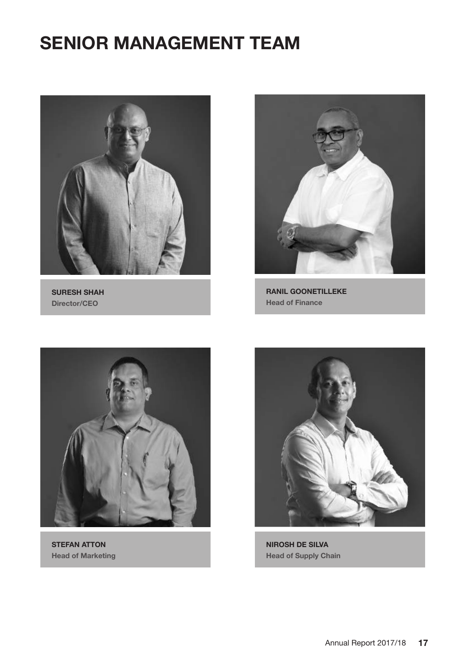## **SENIOR MANAGEMENT TEAM**



**SURESH SHAH Director/CEO**



**RANIL GOONETILLEKE Head of Finance**



**STEFAN ATTON Head of Marketing**



**NIROSH DE SILVA Head of Supply Chain**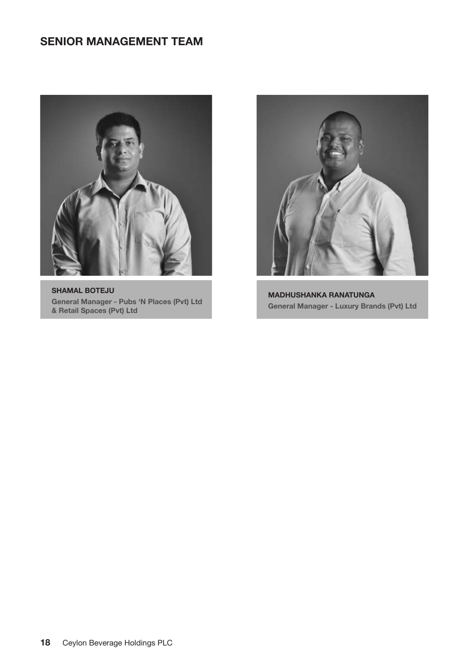## **SENIOR MANAGEMENT TEAM**



**SHAMAL BOTEJU General Manager - Pubs 'N Places (Pvt) Ltd & Retail Spaces (Pvt) Ltd**



**MADHUSHANKA RANATUNGA General Manager - Luxury Brands (Pvt) Ltd**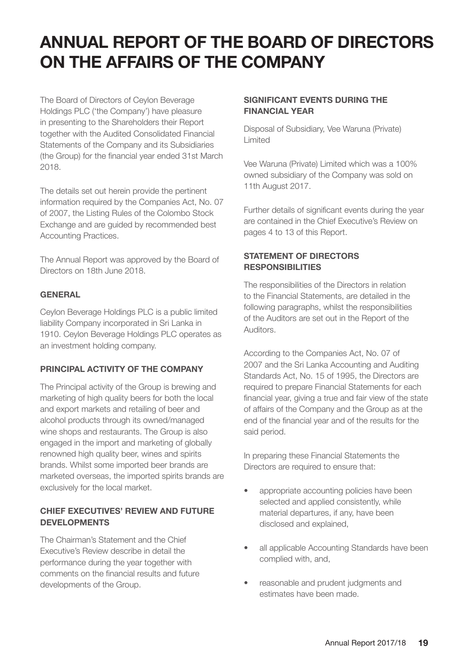## **ANNUAL REPORT OF THE BOARD OF DIRECTORS ON THE AFFAIRS OF THE COMPANY**

The Board of Directors of Ceylon Beverage Holdings PLC ('the Company') have pleasure in presenting to the Shareholders their Report together with the Audited Consolidated Financial Statements of the Company and its Subsidiaries (the Group) for the financial year ended 31st March 2018.

The details set out herein provide the pertinent information required by the Companies Act, No. 07 of 2007, the Listing Rules of the Colombo Stock Exchange and are guided by recommended best Accounting Practices.

The Annual Report was approved by the Board of Directors on 18th June 2018.

## **GENERAL**

Ceylon Beverage Holdings PLC is a public limited liability Company incorporated in Sri Lanka in 1910. Ceylon Beverage Holdings PLC operates as an investment holding company.

## **PRINCIPAL ACTIVITY OF THE COMPANY**

The Principal activity of the Group is brewing and marketing of high quality beers for both the local and export markets and retailing of beer and alcohol products through its owned/managed wine shops and restaurants. The Group is also engaged in the import and marketing of globally renowned high quality beer, wines and spirits brands. Whilst some imported beer brands are marketed overseas, the imported spirits brands are exclusively for the local market.

## **CHIEF EXECUTIVES' REVIEW AND FUTURE DEVELOPMENTS**

The Chairman's Statement and the Chief Executive's Review describe in detail the performance during the year together with comments on the financial results and future developments of the Group.

## **SIGNIFICANT EVENTS DURING THE FINANCIAL YEAR**

Disposal of Subsidiary, Vee Waruna (Private) Limited

Vee Waruna (Private) Limited which was a 100% owned subsidiary of the Company was sold on 11th August 2017.

Further details of significant events during the year are contained in the Chief Executive's Review on pages 4 to 13 of this Report.

## **STATEMENT OF DIRECTORS RESPONSIBILITIES**

The responsibilities of the Directors in relation to the Financial Statements, are detailed in the following paragraphs, whilst the responsibilities of the Auditors are set out in the Report of the Auditors.

According to the Companies Act, No. 07 of 2007 and the Sri Lanka Accounting and Auditing Standards Act, No. 15 of 1995, the Directors are required to prepare Financial Statements for each financial year, giving a true and fair view of the state of affairs of the Company and the Group as at the end of the financial year and of the results for the said period.

In preparing these Financial Statements the Directors are required to ensure that:

- appropriate accounting policies have been selected and applied consistently, while material departures, if any, have been disclosed and explained,
- all applicable Accounting Standards have been complied with, and,
- reasonable and prudent judgments and estimates have been made.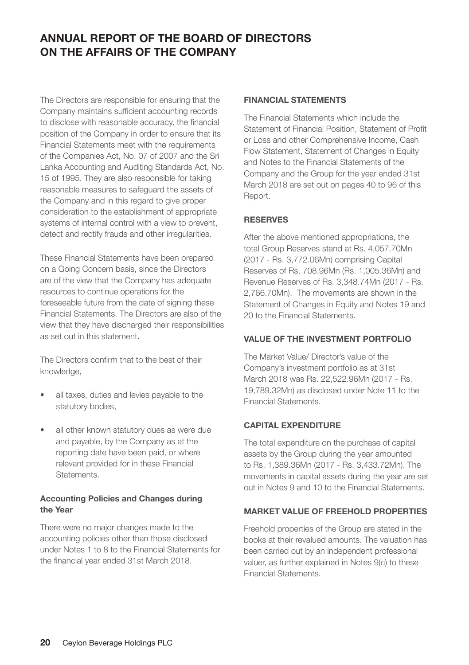## **ANNUAL REPORT OF THE BOARD OF DIRECTORS ON THE AFFAIRS OF THE COMPANY**

The Directors are responsible for ensuring that the Company maintains sufficient accounting records to disclose with reasonable accuracy, the financial position of the Company in order to ensure that its Financial Statements meet with the requirements of the Companies Act, No. 07 of 2007 and the Sri Lanka Accounting and Auditing Standards Act, No. 15 of 1995. They are also responsible for taking reasonable measures to safeguard the assets of the Company and in this regard to give proper consideration to the establishment of appropriate systems of internal control with a view to prevent, detect and rectify frauds and other irregularities.

These Financial Statements have been prepared on a Going Concern basis, since the Directors are of the view that the Company has adequate resources to continue operations for the foreseeable future from the date of signing these Financial Statements. The Directors are also of the view that they have discharged their responsibilities as set out in this statement.

The Directors confirm that to the best of their knowledge,

- all taxes, duties and levies payable to the statutory bodies,
- all other known statutory dues as were due and payable, by the Company as at the reporting date have been paid, or where relevant provided for in these Financial **Statements**

## **Accounting Policies and Changes during the Year**

There were no major changes made to the accounting policies other than those disclosed under Notes 1 to 8 to the Financial Statements for the financial year ended 31st March 2018.

## **FINANCIAL STATEMENTS**

The Financial Statements which include the Statement of Financial Position, Statement of Profit or Loss and other Comprehensive Income, Cash Flow Statement, Statement of Changes in Equity and Notes to the Financial Statements of the Company and the Group for the year ended 31st March 2018 are set out on pages 40 to 96 of this Report.

## **RESERVES**

After the above mentioned appropriations, the total Group Reserves stand at Rs. 4,057.70Mn (2017 - Rs. 3,772.06Mn) comprising Capital Reserves of Rs. 708.96Mn (Rs. 1,005.36Mn) and Revenue Reserves of Rs. 3,348.74Mn (2017 - Rs. 2,766.70Mn). The movements are shown in the Statement of Changes in Equity and Notes 19 and 20 to the Financial Statements.

## **VALUE OF THE INVESTMENT PORTFOLIO**

The Market Value/ Director's value of the Company's investment portfolio as at 31st March 2018 was Rs. 22,522.96Mn (2017 - Rs. 19,789.32Mn) as disclosed under Note 11 to the Financial Statements.

## **CAPITAL EXPENDITURE**

The total expenditure on the purchase of capital assets by the Group during the year amounted to Rs. 1,389.36Mn (2017 - Rs. 3,433.72Mn). The movements in capital assets during the year are set out in Notes 9 and 10 to the Financial Statements.

## **MARKET VALUE OF FREEHOLD PROPERTIES**

Freehold properties of the Group are stated in the books at their revalued amounts. The valuation has been carried out by an independent professional valuer, as further explained in Notes 9(c) to these Financial Statements.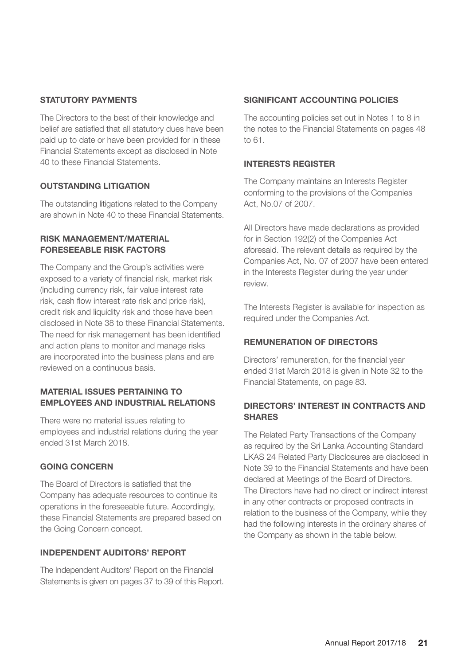## **STATUTORY PAYMENTS**

The Directors to the best of their knowledge and belief are satisfied that all statutory dues have been paid up to date or have been provided for in these Financial Statements except as disclosed in Note 40 to these Financial Statements.

## **OUTSTANDING LITIGATION**

The outstanding litigations related to the Company are shown in Note 40 to these Financial Statements.

## **RISK MANAGEMENT/MATERIAL FORESEEABLE RISK FACTORS**

The Company and the Group's activities were exposed to a variety of financial risk, market risk (including currency risk, fair value interest rate risk, cash flow interest rate risk and price risk), credit risk and liquidity risk and those have been disclosed in Note 38 to these Financial Statements. The need for risk management has been identified and action plans to monitor and manage risks are incorporated into the business plans and are reviewed on a continuous basis.

## **MATERIAL ISSUES PERTAINING TO EMPLOYEES AND INDUSTRIAL RELATIONS**

There were no material issues relating to employees and industrial relations during the year ended 31st March 2018.

## **GOING CONCERN**

The Board of Directors is satisfied that the Company has adequate resources to continue its operations in the foreseeable future. Accordingly, these Financial Statements are prepared based on the Going Concern concept.

## **INDEPENDENT AUDITORS' REPORT**

The Independent Auditors' Report on the Financial Statements is given on pages 37 to 39 of this Report.

## **SIGNIFICANT ACCOUNTING POLICIES**

The accounting policies set out in Notes 1 to 8 in the notes to the Financial Statements on pages 48 to 61.

## **INTERESTS REGISTER**

The Company maintains an Interests Register conforming to the provisions of the Companies Act, No.07 of 2007.

All Directors have made declarations as provided for in Section 192(2) of the Companies Act aforesaid. The relevant details as required by the Companies Act, No. 07 of 2007 have been entered in the Interests Register during the year under review.

The Interests Register is available for inspection as required under the Companies Act.

## **REMUNERATION OF DIRECTORS**

Directors' remuneration, for the financial year ended 31st March 2018 is given in Note 32 to the Financial Statements, on page 83.

## **DIRECTORS' INTEREST IN CONTRACTS AND SHARES**

The Related Party Transactions of the Company as required by the Sri Lanka Accounting Standard LKAS 24 Related Party Disclosures are disclosed in Note 39 to the Financial Statements and have been declared at Meetings of the Board of Directors. The Directors have had no direct or indirect interest in any other contracts or proposed contracts in relation to the business of the Company, while they had the following interests in the ordinary shares of the Company as shown in the table below.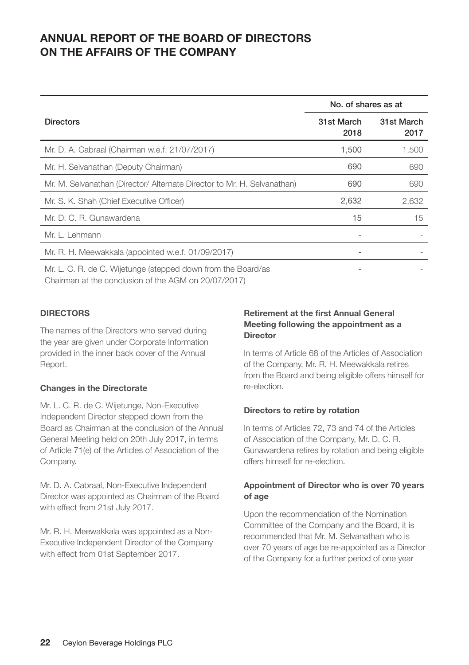## **ANNUAL REPORT OF THE BOARD OF DIRECTORS ON THE AFFAIRS OF THE COMPANY**

|                                                                                                                      | No. of shares as at |                    |
|----------------------------------------------------------------------------------------------------------------------|---------------------|--------------------|
| <b>Directors</b>                                                                                                     | 31st March<br>2018  | 31st March<br>2017 |
| Mr. D. A. Cabraal (Chairman w.e.f. 21/07/2017)                                                                       | 1,500               | 1,500              |
| Mr. H. Selvanathan (Deputy Chairman)                                                                                 | 690                 | 690                |
| Mr. M. Selvanathan (Director/ Alternate Director to Mr. H. Selvanathan)                                              | 690                 | 690                |
| Mr. S. K. Shah (Chief Executive Officer)                                                                             | 2,632               | 2,632              |
| Mr. D. C. R. Gunawardena                                                                                             | 15                  | 15                 |
| Mr. L. Lehmann                                                                                                       |                     |                    |
| Mr. R. H. Meewakkala (appointed w.e.f. 01/09/2017)                                                                   |                     |                    |
| Mr. L. C. R. de C. Wijetunge (stepped down from the Board/as<br>Chairman at the conclusion of the AGM on 20/07/2017) |                     |                    |

## **DIRECTORS**

The names of the Directors who served during the year are given under Corporate Information provided in the inner back cover of the Annual Report.

## **Changes in the Directorate**

Mr. L. C. R. de C. Wijetunge, Non-Executive Independent Director stepped down from the Board as Chairman at the conclusion of the Annual General Meeting held on 20th July 2017, in terms of Article 71(e) of the Articles of Association of the Company.

Mr. D. A. Cabraal, Non-Executive Independent Director was appointed as Chairman of the Board with effect from 21st July 2017.

Mr. R. H. Meewakkala was appointed as a Non-Executive Independent Director of the Company with effect from 01st September 2017.

## **Retirement at the first Annual General Meeting following the appointment as a Director**

In terms of Article 68 of the Articles of Association of the Company, Mr. R. H. Meewakkala retires from the Board and being eligible offers himself for re-election.

## **Directors to retire by rotation**

In terms of Articles 72, 73 and 74 of the Articles of Association of the Company, Mr. D. C. R. Gunawardena retires by rotation and being eligible offers himself for re-election.

## **Appointment of Director who is over 70 years of age**

Upon the recommendation of the Nomination Committee of the Company and the Board, it is recommended that Mr. M. Selvanathan who is over 70 years of age be re-appointed as a Director of the Company for a further period of one year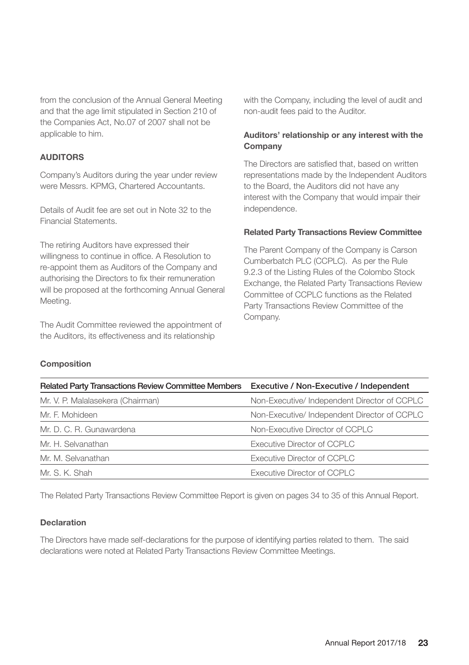from the conclusion of the Annual General Meeting and that the age limit stipulated in Section 210 of the Companies Act, No.07 of 2007 shall not be applicable to him.

## **AUDITORS**

Company's Auditors during the year under review were Messrs. KPMG, Chartered Accountants.

Details of Audit fee are set out in Note 32 to the Financial Statements.

The retiring Auditors have expressed their willingness to continue in office. A Resolution to re-appoint them as Auditors of the Company and authorising the Directors to fix their remuneration will be proposed at the forthcoming Annual General Meeting.

The Audit Committee reviewed the appointment of the Auditors, its effectiveness and its relationship

with the Company, including the level of audit and non-audit fees paid to the Auditor.

## **Auditors' relationship or any interest with the Company**

The Directors are satisfied that, based on written representations made by the Independent Auditors to the Board, the Auditors did not have any interest with the Company that would impair their independence.

## **Related Party Transactions Review Committee**

The Parent Company of the Company is Carson Cumberbatch PLC (CCPLC). As per the Rule 9.2.3 of the Listing Rules of the Colombo Stock Exchange, the Related Party Transactions Review Committee of CCPLC functions as the Related Party Transactions Review Committee of the Company.

## **Composition**

| <b>Related Party Transactions Review Committee Members</b> | Executive / Non-Executive / Independent      |  |
|------------------------------------------------------------|----------------------------------------------|--|
| Mr. V. P. Malalasekera (Chairman)                          | Non-Executive/ Independent Director of CCPLC |  |
| Mr. F. Mohideen                                            | Non-Executive/Independent Director of CCPLC  |  |
| Mr. D. C. R. Gunawardena                                   | Non-Executive Director of CCPLC              |  |
| Mr. H. Selvanathan                                         | Executive Director of CCPLC                  |  |
| Mr. M. Selvanathan                                         | Executive Director of CCPLC                  |  |
| Mr. S. K. Shah                                             | Executive Director of CCPLC                  |  |
|                                                            |                                              |  |

The Related Party Transactions Review Committee Report is given on pages 34 to 35 of this Annual Report.

## **Declaration**

The Directors have made self-declarations for the purpose of identifying parties related to them. The said declarations were noted at Related Party Transactions Review Committee Meetings.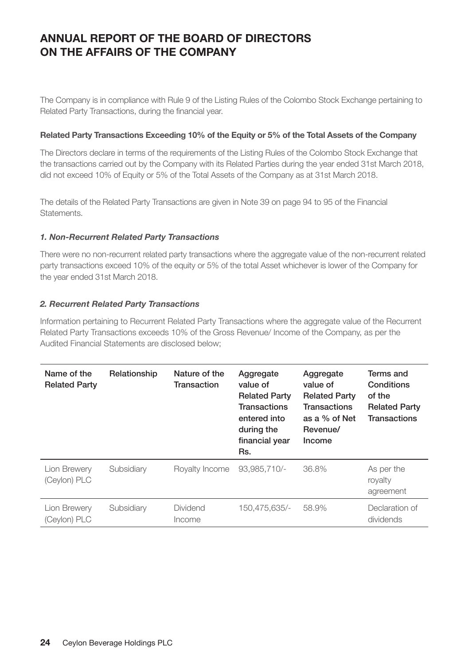## **ANNUAL REPORT OF THE BOARD OF DIRECTORS ON THE AFFAIRS OF THE COMPANY**

The Company is in compliance with Rule 9 of the Listing Rules of the Colombo Stock Exchange pertaining to Related Party Transactions, during the financial year.

## **Related Party Transactions Exceeding 10% of the Equity or 5% of the Total Assets of the Company**

The Directors declare in terms of the requirements of the Listing Rules of the Colombo Stock Exchange that the transactions carried out by the Company with its Related Parties during the year ended 31st March 2018, did not exceed 10% of Equity or 5% of the Total Assets of the Company as at 31st March 2018.

The details of the Related Party Transactions are given in Note 39 on page 94 to 95 of the Financial Statements.

## *1. Non-Recurrent Related Party Transactions*

There were no non-recurrent related party transactions where the aggregate value of the non-recurrent related party transactions exceed 10% of the equity or 5% of the total Asset whichever is lower of the Company for the year ended 31st March 2018.

## *2. Recurrent Related Party Transactions*

Information pertaining to Recurrent Related Party Transactions where the aggregate value of the Recurrent Related Party Transactions exceeds 10% of the Gross Revenue/ Income of the Company, as per the Audited Financial Statements are disclosed below;

| Name of the<br><b>Related Party</b> | Relationship | Nature of the<br>Transaction | Aggregate<br>value of<br><b>Related Party</b><br>Transactions<br>entered into<br>during the<br>financial year<br>Rs. | Aggregate<br>value of<br><b>Related Party</b><br>Transactions<br>as a % of Net<br>Revenue/<br>Income | Terms and<br>Conditions<br>of the<br><b>Related Party</b><br><b>Transactions</b> |
|-------------------------------------|--------------|------------------------------|----------------------------------------------------------------------------------------------------------------------|------------------------------------------------------------------------------------------------------|----------------------------------------------------------------------------------|
| Lion Brewery<br>(Ceylon) PLC        | Subsidiary   | Royalty Income               | 93.985.710/-                                                                                                         | 36.8%                                                                                                | As per the<br>royalty<br>agreement                                               |
| Lion Brewery<br>(Ceylon) PLC        | Subsidiary   | Dividend<br>Income           | 150.475.635/-                                                                                                        | 58.9%                                                                                                | Declaration of<br>dividends                                                      |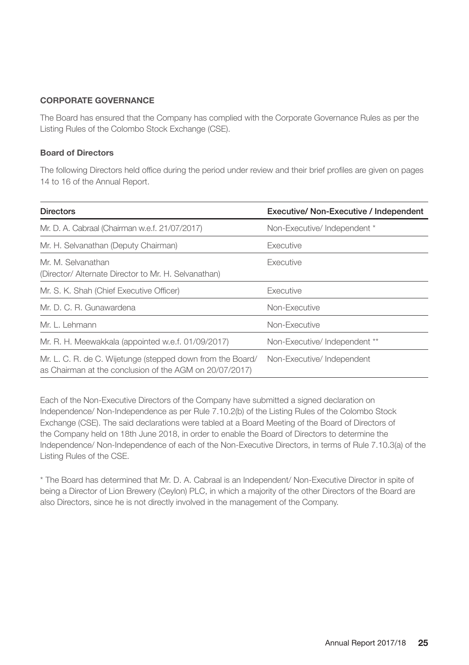## **CORPORATE GOVERNANCE**

The Board has ensured that the Company has complied with the Corporate Governance Rules as per the Listing Rules of the Colombo Stock Exchange (CSE).

## **Board of Directors**

The following Directors held office during the period under review and their brief profiles are given on pages 14 to 16 of the Annual Report.

| <b>Directors</b>                                                                                                      | Executive/ Non-Executive / Independent |  |
|-----------------------------------------------------------------------------------------------------------------------|----------------------------------------|--|
| Mr. D. A. Cabraal (Chairman w.e.f. 21/07/2017)                                                                        | Non-Executive/Independent *            |  |
| Mr. H. Selvanathan (Deputy Chairman)                                                                                  | Executive                              |  |
| Mr. M. Selvanathan<br>(Director/ Alternate Director to Mr. H. Selvanathan)                                            | Executive                              |  |
| Mr. S. K. Shah (Chief Executive Officer)                                                                              | Executive                              |  |
| Mr. D. C. R. Gunawardena                                                                                              | Non-Executive                          |  |
| Mr. L. Lehmann                                                                                                        | Non-Executive                          |  |
| Mr. R. H. Meewakkala (appointed w.e.f. 01/09/2017)                                                                    | Non-Executive/ Independent **          |  |
| Mr. L. C. R. de C. Wijetunge (stepped down from the Board/<br>as Chairman at the conclusion of the AGM on 20/07/2017) | Non-Executive/Independent              |  |

Each of the Non-Executive Directors of the Company have submitted a signed declaration on Independence/ Non-Independence as per Rule 7.10.2(b) of the Listing Rules of the Colombo Stock Exchange (CSE). The said declarations were tabled at a Board Meeting of the Board of Directors of the Company held on 18th June 2018, in order to enable the Board of Directors to determine the Independence/ Non-Independence of each of the Non-Executive Directors, in terms of Rule 7.10.3(a) of the Listing Rules of the CSE.

\* The Board has determined that Mr. D. A. Cabraal is an Independent/ Non-Executive Director in spite of being a Director of Lion Brewery (Ceylon) PLC, in which a majority of the other Directors of the Board are also Directors, since he is not directly involved in the management of the Company.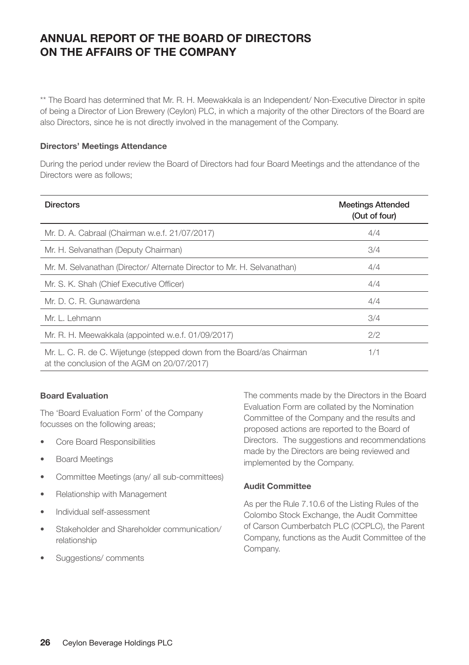## **ANNUAL REPORT OF THE BOARD OF DIRECTORS ON THE AFFAIRS OF THE COMPANY**

\*\* The Board has determined that Mr. R. H. Meewakkala is an Independent/ Non-Executive Director in spite of being a Director of Lion Brewery (Ceylon) PLC, in which a majority of the other Directors of the Board are also Directors, since he is not directly involved in the management of the Company.

#### **Directors' Meetings Attendance**

During the period under review the Board of Directors had four Board Meetings and the attendance of the Directors were as follows;

| <b>Directors</b>                                                                                                     | <b>Meetings Attended</b><br>(Out of four) |
|----------------------------------------------------------------------------------------------------------------------|-------------------------------------------|
| Mr. D. A. Cabraal (Chairman w.e.f. 21/07/2017)                                                                       | 4/4                                       |
| Mr. H. Selvanathan (Deputy Chairman)                                                                                 | 3/4                                       |
| Mr. M. Selvanathan (Director/ Alternate Director to Mr. H. Selvanathan)                                              | 4/4                                       |
| Mr. S. K. Shah (Chief Executive Officer)                                                                             | 4/4                                       |
| Mr. D. C. R. Gunawardena                                                                                             | 4/4                                       |
| Mr. L. Lehmann                                                                                                       | 3/4                                       |
| Mr. R. H. Meewakkala (appointed w.e.f. 01/09/2017)                                                                   | 2/2                                       |
| Mr. L. C. R. de C. Wijetunge (stepped down from the Board/as Chairman<br>at the conclusion of the AGM on 20/07/2017) | 1/1                                       |

## **Board Evaluation**

The 'Board Evaluation Form' of the Company focusses on the following areas;

- Core Board Responsibilities
- Board Meetings
- Committee Meetings (any/ all sub-committees)
- Relationship with Management
- Individual self-assessment
- Stakeholder and Shareholder communication/ relationship
- Suggestions/ comments

The comments made by the Directors in the Board Evaluation Form are collated by the Nomination Committee of the Company and the results and proposed actions are reported to the Board of Directors. The suggestions and recommendations made by the Directors are being reviewed and implemented by the Company.

## **Audit Committee**

As per the Rule 7.10.6 of the Listing Rules of the Colombo Stock Exchange, the Audit Committee of Carson Cumberbatch PLC (CCPLC), the Parent Company, functions as the Audit Committee of the Company.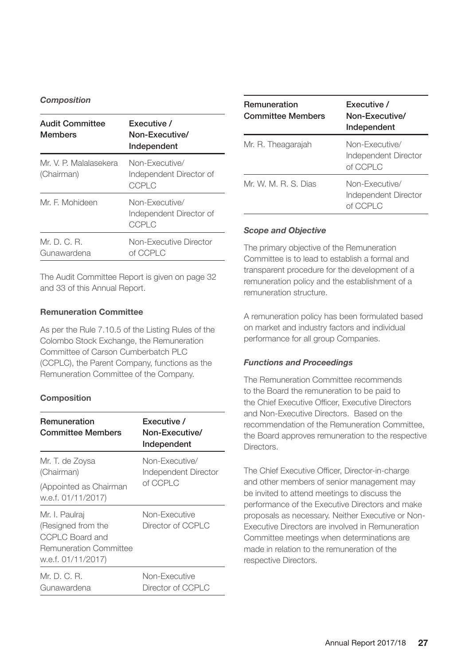## *Composition*

| <b>Audit Committee</b><br><b>Members</b> | Executive /<br>Non-Executive/<br>Independent       |
|------------------------------------------|----------------------------------------------------|
| Mr. V. P. Malalasekera<br>(Chairman)     | Non-Executive/<br>Independent Director of<br>CCPLC |
| Mr. F. Mohideen                          | Non-Executive/<br>Independent Director of<br>CCPLC |
| Mr. D. C. R.<br>Gunawardena              | Non-Executive Director<br>of CCPLC                 |

The Audit Committee Report is given on page 32 and 33 of this Annual Report.

## **Remuneration Committee**

As per the Rule 7.10.5 of the Listing Rules of the Colombo Stock Exchange, the Remuneration Committee of Carson Cumberbatch PLC (CCPLC), the Parent Company, functions as the Remuneration Committee of the Company.

## **Composition**

| Remuneration<br><b>Committee Members</b>                                                                       | <b>Fxecutive</b> /<br>Non-Executive/<br>Independent |
|----------------------------------------------------------------------------------------------------------------|-----------------------------------------------------|
| Mr. T. de Zoysa<br>(Chairman)                                                                                  | Non-Executive/<br>Independent Director              |
| (Appointed as Chairman<br>w.e.f. 01/11/2017)                                                                   | of CCPLC                                            |
| Mr. I. Paulraj<br>(Resigned from the<br>CCPLC Board and<br><b>Remuneration Committee</b><br>w.e.f. 01/11/2017) | Non-Executive<br>Director of CCPLC                  |
| Mr. D. C. R.<br>Gunawardena                                                                                    | Non-Executive<br>Director of CCPLC                  |

| Remuneration<br><b>Committee Members</b> | <b>Fxecutive</b> /<br>Non-Executive/<br>Independent |
|------------------------------------------|-----------------------------------------------------|
| Mr. R. Theagarajah                       | Non-Executive/<br>Independent Director<br>of CCPLC  |
| Mr. W. M. R. S. Dias                     | Non-Executive/<br>Independent Director<br>of CCPLC  |

## *Scope and Objective*

The primary objective of the Remuneration Committee is to lead to establish a formal and transparent procedure for the development of a remuneration policy and the establishment of a remuneration structure.

A remuneration policy has been formulated based on market and industry factors and individual performance for all group Companies.

## *Functions and Proceedings*

The Remuneration Committee recommends to the Board the remuneration to be paid to the Chief Executive Officer, Executive Directors and Non-Executive Directors. Based on the recommendation of the Remuneration Committee, the Board approves remuneration to the respective Directors.

The Chief Executive Officer, Director-in-charge and other members of senior management may be invited to attend meetings to discuss the performance of the Executive Directors and make proposals as necessary. Neither Executive or Non-Executive Directors are involved in Remuneration Committee meetings when determinations are made in relation to the remuneration of the respective Directors.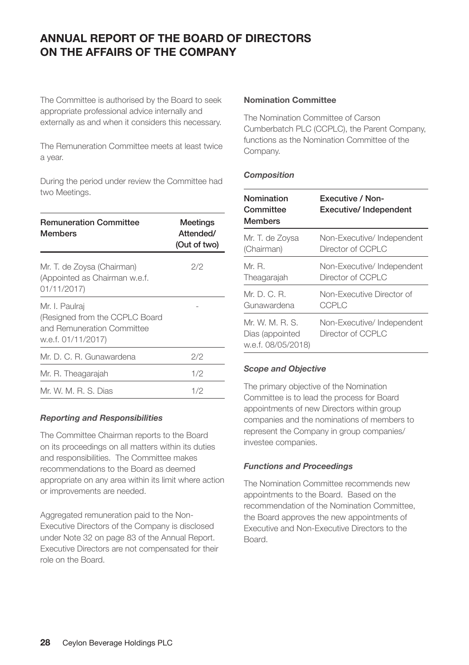## **ANNUAL REPORT OF THE BOARD OF DIRECTORS ON THE AFFAIRS OF THE COMPANY**

The Committee is authorised by the Board to seek appropriate professional advice internally and externally as and when it considers this necessary.

The Remuneration Committee meets at least twice a year.

During the period under review the Committee had two Meetings.

| <b>Remuneration Committee</b><br><b>Members</b>                                                      | Meetings<br>Attended/<br>(Out of two) |
|------------------------------------------------------------------------------------------------------|---------------------------------------|
| Mr. T. de Zoysa (Chairman)<br>(Appointed as Chairman w.e.f.<br>01/11/2017)                           | 2/2                                   |
| Mr. I. Paulraj<br>(Resigned from the CCPLC Board<br>and Remuneration Committee<br>w.e.f. 01/11/2017) |                                       |
| Mr. D. C. R. Gunawardena                                                                             | 2/2                                   |
| Mr. R. Theagarajah                                                                                   | 1/2                                   |
| Mr. W. M. R. S. Dias                                                                                 | 1/2                                   |

## *Reporting and Responsibilities*

The Committee Chairman reports to the Board on its proceedings on all matters within its duties and responsibilities. The Committee makes recommendations to the Board as deemed appropriate on any area within its limit where action or improvements are needed.

Aggregated remuneration paid to the Non-Executive Directors of the Company is disclosed under Note 32 on page 83 of the Annual Report. Executive Directors are not compensated for their role on the Board.

#### **Nomination Committee**

The Nomination Committee of Carson Cumberbatch PLC (CCPLC), the Parent Company, functions as the Nomination Committee of the Company.

## *Composition*

| Nomination<br>Committee<br><b>Members</b>                 | Executive / Non-<br>Executive/ Independent     |
|-----------------------------------------------------------|------------------------------------------------|
| Mr. T. de Zoysa                                           | Non-Executive/Independent                      |
| (Chairman)                                                | Director of CCPLC                              |
| Mr. R.                                                    | Non-Executive/Independent                      |
| Theagarajah                                               | Director of CCPLC                              |
| Mr.D.C.B.                                                 | Non-Executive Director of                      |
| Gunawardena                                               | CCPLC                                          |
| $Mr$ W. M. R. S.<br>Dias (appointed<br>w.e.f. 08/05/2018) | Non-Executive/Independent<br>Director of CCPLC |

#### *Scope and Objective*

The primary objective of the Nomination Committee is to lead the process for Board appointments of new Directors within group companies and the nominations of members to represent the Company in group companies/ investee companies.

#### *Functions and Proceedings*

The Nomination Committee recommends new appointments to the Board. Based on the recommendation of the Nomination Committee, the Board approves the new appointments of Executive and Non-Executive Directors to the Board.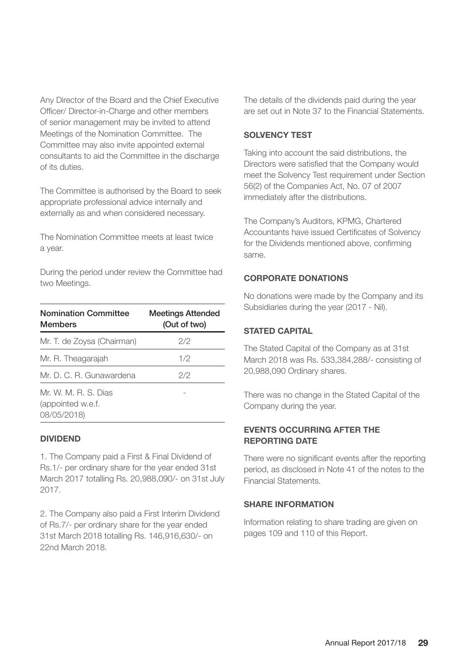Any Director of the Board and the Chief Executive Officer/ Director-in-Charge and other members of senior management may be invited to attend Meetings of the Nomination Committee. The Committee may also invite appointed external consultants to aid the Committee in the discharge of its duties.

The Committee is authorised by the Board to seek appropriate professional advice internally and externally as and when considered necessary.

The Nomination Committee meets at least twice a year.

During the period under review the Committee had two Meetings.

| <b>Nomination Committee</b><br><b>Members</b>             | <b>Meetings Attended</b><br>(Out of two) |
|-----------------------------------------------------------|------------------------------------------|
| Mr. T. de Zoysa (Chairman)                                | 2/2                                      |
| Mr. R. Theagarajah                                        | 1/2                                      |
| Mr. D. C. R. Gunawardena                                  | 2/2                                      |
| Mr. W. M. R. S. Dias<br>(appointed w.e.f.)<br>08/05/2018) |                                          |

## **DIVIDEND**

1. The Company paid a First & Final Dividend of Rs.1/- per ordinary share for the year ended 31st March 2017 totalling Rs. 20,988,090/- on 31st July 2017.

2. The Company also paid a First Interim Dividend of Rs.7/- per ordinary share for the year ended 31st March 2018 totalling Rs. 146,916,630/- on 22nd March 2018.

The details of the dividends paid during the year are set out in Note 37 to the Financial Statements.

## **SOLVENCY TEST**

Taking into account the said distributions, the Directors were satisfied that the Company would meet the Solvency Test requirement under Section 56(2) of the Companies Act, No. 07 of 2007 immediately after the distributions.

The Company's Auditors, KPMG, Chartered Accountants have issued Certificates of Solvency for the Dividends mentioned above, confirming same.

## **CORPORATE DONATIONS**

No donations were made by the Company and its Subsidiaries during the year (2017 - Nil).

## **STATED CAPITAL**

The Stated Capital of the Company as at 31st March 2018 was Rs. 533,384,288/- consisting of 20,988,090 Ordinary shares.

There was no change in the Stated Capital of the Company during the year.

## **EVENTS OCCURRING AFTER THE REPORTING DATE**

There were no significant events after the reporting period, as disclosed in Note 41 of the notes to the Financial Statements.

## **SHARE INFORMATION**

Information relating to share trading are given on pages 109 and 110 of this Report.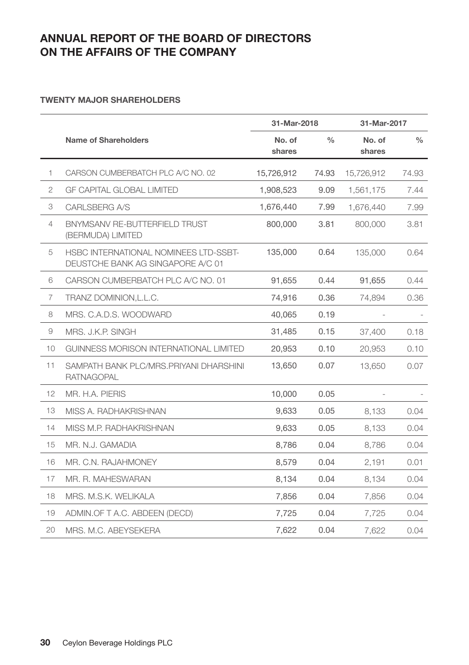## **ANNUAL REPORT OF THE BOARD OF DIRECTORS ON THE AFFAIRS OF THE COMPANY**

## **TWENTY MAJOR SHAREHOLDERS**

|                | 31-Mar-2018                                                                |                  |               | 31-Mar-2017      |               |
|----------------|----------------------------------------------------------------------------|------------------|---------------|------------------|---------------|
|                | Name of Shareholders                                                       | No. of<br>shares | $\frac{0}{0}$ | No. of<br>shares | $\frac{0}{0}$ |
| 1              | CARSON CUMBERBATCH PLC A/C NO. 02                                          | 15,726,912       | 74.93         | 15,726,912       | 74.93         |
| 2              | <b>GF CAPITAL GLOBAL LIMITED</b>                                           | 1,908,523        | 9.09          | 1,561,175        | 7.44          |
| 3              | CARLSBERG A/S                                                              | 1,676,440        | 7.99          | 1,676,440        | 7.99          |
| $\overline{4}$ | BNYMSANV RE-BUTTERFIELD TRUST<br>(BERMUDA) LIMITED                         | 800,000          | 3.81          | 800,000          | 3.81          |
| 5              | HSBC INTERNATIONAL NOMINEES LTD-SSBT-<br>DEUSTCHE BANK AG SINGAPORE A/C 01 | 135,000          | 0.64          | 135,000          | 0.64          |
| 6              | CARSON CUMBERBATCH PLC A/C NO. 01                                          | 91,655           | 0.44          | 91,655           | 0.44          |
| 7              | TRANZ DOMINION, L.L.C.                                                     | 74,916           | 0.36          | 74,894           | 0.36          |
| 8              | MRS. C.A.D.S. WOODWARD                                                     | 40.065           | 0.19          |                  |               |
| 9              | MRS. J.K.P. SINGH                                                          | 31,485           | 0.15          | 37,400           | 0.18          |
| 10             | GUINNESS MORISON INTERNATIONAL LIMITED                                     | 20,953           | 0.10          | 20,953           | 0.10          |
| 11             | SAMPATH BANK PLC/MRS.PRIYANI DHARSHINI<br><b>RATNAGOPAL</b>                | 13,650           | 0.07          | 13,650           | 0.07          |
| 12             | MR. H.A. PIERIS                                                            | 10,000           | 0.05          |                  |               |
| 13             | MISS A. RADHAKRISHNAN                                                      | 9.633            | 0.05          | 8.133            | 0.04          |
| 14             | MISS M.P. RADHAKRISHNAN                                                    | 9,633            | 0.05          | 8,133            | 0.04          |
| 15             | MR. N.J. GAMADIA                                                           | 8,786            | 0.04          | 8,786            | 0.04          |
| 16             | MR. C.N. RAJAHMONEY                                                        | 8,579            | 0.04          | 2,191            | 0.01          |
| 17             | MR. R. MAHESWARAN                                                          | 8,134            | 0.04          | 8,134            | 0.04          |
| 18             | MRS. M.S.K. WELIKALA                                                       | 7,856            | 0.04          | 7.856            | 0.04          |
| 19             | ADMIN.OF T A.C. ABDEEN (DECD)                                              | 7,725            | 0.04          | 7,725            | 0.04          |
| 20             | MRS. M.C. ABEYSEKERA                                                       | 7,622            | 0.04          | 7,622            | 0.04          |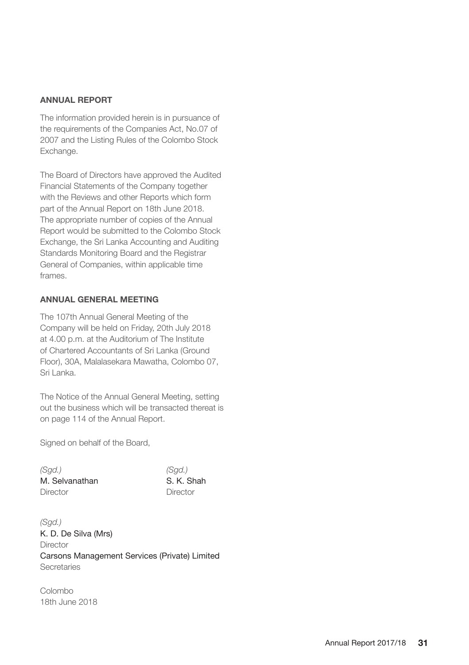## **ANNUAL REPORT**

The information provided herein is in pursuance of the requirements of the Companies Act, No.07 of 2007 and the Listing Rules of the Colombo Stock Exchange.

The Board of Directors have approved the Audited Financial Statements of the Company together with the Reviews and other Reports which form part of the Annual Report on 18th June 2018. The appropriate number of copies of the Annual Report would be submitted to the Colombo Stock Exchange, the Sri Lanka Accounting and Auditing Standards Monitoring Board and the Registrar General of Companies, within applicable time frames.

## **ANNUAL GENERAL MEETING**

The 107th Annual General Meeting of the Company will be held on Friday, 20th July 2018 at 4.00 p.m. at the Auditorium of The Institute of Chartered Accountants of Sri Lanka (Ground Floor), 30A, Malalasekara Mawatha, Colombo 07, Sri Lanka.

The Notice of the Annual General Meeting, setting out the business which will be transacted thereat is on page 114 of the Annual Report.

Signed on behalf of the Board,

*(Sgd.) (Sgd.)* M. Selvanathan S. K. Shah Director Director

*(Sgd.)* K. D. De Silva (Mrs) **Director** Carsons Management Services (Private) Limited Secretaries

Colombo 18th June 2018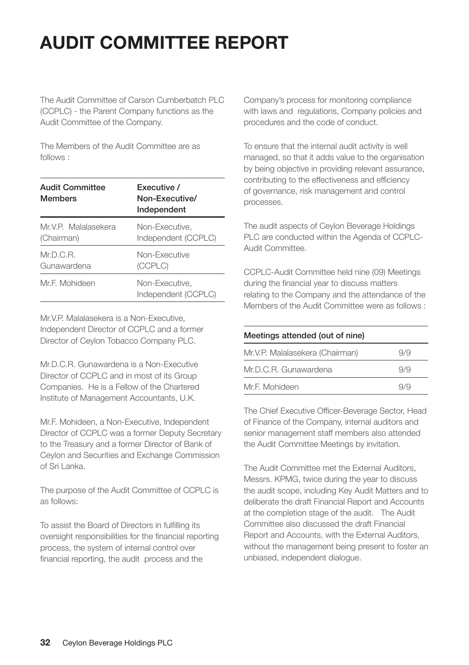# **AUDIT COMMITTEE REPORT**

The Audit Committee of Carson Cumberbatch PLC (CCPLC) - the Parent Company functions as the Audit Committee of the Company.

The Members of the Audit Committee are as follows :

| <b>Audit Committee</b><br><b>Members</b> | <b>Fxecutive /</b><br>Non-Executive/<br>Independent |
|------------------------------------------|-----------------------------------------------------|
| Mr.V.P. Malalasekera                     | Non-Executive.                                      |
| (Chairman)                               | Independent (CCPLC)                                 |
| Mr.D.C.R.                                | Non-Executive                                       |
| Gunawardena                              | (CCPLC)                                             |
| Mr.F. Mohideen                           | Non-Executive.<br>Independent (CCPLC)               |

Mr.V.P. Malalasekera is a Non-Executive, Independent Director of CCPLC and a former Director of Ceylon Tobacco Company PLC.

Mr.D.C.R. Gunawardena is a Non-Executive Director of CCPLC and in most of its Group Companies. He is a Fellow of the Chartered Institute of Management Accountants, U.K.

Mr.F. Mohideen, a Non-Executive, Independent Director of CCPLC was a former Deputy Secretary to the Treasury and a former Director of Bank of Ceylon and Securities and Exchange Commission of Sri Lanka.

The purpose of the Audit Committee of CCPLC is as follows:

To assist the Board of Directors in fulfilling its oversight responsibilities for the financial reporting process, the system of internal control over financial reporting, the audit process and the

Company's process for monitoring compliance with laws and regulations, Company policies and procedures and the code of conduct.

To ensure that the internal audit activity is well managed, so that it adds value to the organisation by being objective in providing relevant assurance, contributing to the effectiveness and efficiency of governance, risk management and control processes.

The audit aspects of Ceylon Beverage Holdings PLC are conducted within the Agenda of CCPLC-Audit Committee.

CCPLC-Audit Committee held nine (09) Meetings during the financial year to discuss matters relating to the Company and the attendance of the Members of the Audit Committee were as follows :

| Meetings attended (out of nine) |     |  |  |  |
|---------------------------------|-----|--|--|--|
| Mr.V.P. Malalasekera (Chairman) | 9/9 |  |  |  |
| Mr.D.C.R. Gunawardena           | Q/Q |  |  |  |
| Mr.F. Mohideen                  | Q/Q |  |  |  |

The Chief Executive Officer-Beverage Sector, Head of Finance of the Company, internal auditors and senior management staff members also attended the Audit Committee Meetings by invitation.

The Audit Committee met the External Auditors, Messrs. KPMG, twice during the year to discuss the audit scope, including Key Audit Matters and to deliberate the draft Financial Report and Accounts at the completion stage of the audit. The Audit Committee also discussed the draft Financial Report and Accounts, with the External Auditors, without the management being present to foster an unbiased, independent dialogue.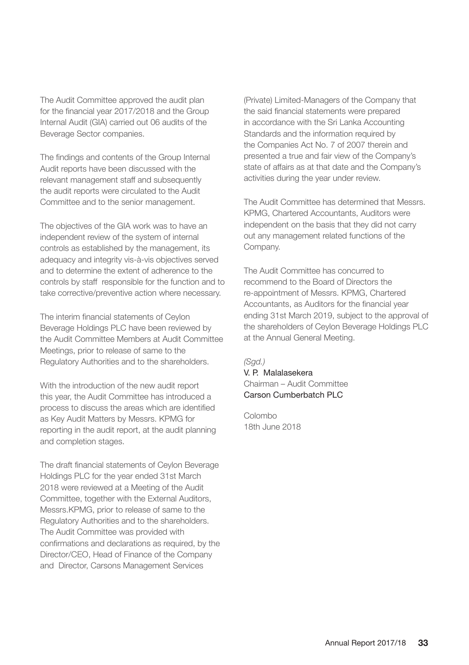The Audit Committee approved the audit plan for the financial year 2017/2018 and the Group Internal Audit (GIA) carried out 06 audits of the Beverage Sector companies.

The findings and contents of the Group Internal Audit reports have been discussed with the relevant management staff and subsequently the audit reports were circulated to the Audit Committee and to the senior management.

The objectives of the GIA work was to have an independent review of the system of internal controls as established by the management, its adequacy and integrity vis-à-vis objectives served and to determine the extent of adherence to the controls by staff responsible for the function and to take corrective/preventive action where necessary.

The interim financial statements of Ceylon Beverage Holdings PLC have been reviewed by the Audit Committee Members at Audit Committee Meetings, prior to release of same to the Regulatory Authorities and to the shareholders.

With the introduction of the new audit report this year, the Audit Committee has introduced a process to discuss the areas which are identified as Key Audit Matters by Messrs. KPMG for reporting in the audit report, at the audit planning and completion stages.

The draft financial statements of Ceylon Beverage Holdings PLC for the year ended 31st March 2018 were reviewed at a Meeting of the Audit Committee, together with the External Auditors, Messrs.KPMG, prior to release of same to the Regulatory Authorities and to the shareholders. The Audit Committee was provided with confirmations and declarations as required, by the Director/CEO, Head of Finance of the Company and Director, Carsons Management Services

(Private) Limited-Managers of the Company that the said financial statements were prepared in accordance with the Sri Lanka Accounting Standards and the information required by the Companies Act No. 7 of 2007 therein and presented a true and fair view of the Company's state of affairs as at that date and the Company's activities during the year under review.

The Audit Committee has determined that Messrs. KPMG, Chartered Accountants, Auditors were independent on the basis that they did not carry out any management related functions of the Company.

The Audit Committee has concurred to recommend to the Board of Directors the re-appointment of Messrs. KPMG, Chartered Accountants, as Auditors for the financial year ending 31st March 2019, subject to the approval of the shareholders of Ceylon Beverage Holdings PLC at the Annual General Meeting.

## *(Sgd.)* V. P. Malalasekera Chairman – Audit Committee Carson Cumberbatch PLC

Colombo 18th June 2018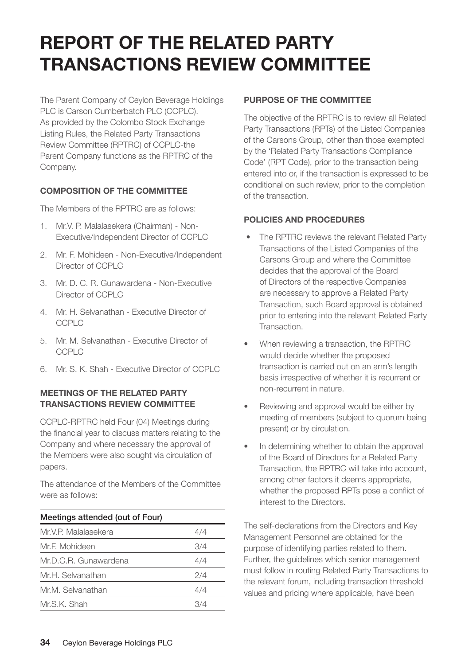# **REPORT OF THE RELATED PARTY TRANSACTIONS REVIEW COMMITTEE**

The Parent Company of Ceylon Beverage Holdings PLC is Carson Cumberbatch PLC (CCPLC). As provided by the Colombo Stock Exchange Listing Rules, the Related Party Transactions Review Committee (RPTRC) of CCPLC-the Parent Company functions as the RPTRC of the Company.

## **COMPOSITION OF THE COMMITTEE**

The Members of the RPTRC are as follows:

- 1. Mr.V. P. Malalasekera (Chairman) Non-Executive/Independent Director of CCPLC
- 2. Mr. F. Mohideen Non-Executive/Independent Director of CCPLC
- 3. Mr. D. C. R. Gunawardena Non-Executive Director of CCPLC
- 4. Mr. H. Selvanathan Executive Director of CCPLC
- 5. Mr. M. Selvanathan Executive Director of CCPLC
- 6. Mr. S. K. Shah Executive Director of CCPLC

## **MEETINGS OF THE RELATED PARTY TRANSACTIONS REVIEW COMMITTEE**

CCPLC-RPTRC held Four (04) Meetings during the financial year to discuss matters relating to the Company and where necessary the approval of the Members were also sought via circulation of papers.

The attendance of the Members of the Committee were as follows:

| Meetings attended (out of Four) |     |  |  |
|---------------------------------|-----|--|--|
| Mr.V.P. Malalasekera            | 4/4 |  |  |
| Mr.F. Mohideen                  | 3/4 |  |  |
| Mr.D.C.R. Gunawardena           | 4/4 |  |  |
| Mr.H. Selvanathan               | 2/4 |  |  |
| Mr.M. Selvanathan               | 4/4 |  |  |
| Mr.S.K. Shah                    | 374 |  |  |

## **PURPOSE OF THE COMMITTEE**

The objective of the RPTRC is to review all Related Party Transactions (RPTs) of the Listed Companies of the Carsons Group, other than those exempted by the 'Related Party Transactions Compliance Code' (RPT Code), prior to the transaction being entered into or, if the transaction is expressed to be conditional on such review, prior to the completion of the transaction.

## **POLICIES AND PROCEDURES**

- The RPTRC reviews the relevant Related Party Transactions of the Listed Companies of the Carsons Group and where the Committee decides that the approval of the Board of Directors of the respective Companies are necessary to approve a Related Party Transaction, such Board approval is obtained prior to entering into the relevant Related Party Transaction.
- When reviewing a transaction, the RPTRC would decide whether the proposed transaction is carried out on an arm's length basis irrespective of whether it is recurrent or non-recurrent in nature.
- Reviewing and approval would be either by meeting of members (subject to quorum being present) or by circulation.
- In determining whether to obtain the approval of the Board of Directors for a Related Party Transaction, the RPTRC will take into account, among other factors it deems appropriate, whether the proposed RPTs pose a conflict of interest to the Directors.

The self-declarations from the Directors and Key Management Personnel are obtained for the purpose of identifying parties related to them. Further, the guidelines which senior management must follow in routing Related Party Transactions to the relevant forum, including transaction threshold values and pricing where applicable, have been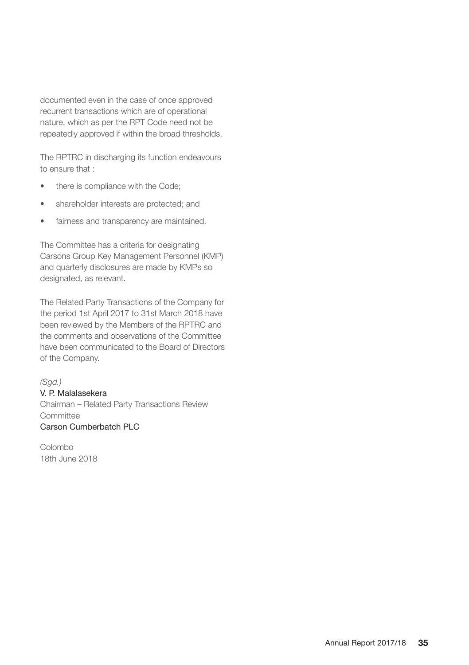documented even in the case of once approved recurrent transactions which are of operational nature, which as per the RPT Code need not be repeatedly approved if within the broad thresholds.

The RPTRC in discharging its function endeavours to ensure that :

- there is compliance with the Code;
- shareholder interests are protected; and
- fairness and transparency are maintained.

The Committee has a criteria for designating Carsons Group Key Management Personnel (KMP) and quarterly disclosures are made by KMPs so designated, as relevant.

The Related Party Transactions of the Company for the period 1st April 2017 to 31st March 2018 have been reviewed by the Members of the RPTRC and the comments and observations of the Committee have been communicated to the Board of Directors of the Company.

#### *(Sgd.)*

V. P. Malalasekera Chairman – Related Party Transactions Review Committee

Carson Cumberbatch PLC

Colombo 18th June 2018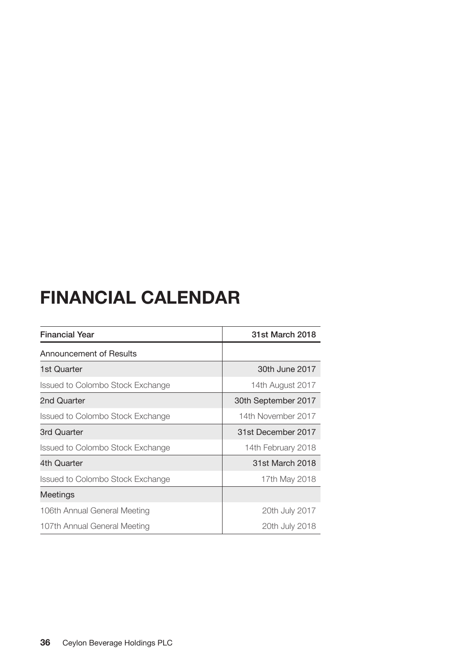# **FINANCIAL CALENDAR**

| <b>Financial Year</b>            | 31st March 2018     |
|----------------------------------|---------------------|
| Announcement of Results          |                     |
| 1st Quarter                      | 30th June 2017      |
| Issued to Colombo Stock Exchange | 14th August 2017    |
| 2nd Quarter                      | 30th September 2017 |
| Issued to Colombo Stock Exchange | 14th November 2017  |
| 3rd Quarter                      | 31st December 2017  |
| Issued to Colombo Stock Exchange | 14th February 2018  |
| 4th Quarter                      | 31st March 2018     |
| Issued to Colombo Stock Exchange | 17th May 2018       |
| Meetings                         |                     |
| 106th Annual General Meeting     | 20th July 2017      |
| 107th Annual General Meeting     | 20th July 2018      |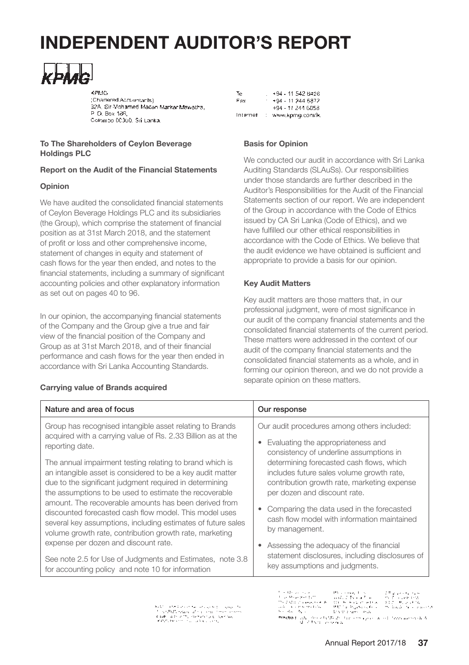# **INDEPENDENT AUDITOR'S REPORT**



**KPMG** :Chartered Accountants) samaning senaat ini najiran Markar Mawatha. P.O. Box 186 Colombo 00300. Sri Lanka

#### **To The Shareholders of Ceylon Beverage Holdings PLC**

#### **Report on the Audit of the Financial Statements**

#### **Opinion**

We have audited the consolidated financial statements of Ceylon Beverage Holdings PLC and its subsidiaries (the Group), which comprise the statement of financial position as at 31st March 2018, and the statement of profit or loss and other comprehensive income, statement of changes in equity and statement of cash flows for the year then ended, and notes to the financial statements, including a summary of significant accounting policies and other explanatory information as set out on pages 40 to 96.

In our opinion, the accompanying financial statements of the Company and the Group give a true and fair view of the financial position of the Company and Group as at 31st March 2018, and of their financial performance and cash flows for the year then ended in accordance with Sri Lanka Accounting Standards.

#### **Carrying value of Brands acquired**

| Тc       |   | 494 - 11 542 6426 |
|----------|---|-------------------|
| Fax      |   | +94 - 11 244 5872 |
|          |   | +94 - 11 244 6058 |
| Internet | ÷ | www.kpmg.com/lk   |

#### **Basis for Opinion**

We conducted our audit in accordance with Sri Lanka Auditing Standards (SLAuSs). Our responsibilities under those standards are further described in the Auditor's Responsibilities for the Audit of the Financial Statements section of our report. We are independent of the Group in accordance with the Code of Ethics issued by CA Sri Lanka (Code of Ethics), and we have fulfilled our other ethical responsibilities in accordance with the Code of Ethics. We believe that the audit evidence we have obtained is sufficient and appropriate to provide a basis for our opinion.

#### **Key Audit Matters**

Key audit matters are those matters that, in our professional judgment, were of most significance in our audit of the company financial statements and the consolidated financial statements of the current period. These matters were addressed in the context of our audit of the company financial statements and the consolidated financial statements as a whole, and in forming our opinion thereon, and we do not provide a separate opinion on these matters.

| Nature and area of focus                                                                                                                                                                                                                                                                                                                                                                                                                                                                                                                                                                                                                                                         | Our response                                                                                                                                                                                                                                                                                                                                                                                                                                                      |
|----------------------------------------------------------------------------------------------------------------------------------------------------------------------------------------------------------------------------------------------------------------------------------------------------------------------------------------------------------------------------------------------------------------------------------------------------------------------------------------------------------------------------------------------------------------------------------------------------------------------------------------------------------------------------------|-------------------------------------------------------------------------------------------------------------------------------------------------------------------------------------------------------------------------------------------------------------------------------------------------------------------------------------------------------------------------------------------------------------------------------------------------------------------|
| Group has recognised intangible asset relating to Brands<br>acquired with a carrying value of Rs. 2.33 Billion as at the<br>reporting date.<br>The annual impairment testing relating to brand which is<br>an intangible asset is considered to be a key audit matter<br>due to the significant judgment required in determining<br>the assumptions to be used to estimate the recoverable<br>amount. The recoverable amounts has been derived from<br>discounted forecasted cash flow model. This model uses<br>several key assumptions, including estimates of future sales<br>volume growth rate, contribution growth rate, marketing<br>expense per dozen and discount rate. | Our audit procedures among others included:<br>• Evaluating the appropriateness and<br>consistency of underline assumptions in<br>determining forecasted cash flows, which<br>includes future sales volume growth rate,<br>contribution growth rate, marketing expense<br>per dozen and discount rate.<br>Comparing the data used in the forecasted<br>cash flow model with information maintained<br>by management.<br>• Assessing the adequacy of the financial |
| See note 2.5 for Use of Judgments and Estimates, note 3.8<br>for accounting policy and note 10 for information                                                                                                                                                                                                                                                                                                                                                                                                                                                                                                                                                                   | statement disclosures, including disclosures of<br>key assumptions and judgments.                                                                                                                                                                                                                                                                                                                                                                                 |

 $\begin{aligned} &\text{N}(A_{\mu}^{\alpha})=1.58(4)\text{cm}^{-1}\text{cm}^{-1}\text{cm}^{-1}\text{cm}^{-1}\text{cm}^{-1}\text{cm}^{-1}\text{cm}^{-1}\text{cm}^{-1}\text{cm}^{-1}\text{cm}^{-1}\text{cm}^{-1}\text{cm}^{-1}\text{cm}^{-1}\text{cm}^{-1}\text{cm}^{-1}\text{cm}^{-1}\text{cm}^{-1}\text{cm}^{-1}\text{cm}^{-1}\text{cm}^{-1}\text{cm}^{-1}\text{cm}^{-1}\text{cm}^{-1}\text{cm}^{-1}\text{cm}^{-1}\text{cm}^{-1}\text{cm}^{-1}\text{cm$ 

 $\text{Princlings}$  . The other set of the literature of a process  $k>0$  , there was second as  $\{0,1,2,3,5,6,6,6,8\}$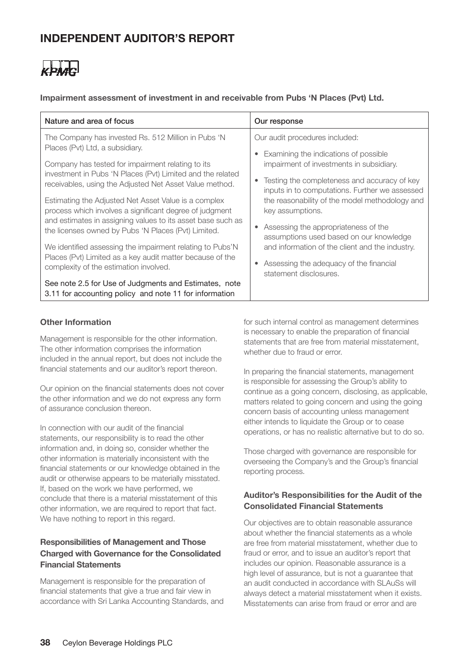# **INDEPENDENT AUDITOR'S REPORT**

KPARE

**Impairment assessment of investment in and receivable from Pubs 'N Places (Pvt) Ltd.**

| Nature and area of focus                                                                                                                                                                                                                                                                                                                                                                                                                                                                                                                                                                                                                                                                                                                                                                             | Our response                                                                                                                                                                                                                                                                                                                                                                                                                                                                                                          |
|------------------------------------------------------------------------------------------------------------------------------------------------------------------------------------------------------------------------------------------------------------------------------------------------------------------------------------------------------------------------------------------------------------------------------------------------------------------------------------------------------------------------------------------------------------------------------------------------------------------------------------------------------------------------------------------------------------------------------------------------------------------------------------------------------|-----------------------------------------------------------------------------------------------------------------------------------------------------------------------------------------------------------------------------------------------------------------------------------------------------------------------------------------------------------------------------------------------------------------------------------------------------------------------------------------------------------------------|
| The Company has invested Rs. 512 Million in Pubs 'N<br>Places (Pvt) Ltd, a subsidiary.<br>Company has tested for impairment relating to its<br>investment in Pubs 'N Places (Pvt) Limited and the related<br>receivables, using the Adjusted Net Asset Value method.<br>Estimating the Adjusted Net Asset Value is a complex<br>process which involves a significant degree of judgment<br>and estimates in assigning values to its asset base such as<br>the licenses owned by Pubs 'N Places (Pvt) Limited.<br>We identified assessing the impairment relating to Pubs'N<br>Places (Pvt) Limited as a key audit matter because of the<br>complexity of the estimation involved.<br>See note 2.5 for Use of Judgments and Estimates, note<br>3.11 for accounting policy and note 11 for information | Our audit procedures included:<br>Examining the indications of possible<br>۰<br>impairment of investments in subsidiary.<br>Testing the completeness and accuracy of key<br>٠<br>inputs in to computations. Further we assessed<br>the reasonability of the model methodology and<br>key assumptions.<br>Assessing the appropriateness of the<br>٠<br>assumptions used based on our knowledge<br>and information of the client and the industry.<br>Assessing the adequacy of the financial<br>statement disclosures. |

#### **Other Information**

Management is responsible for the other information. The other information comprises the information included in the annual report, but does not include the financial statements and our auditor's report thereon.

Our opinion on the financial statements does not cover the other information and we do not express any form of assurance conclusion thereon.

In connection with our audit of the financial statements, our responsibility is to read the other information and, in doing so, consider whether the other information is materially inconsistent with the financial statements or our knowledge obtained in the audit or otherwise appears to be materially misstated. If, based on the work we have performed, we conclude that there is a material misstatement of this other information, we are required to report that fact. We have nothing to report in this regard.

#### **Responsibilities of Management and Those Charged with Governance for the Consolidated Financial Statements**

Management is responsible for the preparation of financial statements that give a true and fair view in accordance with Sri Lanka Accounting Standards, and for such internal control as management determines is necessary to enable the preparation of financial statements that are free from material misstatement, whether due to fraud or error.

In preparing the financial statements, management is responsible for assessing the Group's ability to continue as a going concern, disclosing, as applicable, matters related to going concern and using the going concern basis of accounting unless management either intends to liquidate the Group or to cease operations, or has no realistic alternative but to do so.

Those charged with governance are responsible for overseeing the Company's and the Group's financial reporting process.

#### **Auditor's Responsibilities for the Audit of the Consolidated Financial Statements**

Our objectives are to obtain reasonable assurance about whether the financial statements as a whole are free from material misstatement, whether due to fraud or error, and to issue an auditor's report that includes our opinion. Reasonable assurance is a high level of assurance, but is not a guarantee that an audit conducted in accordance with SLAuSs will always detect a material misstatement when it exists. Misstatements can arise from fraud or error and are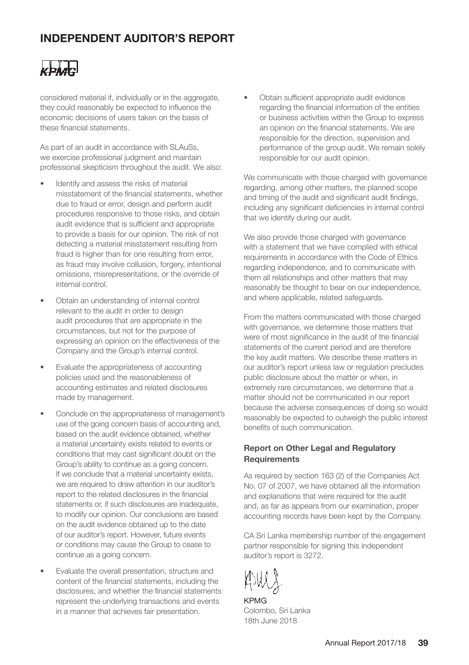# **INDEPENDENT AUDITOR'S REPORT**



considered material if, individually or in the aggregate, they could reasonably be expected to influence the economic decisions of users taken on the basis of these financial statements.

As part of an audit in accordance with SLAuSs, we exercise professional judgment and maintain professional skepticism throughout the audit. We also:

- Identify and assess the risks of material misstatement of the financial statements, whether due to fraud or error, design and perform audit procedures responsive to those risks, and obtain audit evidence that is sufficient and appropriate to provide a basis for our opinion. The risk of not detecting a material misstatement resulting from fraud is higher than for one resulting from error, as fraud may involve collusion, forgery, intentional omissions, misrepresentations, or the override of internal control.
- Obtain an understanding of internal control relevant to the audit in order to design audit procedures that are appropriate in the circumstances, but not for the purpose of expressing an opinion on the effectiveness of the Company and the Group's internal control.
- Evaluate the appropriateness of accounting policies used and the reasonableness of accounting estimates and related disclosures made by management.
- Conclude on the appropriateness of management's use of the going concern basis of accounting and, based on the audit evidence obtained, whether a material uncertainty exists related to events or conditions that may cast significant doubt on the Group's ability to continue as a going concern. If we conclude that a material uncertainty exists, we are required to draw attention in our auditor's report to the related disclosures in the financial statements or, if such disclosures are inadequate, to modify our opinion. Our conclusions are based on the audit evidence obtained up to the date of our auditor's report. However, future events or conditions may cause the Group to cease to continue as a going concern.
- Evaluate the overall presentation, structure and content of the financial statements, including the disclosures, and whether the financial statements represent the underlying transactions and events in a manner that achieves fair presentation.

• Obtain sufficient appropriate audit evidence regarding the financial information of the entities or business activities within the Group to express an opinion on the financial statements. We are responsible for the direction, supervision and performance of the group audit. We remain solely responsible for our audit opinion.

We communicate with those charged with governance regarding, among other matters, the planned scope and timing of the audit and significant audit findings, including any significant deficiencies in internal control that we identify during our audit.

We also provide those charged with governance with a statement that we have complied with ethical requirements in accordance with the Code of Ethics regarding independence, and to communicate with them all relationships and other matters that may reasonably be thought to bear on our independence, and where applicable, related safeguards.

From the matters communicated with those charged with governance, we determine those matters that were of most significance in the audit of the financial statements of the current period and are therefore the key audit matters. We describe these matters in our auditor's report unless law or regulation precludes public disclosure about the matter or when, in extremely rare circumstances, we determine that a matter should not be communicated in our report because the adverse consequences of doing so would reasonably be expected to outweigh the public interest benefits of such communication.

#### **Report on Other Legal and Regulatory Requirements**

As required by section 163 (2) of the Companies Act No. 07 of 2007, we have obtained all the information and explanations that were required for the audit and, as far as appears from our examination, proper accounting records have been kept by the Company.

CA Sri Lanka membership number of the engagement partner responsible for signing this independent auditor's report is 3272.

KPMG Colombo, Sri Lanka 18th June 2018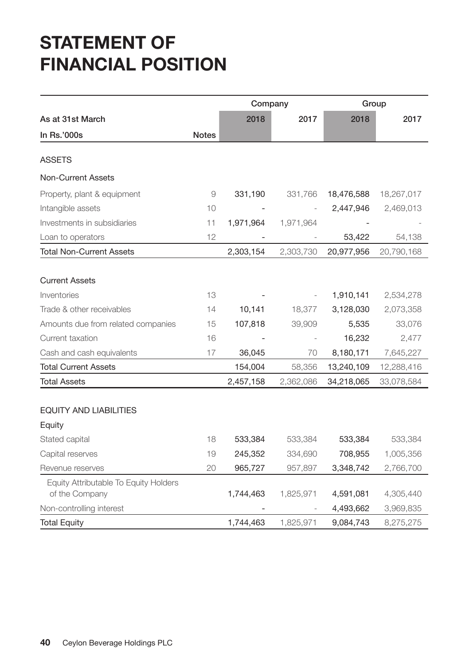# **STATEMENT OF FINANCIAL POSITION**

|                                                         |              | Company   |           | Group      |            |
|---------------------------------------------------------|--------------|-----------|-----------|------------|------------|
| As at 31st March                                        |              | 2018      | 2017      | 2018       | 2017       |
| In Rs.'000s                                             | <b>Notes</b> |           |           |            |            |
| <b>ASSETS</b>                                           |              |           |           |            |            |
| <b>Non-Current Assets</b>                               |              |           |           |            |            |
| Property, plant & equipment                             | 9            | 331,190   | 331,766   | 18,476,588 | 18,267,017 |
| Intangible assets                                       | 10           |           |           | 2,447,946  | 2,469,013  |
| Investments in subsidiaries                             | 11           | 1,971,964 | 1,971,964 |            |            |
| Loan to operators                                       | 12           |           |           | 53,422     | 54,138     |
| <b>Total Non-Current Assets</b>                         |              | 2,303,154 | 2,303,730 | 20,977,956 | 20,790,168 |
|                                                         |              |           |           |            |            |
| <b>Current Assets</b>                                   |              |           |           |            |            |
| Inventories                                             | 13           |           |           | 1,910,141  | 2,534,278  |
| Trade & other receivables                               | 14           | 10,141    | 18,377    | 3,128,030  | 2,073,358  |
| Amounts due from related companies                      | 15           | 107,818   | 39,909    | 5,535      | 33,076     |
| Current taxation                                        | 16           |           |           | 16,232     | 2,477      |
| Cash and cash equivalents                               | 17           | 36,045    | 70        | 8,180,171  | 7,645,227  |
| <b>Total Current Assets</b>                             |              | 154,004   | 58,356    | 13,240,109 | 12,288,416 |
| <b>Total Assets</b>                                     |              | 2,457,158 | 2,362,086 | 34,218,065 | 33,078,584 |
| <b>EQUITY AND LIABILITIES</b>                           |              |           |           |            |            |
| Equity                                                  |              |           |           |            |            |
| Stated capital                                          | 18           | 533,384   | 533,384   | 533,384    | 533,384    |
| Capital reserves                                        | 19           | 245,352   | 334,690   | 708,955    | 1,005,356  |
| Revenue reserves                                        | 20           | 965,727   | 957,897   | 3,348,742  | 2,766,700  |
| Equity Attributable To Equity Holders<br>of the Company |              | 1,744,463 | 1,825,971 | 4,591,081  | 4,305,440  |
| Non-controlling interest                                |              |           |           | 4,493,662  | 3,969,835  |
| <b>Total Equity</b>                                     |              | 1,744,463 | 1,825,971 | 9,084,743  | 8,275,275  |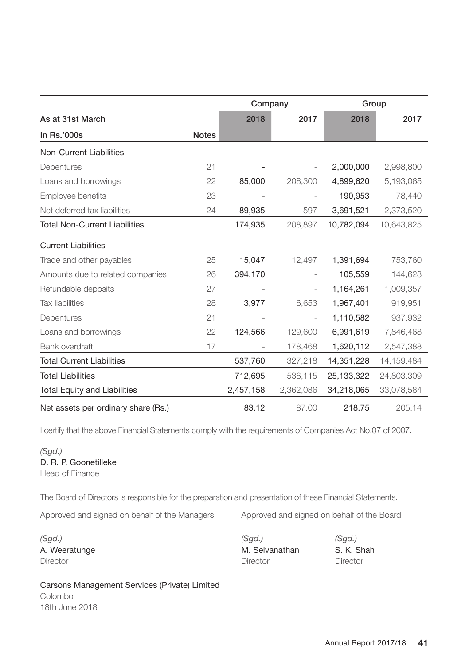|                                      |              | Company                  |                          |            | Group      |
|--------------------------------------|--------------|--------------------------|--------------------------|------------|------------|
| As at 31st March                     |              | 2018                     | 2017                     | 2018       | 2017       |
| In Rs.'000s                          | <b>Notes</b> |                          |                          |            |            |
| Non-Current Liabilities              |              |                          |                          |            |            |
| Debentures                           | 21           |                          |                          | 2,000,000  | 2,998,800  |
| Loans and borrowings                 | 22           | 85,000                   | 208,300                  | 4,899,620  | 5,193,065  |
| Employee benefits                    | 23           |                          |                          | 190,953    | 78,440     |
| Net deferred tax liabilities         | 24           | 89,935                   | 597                      | 3,691,521  | 2,373,520  |
| <b>Total Non-Current Liabilities</b> |              | 174,935                  | 208,897                  | 10,782,094 | 10,643,825 |
| <b>Current Liabilities</b>           |              |                          |                          |            |            |
| Trade and other payables             | 25           | 15,047                   | 12.497                   | 1,391,694  | 753,760    |
| Amounts due to related companies     | 26           | 394,170                  |                          | 105,559    | 144,628    |
| Refundable deposits                  | 27           |                          |                          | 1.164.261  | 1,009,357  |
| <b>Tax liabilities</b>               | 28           | 3,977                    | 6,653                    | 1,967,401  | 919,951    |
| Debentures                           | 21           |                          | $\overline{\phantom{a}}$ | 1,110,582  | 937,932    |
| Loans and borrowings                 | 22           | 124,566                  | 129,600                  | 6,991,619  | 7,846,468  |
| Bank overdraft                       | 17           | $\overline{\phantom{a}}$ | 178,468                  | 1,620,112  | 2,547,388  |
| <b>Total Current Liabilities</b>     |              | 537,760                  | 327,218                  | 14,351,228 | 14,159,484 |
| <b>Total Liabilities</b>             |              | 712,695                  | 536,115                  | 25,133,322 | 24,803,309 |
| <b>Total Equity and Liabilities</b>  |              | 2,457,158                | 2,362,086                | 34,218,065 | 33,078,584 |
| Net assets per ordinary share (Rs.)  |              | 83.12                    | 87.00                    | 218.75     | 205.14     |

I certify that the above Financial Statements comply with the requirements of Companies Act No.07 of 2007.

#### *(Sgd.)* D. R. P. Goonetilleke

Head of Finance

The Board of Directors is responsible for the preparation and presentation of these Financial Statements.

Approved and signed on behalf of the Managers Approved and signed on behalf of the Board

Director Director Director

*(Sgd.) (Sgd.) (Sgd.)*  A. Weeratunge **M. Selvanathan** S. K. Shah

Carsons Management Services (Private) Limited Colombo 18th June 2018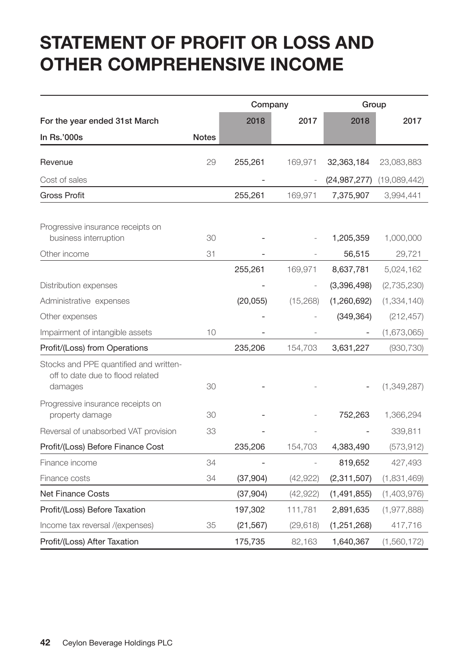# **STATEMENT OF PROFIT OR LOSS AND OTHER COMPREHENSIVE INCOME**

|                                                                                       |              | Company   |           | Group          |               |
|---------------------------------------------------------------------------------------|--------------|-----------|-----------|----------------|---------------|
| For the year ended 31st March                                                         |              | 2018      | 2017      | 2018           | 2017          |
| In Rs.'000s                                                                           | <b>Notes</b> |           |           |                |               |
| Revenue                                                                               | 29           | 255,261   | 169,971   | 32,363,184     | 23,083,883    |
| Cost of sales                                                                         |              |           |           | (24, 987, 277) | (19,089,442)  |
| <b>Gross Profit</b>                                                                   |              | 255,261   | 169,971   | 7,375,907      | 3,994,441     |
| Progressive insurance receipts on<br>business interruption                            | 30           |           |           | 1,205,359      | 1,000,000     |
| Other income                                                                          | 31           |           |           | 56,515         | 29,721        |
|                                                                                       |              | 255,261   | 169,971   | 8,637,781      | 5,024,162     |
| Distribution expenses                                                                 |              |           |           | (3,396,498)    | (2,735,230)   |
| Administrative expenses                                                               |              | (20, 055) | (15,268)  | (1,260,692)    | (1, 334, 140) |
| Other expenses                                                                        |              |           |           | (349, 364)     | (212, 457)    |
| Impairment of intangible assets                                                       | 10           |           |           |                | (1,673,065)   |
| Profit/(Loss) from Operations                                                         |              | 235,206   | 154,703   | 3,631,227      | (930, 730)    |
| Stocks and PPE quantified and written-<br>off to date due to flood related<br>damages | 30           |           |           |                | (1,349,287)   |
| Progressive insurance receipts on<br>property damage                                  | 30           |           |           | 752,263        | 1,366,294     |
| Reversal of unabsorbed VAT provision                                                  | 33           |           |           |                | 339,811       |
| Profit/(Loss) Before Finance Cost                                                     |              | 235,206   | 154,703   | 4,383,490      | (573, 912)    |
| Finance income                                                                        | 34           |           |           | 819,652        | 427,493       |
| Finance costs                                                                         | 34           | (37, 904) | (42, 922) | (2,311,507)    | (1,831,469)   |
| <b>Net Finance Costs</b>                                                              |              | (37, 904) | (42, 922) | (1,491,855)    | (1,403,976)   |
| Profit/(Loss) Before Taxation                                                         |              | 197,302   | 111,781   | 2,891,635      | (1, 977, 888) |
| Income tax reversal /(expenses)                                                       | 35           | (21, 567) | (29, 618) | (1,251,268)    | 417,716       |
| Profit/(Loss) After Taxation                                                          |              | 175,735   | 82,163    | 1,640,367      | (1,560,172)   |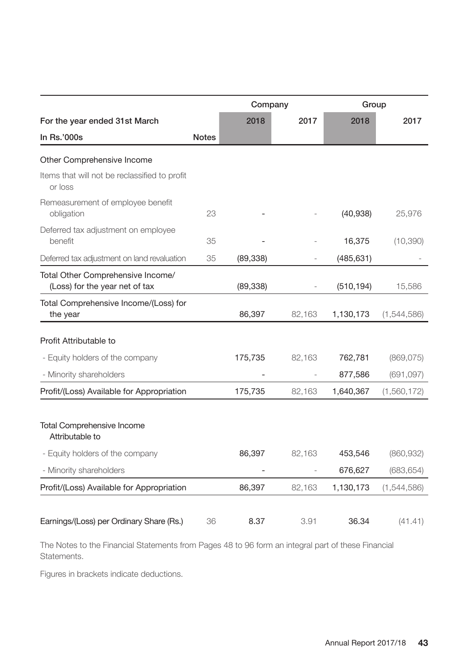|                                                                     |              | Company   |        | Group      |             |
|---------------------------------------------------------------------|--------------|-----------|--------|------------|-------------|
| For the year ended 31st March                                       |              | 2018      | 2017   | 2018       | 2017        |
| In Rs.'000s                                                         | <b>Notes</b> |           |        |            |             |
| Other Comprehensive Income                                          |              |           |        |            |             |
| Items that will not be reclassified to profit<br>or loss            |              |           |        |            |             |
| Remeasurement of employee benefit<br>obligation                     | 23           |           |        | (40, 938)  | 25,976      |
| Deferred tax adjustment on employee<br>benefit                      | 35           |           |        | 16,375     | (10, 390)   |
| Deferred tax adjustment on land revaluation                         | 35           | (89, 338) |        | (485, 631) |             |
| Total Other Comprehensive Income/<br>(Loss) for the year net of tax |              | (89, 338) |        | (510, 194) | 15,586      |
| Total Comprehensive Income/(Loss) for<br>the year                   |              | 86,397    | 82,163 | 1,130,173  | (1,544,586) |
| Profit Attributable to                                              |              |           |        |            |             |
| - Equity holders of the company                                     |              | 175,735   | 82,163 | 762,781    | (869,075)   |
| - Minority shareholders                                             |              |           |        | 877,586    | (691,097)   |
| Profit/(Loss) Available for Appropriation                           |              | 175,735   | 82,163 | 1,640,367  | (1,560,172) |
|                                                                     |              |           |        |            |             |
| Total Comprehensive Income<br>Attributable to                       |              |           |        |            |             |
| - Equity holders of the company                                     |              | 86,397    | 82,163 | 453,546    | (860, 932)  |
| - Minority shareholders                                             |              |           |        | 676,627    | (683, 654)  |
| Profit/(Loss) Available for Appropriation                           |              | 86,397    | 82,163 | 1,130,173  | (1,544,586) |
|                                                                     |              |           |        |            |             |
| Earnings/(Loss) per Ordinary Share (Rs.)                            | 36           | 8.37      | 3.91   | 36.34      | (41.41)     |

The Notes to the Financial Statements from Pages 48 to 96 form an integral part of these Financial Statements.

Figures in brackets indicate deductions.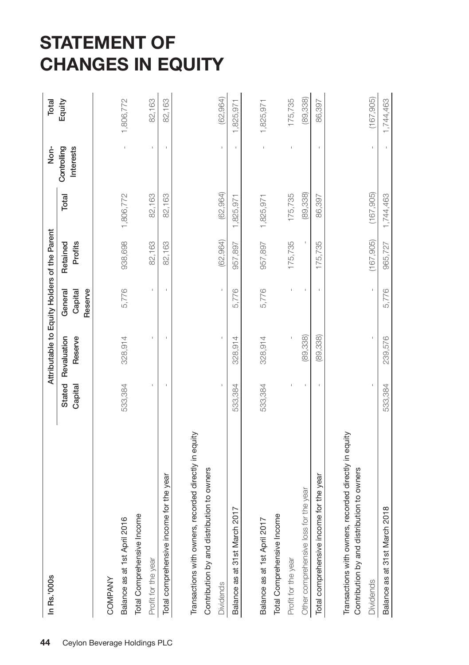# **STATEMENT OF CHANGES IN EQUITY**

| In Rs.'000s                                                                                         |         | Attributable to Equity Holders of the Parent |                    |                     |            | Non-                     | Total      |
|-----------------------------------------------------------------------------------------------------|---------|----------------------------------------------|--------------------|---------------------|------------|--------------------------|------------|
|                                                                                                     | Capital | Reserve<br>Stated Revaluation                | General<br>Capital | Retained<br>Profits | Total      | Interests<br>Controlling | Equity     |
|                                                                                                     |         |                                              | Reserve            |                     |            |                          |            |
| COMPANY                                                                                             |         |                                              |                    |                     |            |                          |            |
| Balance as at 1st April 2016                                                                        | 533,384 | 328,914                                      | 5,776              | 938,698             | 1,806,772  |                          | 1,806,772  |
| Total Comprehensive Income                                                                          |         |                                              |                    |                     |            |                          |            |
| Profit for the year                                                                                 |         |                                              |                    | 82,163              | 82,163     |                          | 82,163     |
| Total comprehensive income for the year                                                             |         | ï                                            |                    | 82,163              | 82,163     |                          | 82,163     |
| Transactions with owners, recorded directly in equity                                               |         |                                              |                    |                     |            |                          |            |
| Contribution by and distribution to owners                                                          |         |                                              |                    |                     |            |                          |            |
| <b>Dividends</b>                                                                                    |         |                                              | ï                  | (62, 964)           | (62, 964)  |                          | (62, 964)  |
| Balance as at 31st March 2017                                                                       | 533,384 | 328.914                                      | 5,776              | 957.897             | .825,97    |                          | ,825,971   |
| Balance as at 1st April 2017                                                                        | 533,384 | 328,914                                      | 5,776              | 957,897             | 1,825,971  |                          | 1,825,971  |
| Total Comprehensive Income                                                                          |         |                                              |                    |                     |            |                          |            |
| Profit for the year                                                                                 |         |                                              | ï                  | 175,735             | 175,735    |                          | 175,735    |
| Other comprehensive loss for the year                                                               |         | (89, 338)                                    |                    |                     | (89, 338)  |                          | (89, 338)  |
| Total comprehensive income for the year                                                             |         | (89, 338)                                    |                    | 175,735             | 86,397     |                          | 86,397     |
| Transactions with owners, recorded directly in equity<br>Contribution by and distribution to owners |         |                                              |                    |                     |            |                          |            |
| <b>Dividends</b>                                                                                    |         |                                              |                    | (167, 905)          | (167, 905) |                          | (167, 905) |
| Balance as at 31st March 2018                                                                       | 533,384 | 239,576                                      | 5,776              | 965,727             | 1,744,463  |                          | 1,744,463  |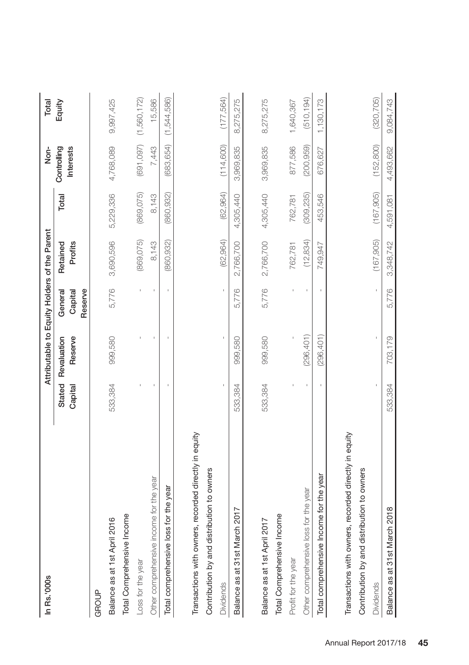| In Rs.'000s                                           |                   | Attributable to Equity Holders of the Parent |                               |                     |            | Non-                     | Total       |
|-------------------------------------------------------|-------------------|----------------------------------------------|-------------------------------|---------------------|------------|--------------------------|-------------|
|                                                       | Stated<br>Capital | Revaluation<br>Reserve                       | Reserve<br>Capital<br>General | Profits<br>Retained | Total      | Interests<br>Controlling | Equity      |
| GROUP                                                 |                   |                                              |                               |                     |            |                          |             |
| Balance as at 1st April 2016                          | 533,384           | 999,580                                      | 5,776                         | 3,690,596           | 5,229,336  | 4,768,089                | 9,997,425   |
| Total Comprehensive Income                            |                   |                                              |                               |                     |            |                          |             |
| Loss for the year                                     |                   |                                              |                               | (869, 075)          | (869, 075) | (691, 097)               | (1,560,172) |
| Other comprehensive income for the year               |                   |                                              |                               | 8,143               | 8,143      | 7,443                    | 15,586      |
| Total comprehensive loss for the year                 |                   |                                              |                               | 860,932)            | (860,932)  | (683,654)                | (1,544,586) |
| Transactions with owners, recorded directly in equity |                   |                                              |                               |                     |            |                          |             |
| Contribution by and distribution to owners            |                   |                                              |                               |                     |            |                          |             |
| Dividends                                             |                   |                                              |                               | (62, 964)           | (62, 964)  | (114, 600)               | (177, 564)  |
| Balance as at 31st March 2017                         | 533,384           | 999,580                                      | 5,776                         | 2,766,700           | 4,305,440  | 3,969,835                | 8,275,275   |
| Balance as at 1st April 2017                          | 533,384           | 999,580                                      | 5,776                         | 2,766,700           | 4,305,440  | 3,969,835                | 8,275,275   |
| Total Comprehensive Income                            |                   |                                              |                               |                     |            |                          |             |
| Profit for the year                                   |                   |                                              |                               | 762,781             | 762,781    | 877,586                  | 1,640,367   |
| Other comprehensive loss for the year                 |                   | (296, 401)                                   |                               | (12, 834)           | (309, 235) | (200, 959)               | (510, 194)  |
| Total comprehensive Income for the year               |                   | (296, 401)                                   |                               | 749,947             | 453,546    | 676,627                  | 1,130,173   |
| Transactions with owners, recorded directly in equity |                   |                                              |                               |                     |            |                          |             |
| Contribution by and distribution to owners            |                   |                                              |                               |                     |            |                          |             |
| <b>Dividends</b>                                      |                   |                                              |                               | (167, 905)          | (167, 905) | (152, 800)               | (320, 705)  |
| Balance as at 31st March 2018                         | 533,384           | 703,179                                      | 5,776                         | 3,348,742           | 4,591,081  | 4,493,662                | 9,084,743   |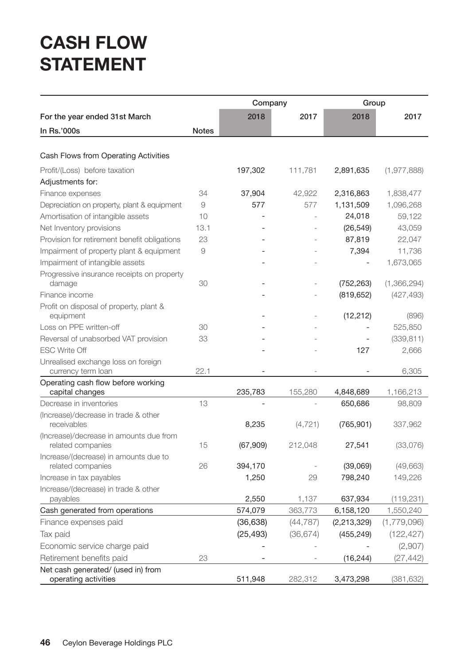# **CASH FLOW STATEMENT**

|                                                     |              | Company   |           | Group         |             |
|-----------------------------------------------------|--------------|-----------|-----------|---------------|-------------|
| For the year ended 31st March                       |              | 2018      | 2017      | 2018          | 2017        |
| In Rs.'000s                                         | <b>Notes</b> |           |           |               |             |
|                                                     |              |           |           |               |             |
| Cash Flows from Operating Activities                |              |           |           |               |             |
| Profit/(Loss) before taxation                       |              | 197,302   | 111,781   | 2,891,635     | (1,977,888) |
| Adjustments for:                                    |              |           |           |               |             |
| Finance expenses                                    | 34           | 37,904    | 42,922    | 2,316,863     | 1,838,477   |
| Depreciation on property, plant & equipment         | 9            | 577       | 577       | 1,131,509     | 1,096,268   |
| Amortisation of intangible assets                   | 10           |           |           | 24,018        | 59,122      |
| Net Inventory provisions                            | 13.1         |           |           | (26, 549)     | 43,059      |
| Provision for retirement benefit obligations        | 23           |           |           | 87,819        | 22,047      |
| Impairment of property plant & equipment            | 9            |           |           | 7,394         | 11,736      |
| Impairment of intangible assets                     |              |           |           |               | 1,673,065   |
| Progressive insurance receipts on property          |              |           |           |               |             |
| damage                                              | 30           |           |           | (752, 263)    | (1,366,294) |
| Finance income                                      |              |           |           | (819, 652)    | (427, 493)  |
| Profit on disposal of property, plant &             |              |           |           |               |             |
| equipment                                           |              |           |           | (12, 212)     | (896)       |
| Loss on PPE written-off                             | 30           |           |           |               | 525,850     |
| Reversal of unabsorbed VAT provision                | 33           |           |           |               | (339, 811)  |
| <b>ESC Write Off</b>                                |              |           |           | 127           | 2,666       |
| Unrealised exchange loss on foreign                 |              |           |           |               |             |
| currency term loan                                  | 22.1         |           |           |               | 6,305       |
| Operating cash flow before working                  |              |           |           |               |             |
| capital changes                                     |              | 235,783   | 155,280   | 4,848,689     | 1,166,213   |
| Decrease in inventories                             | 13           |           |           | 650,686       | 98,809      |
| (Increase)/decrease in trade & other<br>receivables |              | 8,235     | (4, 721)  | (765, 901)    | 337,962     |
| (Increase)/decrease in amounts due from             |              |           |           |               |             |
| related companies                                   | 15           | (67,909)  | 212,048   | 27,541        | (33,076)    |
| Increase/(decrease) in amounts due to               |              |           |           |               |             |
| related companies                                   | 26           | 394,170   |           | (39,069)      | (49,663)    |
| Increase in tax payables                            |              | 1,250     | 29        | 798,240       | 149,226     |
| Increase/(decrease) in trade & other                |              |           |           |               |             |
| payables                                            |              | 2,550     | 1,137     | 637,934       | (119,231)   |
| Cash generated from operations                      |              | 574,079   | 363,773   | 6,158,120     | 1,550,240   |
| Finance expenses paid                               |              | (36,638)  | (44, 787) | (2, 213, 329) | (1,779,096) |
| Tax paid                                            |              | (25, 493) | (36, 674) | (455, 249)    | (122, 427)  |
| Economic service charge paid                        |              |           |           |               | (2,907)     |
| Retirement benefits paid                            | 23           |           |           | (16, 244)     | (27, 442)   |
| Net cash generated/ (used in) from                  |              |           |           |               |             |
| operating activities                                |              | 511,948   | 282,312   | 3,473,298     | (381, 632)  |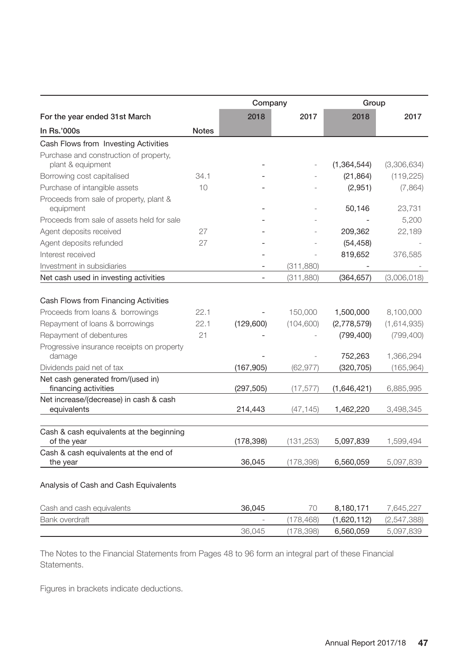|                                                                          |              | Company    |            | Group       |             |
|--------------------------------------------------------------------------|--------------|------------|------------|-------------|-------------|
| For the year ended 31st March                                            |              | 2018       | 2017       | 2018        | 2017        |
| In Rs.'000s                                                              | <b>Notes</b> |            |            |             |             |
| Cash Flows from Investing Activities                                     |              |            |            |             |             |
| Purchase and construction of property,                                   |              |            |            |             |             |
| plant & equipment                                                        |              |            |            | (1,364,544) | (3,306,634) |
| Borrowing cost capitalised                                               | 34.1         |            |            | (21, 864)   | (119, 225)  |
| Purchase of intangible assets                                            | 10           |            |            | (2,951)     | (7,864)     |
| Proceeds from sale of property, plant &<br>equipment                     |              |            |            | 50.146      | 23.731      |
| Proceeds from sale of assets held for sale                               |              |            |            |             | 5,200       |
| Agent deposits received                                                  | 27           |            |            | 209,362     | 22,189      |
| Agent deposits refunded                                                  | 27           |            |            | (54, 458)   |             |
| Interest received                                                        |              |            |            | 819,652     | 376,585     |
| Investment in subsidiaries                                               |              |            | (311, 880) |             |             |
| Net cash used in investing activities                                    |              |            | (311,880)  | (364, 657)  | (3,006,018) |
| Cash Flows from Financing Activities<br>Proceeds from loans & borrowings | 22.1         |            | 150,000    | 1,500,000   | 8,100,000   |
| Repayment of loans & borrowings                                          | 22.1         | (129,600)  | (104, 600) | (2,778,579) | (1,614,935) |
| Repayment of debentures                                                  | 21           |            |            | (799, 400)  | (799, 400)  |
| Progressive insurance receipts on property<br>damage                     |              |            |            | 752,263     | 1,366,294   |
| Dividends paid net of tax                                                |              | (167, 905) | (62, 977)  | (320, 705)  | (165,964)   |
| Net cash generated from/(used in)<br>financing activities                |              | (297,505)  | (17, 577)  | (1,646,421) | 6,885,995   |
| Net increase/(decrease) in cash & cash<br>equivalents                    |              | 214,443    | (47, 145)  | 1,462,220   | 3,498,345   |
|                                                                          |              |            |            |             |             |
| Cash & cash equivalents at the beginning<br>of the year                  |              | (178, 398) | (131, 253) | 5,097,839   | 1,599,494   |
| Cash & cash equivalents at the end of<br>the year                        |              | 36,045     | (178, 398) | 6,560,059   | 5,097,839   |
| Analysis of Cash and Cash Equivalents                                    |              |            |            |             |             |
| Cash and cash equivalents                                                |              | 36,045     | 70         | 8,180,171   | 7,645,227   |
| Bank overdraft                                                           |              |            | (178, 468) | (1,620,112) | (2,547,388) |
|                                                                          |              | 36,045     | (178, 398) | 6,560,059   | 5,097,839   |

The Notes to the Financial Statements from Pages 48 to 96 form an integral part of these Financial Statements.

Figures in brackets indicate deductions.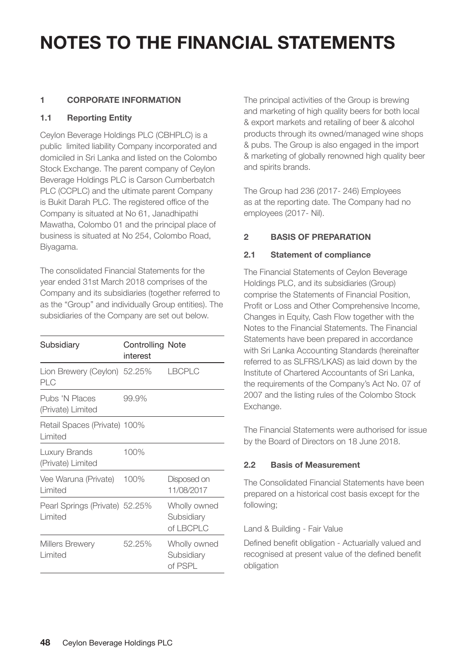#### **1 CORPORATE INFORMATION**

#### **1.1 Reporting Entity**

Ceylon Beverage Holdings PLC (CBHPLC) is a public limited liability Company incorporated and domiciled in Sri Lanka and listed on the Colombo Stock Exchange. The parent company of Ceylon Beverage Holdings PLC is Carson Cumberbatch PLC (CCPLC) and the ultimate parent Company is Bukit Darah PLC. The registered office of the Company is situated at No 61, Janadhipathi Mawatha, Colombo 01 and the principal place of business is situated at No 254, Colombo Road, Biyagama.

The consolidated Financial Statements for the year ended 31st March 2018 comprises of the Company and its subsidiaries (together referred to as the "Group" and individually Group entities). The subsidiaries of the Company are set out below.

| Subsidiary                                | <b>Controlling Note</b><br>interest |                                         |
|-------------------------------------------|-------------------------------------|-----------------------------------------|
| Lion Brewery (Ceylon) 52.25%<br>PLC       |                                     | <b>LBCPLC</b>                           |
| Pubs 'N Places<br>(Private) Limited       | 99.9%                               |                                         |
| Retail Spaces (Private) 100%<br>Limited   |                                     |                                         |
| Luxury Brands<br>(Private) Limited        | 100%                                |                                         |
| Vee Waruna (Private) 100%<br>Limited      |                                     | Disposed on<br>11/08/2017               |
| Pearl Springs (Private) 52.25%<br>Limited |                                     | Wholly owned<br>Subsidiary<br>of LBCPLC |
| <b>Millers Brewery</b><br>Limited         | 52.25%                              | Wholly owned<br>Subsidiary<br>of PSPL   |

The principal activities of the Group is brewing and marketing of high quality beers for both local & export markets and retailing of beer & alcohol products through its owned/managed wine shops & pubs. The Group is also engaged in the import & marketing of globally renowned high quality beer and spirits brands.

The Group had 236 (2017- 246) Employees as at the reporting date. The Company had no employees (2017- Nil).

#### **2 BASIS OF PREPARATION**

#### **2.1 Statement of compliance**

The Financial Statements of Ceylon Beverage Holdings PLC, and its subsidiaries (Group) comprise the Statements of Financial Position, Profit or Loss and Other Comprehensive Income, Changes in Equity, Cash Flow together with the Notes to the Financial Statements. The Financial Statements have been prepared in accordance with Sri Lanka Accounting Standards (hereinafter referred to as SLFRS/LKAS) as laid down by the Institute of Chartered Accountants of Sri Lanka, the requirements of the Company's Act No. 07 of 2007 and the listing rules of the Colombo Stock Exchange.

The Financial Statements were authorised for issue by the Board of Directors on 18 June 2018.

#### **2.2 Basis of Measurement**

The Consolidated Financial Statements have been prepared on a historical cost basis except for the following;

#### Land & Building - Fair Value

Defined benefit obligation - Actuarially valued and recognised at present value of the defined benefit obligation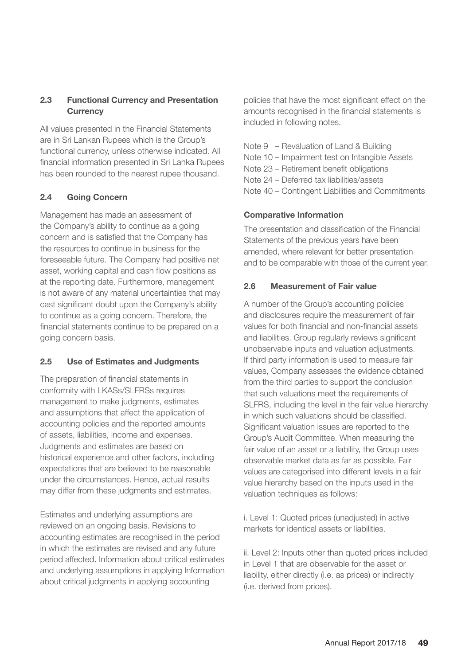#### **2.3 Functional Currency and Presentation Currency**

All values presented in the Financial Statements are in Sri Lankan Rupees which is the Group's functional currency, unless otherwise indicated. All financial information presented in Sri Lanka Rupees has been rounded to the nearest rupee thousand.

#### **2.4 Going Concern**

Management has made an assessment of the Company's ability to continue as a going concern and is satisfied that the Company has the resources to continue in business for the foreseeable future. The Company had positive net asset, working capital and cash flow positions as at the reporting date. Furthermore, management is not aware of any material uncertainties that may cast significant doubt upon the Company's ability to continue as a going concern. Therefore, the financial statements continue to be prepared on a going concern basis.

#### **2.5 Use of Estimates and Judgments**

The preparation of financial statements in conformity with LKASs/SLFRSs requires management to make judgments, estimates and assumptions that affect the application of accounting policies and the reported amounts of assets, liabilities, income and expenses. Judgments and estimates are based on historical experience and other factors, including expectations that are believed to be reasonable under the circumstances. Hence, actual results may differ from these judgments and estimates.

Estimates and underlying assumptions are reviewed on an ongoing basis. Revisions to accounting estimates are recognised in the period in which the estimates are revised and any future period affected. Information about critical estimates and underlying assumptions in applying Information about critical judgments in applying accounting

policies that have the most significant effect on the amounts recognised in the financial statements is included in following notes.

Note 9 – Revaluation of Land & Building Note 10 – Impairment test on Intangible Assets Note 23 – Retirement benefit obligations Note 24 – Deferred tax liabilities/assets Note 40 – Contingent Liabilities and Commitments

#### **Comparative Information**

The presentation and classification of the Financial Statements of the previous years have been amended, where relevant for better presentation and to be comparable with those of the current year.

#### **2.6 Measurement of Fair value**

A number of the Group's accounting policies and disclosures require the measurement of fair values for both financial and non-financial assets and liabilities. Group regularly reviews significant unobservable inputs and valuation adjustments. If third party information is used to measure fair values, Company assesses the evidence obtained from the third parties to support the conclusion that such valuations meet the requirements of SLFRS, including the level in the fair value hierarchy in which such valuations should be classified. Significant valuation issues are reported to the Group's Audit Committee. When measuring the fair value of an asset or a liability, the Group uses observable market data as far as possible. Fair values are categorised into different levels in a fair value hierarchy based on the inputs used in the valuation techniques as follows:

i. Level 1: Quoted prices (unadjusted) in active markets for identical assets or liabilities.

ii. Level 2: Inputs other than quoted prices included in Level 1 that are observable for the asset or liability, either directly (i.e. as prices) or indirectly (i.e. derived from prices).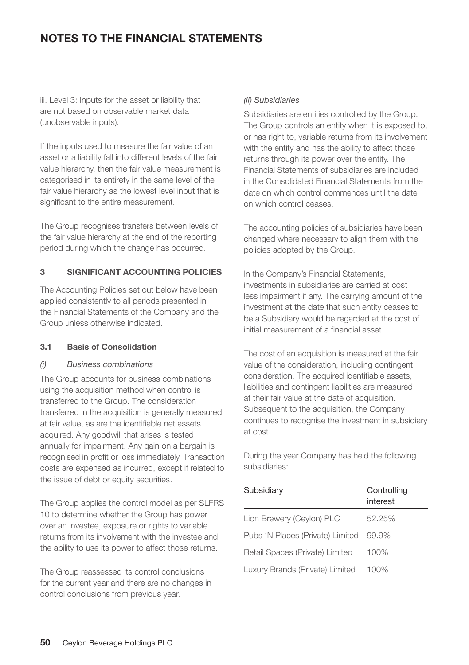iii. Level 3: Inputs for the asset or liability that are not based on observable market data (unobservable inputs).

If the inputs used to measure the fair value of an asset or a liability fall into different levels of the fair value hierarchy, then the fair value measurement is categorised in its entirety in the same level of the fair value hierarchy as the lowest level input that is significant to the entire measurement.

The Group recognises transfers between levels of the fair value hierarchy at the end of the reporting period during which the change has occurred.

#### **3 SIGNIFICANT ACCOUNTING POLICIES**

The Accounting Policies set out below have been applied consistently to all periods presented in the Financial Statements of the Company and the Group unless otherwise indicated.

#### **3.1 Basis of Consolidation**

#### *(i) Business combinations*

The Group accounts for business combinations using the acquisition method when control is transferred to the Group. The consideration transferred in the acquisition is generally measured at fair value, as are the identifiable net assets acquired. Any goodwill that arises is tested annually for impairment. Any gain on a bargain is recognised in profit or loss immediately. Transaction costs are expensed as incurred, except if related to the issue of debt or equity securities.

The Group applies the control model as per SLFRS 10 to determine whether the Group has power over an investee, exposure or rights to variable returns from its involvement with the investee and the ability to use its power to affect those returns.

The Group reassessed its control conclusions for the current year and there are no changes in control conclusions from previous year.

#### *(ii) Subsidiaries*

Subsidiaries are entities controlled by the Group. The Group controls an entity when it is exposed to, or has right to, variable returns from its involvement with the entity and has the ability to affect those returns through its power over the entity. The Financial Statements of subsidiaries are included in the Consolidated Financial Statements from the date on which control commences until the date on which control ceases.

The accounting policies of subsidiaries have been changed where necessary to align them with the policies adopted by the Group.

In the Company's Financial Statements, investments in subsidiaries are carried at cost less impairment if any. The carrying amount of the investment at the date that such entity ceases to be a Subsidiary would be regarded at the cost of initial measurement of a financial asset.

The cost of an acquisition is measured at the fair value of the consideration, including contingent consideration. The acquired identifiable assets, liabilities and contingent liabilities are measured at their fair value at the date of acquisition. Subsequent to the acquisition, the Company continues to recognise the investment in subsidiary at cost.

During the year Company has held the following subsidiaries:

| Subsidiary                             | Controlling<br>interest |
|----------------------------------------|-------------------------|
| Lion Brewery (Ceylon) PLC              | 52.25%                  |
| Pubs 'N Places (Private) Limited 99.9% |                         |
| Retail Spaces (Private) Limited        | 100%                    |
| Luxury Brands (Private) Limited        | 100%                    |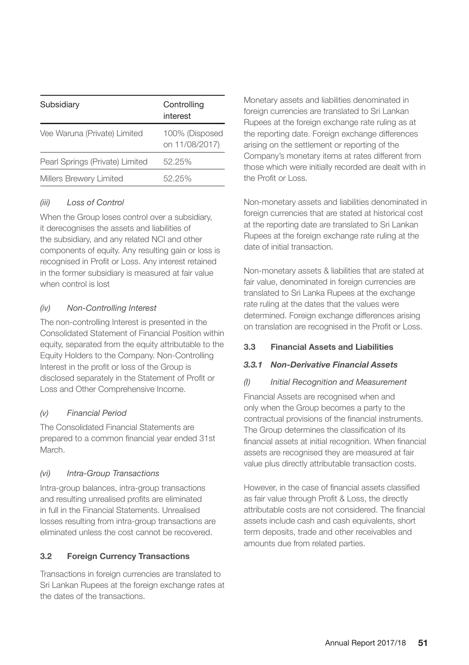| Subsidiary                      | Controlling<br>interest          |
|---------------------------------|----------------------------------|
| Vee Waruna (Private) Limited    | 100% (Disposed<br>on 11/08/2017) |
| Pearl Springs (Private) Limited | 52.25%                           |
| Millers Brewery Limited         | 52.25%                           |

#### *(iii) Loss of Control*

When the Group loses control over a subsidiary, it derecognises the assets and liabilities of the subsidiary, and any related NCI and other components of equity. Any resulting gain or loss is recognised in Profit or Loss. Any interest retained in the former subsidiary is measured at fair value when control is lost

#### *(iv) Non-Controlling Interest*

The non-controlling Interest is presented in the Consolidated Statement of Financial Position within equity, separated from the equity attributable to the Equity Holders to the Company. Non-Controlling Interest in the profit or loss of the Group is disclosed separately in the Statement of Profit or Loss and Other Comprehensive Income.

#### *(v) Financial Period*

The Consolidated Financial Statements are prepared to a common financial year ended 31st March.

#### *(vi) Intra-Group Transactions*

Intra-group balances, intra-group transactions and resulting unrealised profits are eliminated in full in the Financial Statements. Unrealised losses resulting from intra-group transactions are eliminated unless the cost cannot be recovered.

#### **3.2 Foreign Currency Transactions**

Transactions in foreign currencies are translated to Sri Lankan Rupees at the foreign exchange rates at the dates of the transactions.

Monetary assets and liabilities denominated in foreign currencies are translated to Sri Lankan Rupees at the foreign exchange rate ruling as at the reporting date. Foreign exchange differences arising on the settlement or reporting of the Company's monetary items at rates different from those which were initially recorded are dealt with in the Profit or Loss.

Non-monetary assets and liabilities denominated in foreign currencies that are stated at historical cost at the reporting date are translated to Sri Lankan Rupees at the foreign exchange rate ruling at the date of initial transaction.

Non-monetary assets & liabilities that are stated at fair value, denominated in foreign currencies are translated to Sri Lanka Rupees at the exchange rate ruling at the dates that the values were determined. Foreign exchange differences arising on translation are recognised in the Profit or Loss.

#### **3.3 Financial Assets and Liabilities**

#### *3.3.1 Non-Derivative Financial Assets*

#### *(I) Initial Recognition and Measurement*

Financial Assets are recognised when and only when the Group becomes a party to the contractual provisions of the financial instruments. The Group determines the classification of its financial assets at initial recognition. When financial assets are recognised they are measured at fair value plus directly attributable transaction costs.

However, in the case of financial assets classified as fair value through Profit & Loss, the directly attributable costs are not considered. The financial assets include cash and cash equivalents, short term deposits, trade and other receivables and amounts due from related parties.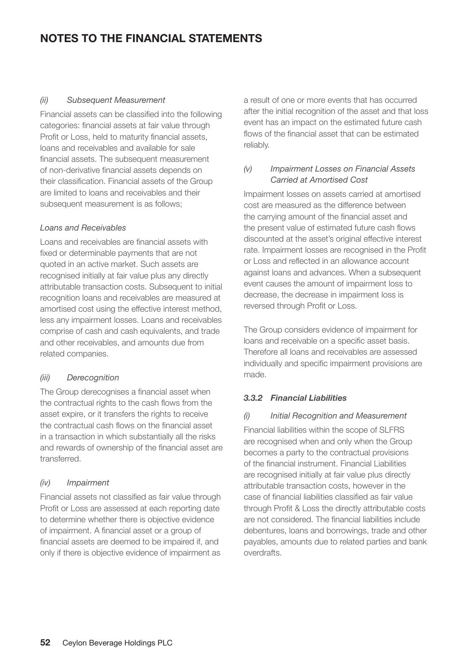#### *(ii) Subsequent Measurement*

Financial assets can be classified into the following categories: financial assets at fair value through Profit or Loss, held to maturity financial assets, loans and receivables and available for sale financial assets. The subsequent measurement of non-derivative financial assets depends on their classification. Financial assets of the Group are limited to loans and receivables and their subsequent measurement is as follows:

#### *Loans and Receivables*

Loans and receivables are financial assets with fixed or determinable payments that are not quoted in an active market. Such assets are recognised initially at fair value plus any directly attributable transaction costs. Subsequent to initial recognition loans and receivables are measured at amortised cost using the effective interest method, less any impairment losses. Loans and receivables comprise of cash and cash equivalents, and trade and other receivables, and amounts due from related companies.

#### *(iii) Derecognition*

The Group derecognises a financial asset when the contractual rights to the cash flows from the asset expire, or it transfers the rights to receive the contractual cash flows on the financial asset in a transaction in which substantially all the risks and rewards of ownership of the financial asset are transferred.

#### *(iv) Impairment*

Financial assets not classified as fair value through Profit or Loss are assessed at each reporting date to determine whether there is objective evidence of impairment. A financial asset or a group of financial assets are deemed to be impaired if, and only if there is objective evidence of impairment as a result of one or more events that has occurred after the initial recognition of the asset and that loss event has an impact on the estimated future cash flows of the financial asset that can be estimated reliably.

#### *(v) Impairment Losses on Financial Assets Carried at Amortised Cost*

Impairment losses on assets carried at amortised cost are measured as the difference between the carrying amount of the financial asset and the present value of estimated future cash flows discounted at the asset's original effective interest rate. Impairment losses are recognised in the Profit or Loss and reflected in an allowance account against loans and advances. When a subsequent event causes the amount of impairment loss to decrease, the decrease in impairment loss is reversed through Profit or Loss.

The Group considers evidence of impairment for loans and receivable on a specific asset basis. Therefore all loans and receivables are assessed individually and specific impairment provisions are made.

#### *3.3.2 Financial Liabilities*

#### *(i) Initial Recognition and Measurement*

Financial liabilities within the scope of SLFRS are recognised when and only when the Group becomes a party to the contractual provisions of the financial instrument. Financial Liabilities are recognised initially at fair value plus directly attributable transaction costs, however in the case of financial liabilities classified as fair value through Profit & Loss the directly attributable costs are not considered. The financial liabilities include debentures, loans and borrowings, trade and other payables, amounts due to related parties and bank overdrafts.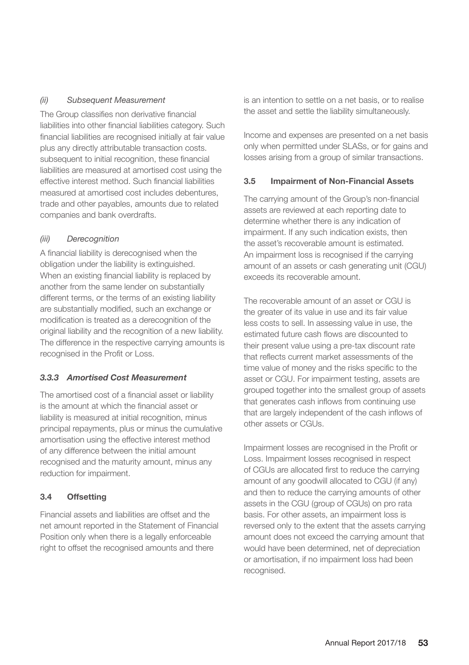#### *(ii) Subsequent Measurement*

The Group classifies non derivative financial liabilities into other financial liabilities category. Such financial liabilities are recognised initially at fair value plus any directly attributable transaction costs. subsequent to initial recognition, these financial liabilities are measured at amortised cost using the effective interest method. Such financial liabilities measured at amortised cost includes debentures, trade and other payables, amounts due to related companies and bank overdrafts.

#### *(iii) Derecognition*

A financial liability is derecognised when the obligation under the liability is extinguished. When an existing financial liability is replaced by another from the same lender on substantially different terms, or the terms of an existing liability are substantially modified, such an exchange or modification is treated as a derecognition of the original liability and the recognition of a new liability. The difference in the respective carrying amounts is recognised in the Profit or Loss.

#### *3.3.3 Amortised Cost Measurement*

The amortised cost of a financial asset or liability is the amount at which the financial asset or liability is measured at initial recognition, minus principal repayments, plus or minus the cumulative amortisation using the effective interest method of any difference between the initial amount recognised and the maturity amount, minus any reduction for impairment.

#### **3.4 Offsetting**

Financial assets and liabilities are offset and the net amount reported in the Statement of Financial Position only when there is a legally enforceable right to offset the recognised amounts and there

is an intention to settle on a net basis, or to realise the asset and settle the liability simultaneously.

Income and expenses are presented on a net basis only when permitted under SLASs, or for gains and losses arising from a group of similar transactions.

#### **3.5 Impairment of Non-Financial Assets**

The carrying amount of the Group's non-financial assets are reviewed at each reporting date to determine whether there is any indication of impairment. If any such indication exists, then the asset's recoverable amount is estimated. An impairment loss is recognised if the carrying amount of an assets or cash generating unit (CGU) exceeds its recoverable amount.

The recoverable amount of an asset or CGU is the greater of its value in use and its fair value less costs to sell. In assessing value in use, the estimated future cash flows are discounted to their present value using a pre-tax discount rate that reflects current market assessments of the time value of money and the risks specific to the asset or CGU. For impairment testing, assets are grouped together into the smallest group of assets that generates cash inflows from continuing use that are largely independent of the cash inflows of other assets or CGUs.

Impairment losses are recognised in the Profit or Loss. Impairment losses recognised in respect of CGUs are allocated first to reduce the carrying amount of any goodwill allocated to CGU (if any) and then to reduce the carrying amounts of other assets in the CGU (group of CGUs) on pro rata basis. For other assets, an impairment loss is reversed only to the extent that the assets carrying amount does not exceed the carrying amount that would have been determined, net of depreciation or amortisation, if no impairment loss had been recognised.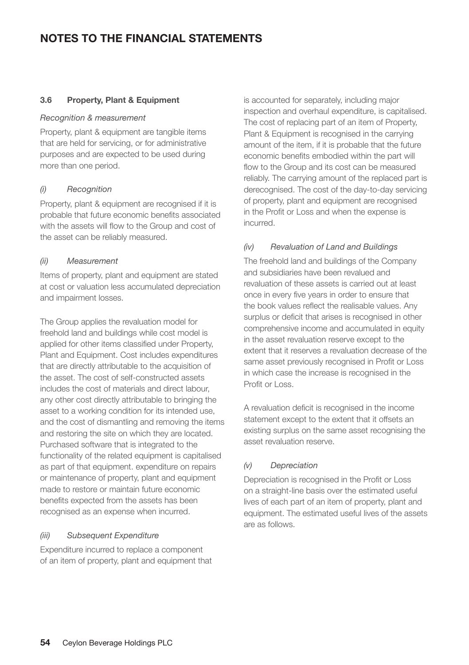#### **3.6 Property, Plant & Equipment**

#### *Recognition & measurement*

Property, plant & equipment are tangible items that are held for servicing, or for administrative purposes and are expected to be used during more than one period.

#### *(i) Recognition*

Property, plant & equipment are recognised if it is probable that future economic benefits associated with the assets will flow to the Group and cost of the asset can be reliably measured.

#### *(ii) Measurement*

Items of property, plant and equipment are stated at cost or valuation less accumulated depreciation and impairment losses.

The Group applies the revaluation model for freehold land and buildings while cost model is applied for other items classified under Property, Plant and Equipment. Cost includes expenditures that are directly attributable to the acquisition of the asset. The cost of self-constructed assets includes the cost of materials and direct labour, any other cost directly attributable to bringing the asset to a working condition for its intended use, and the cost of dismantling and removing the items and restoring the site on which they are located. Purchased software that is integrated to the functionality of the related equipment is capitalised as part of that equipment. expenditure on repairs or maintenance of property, plant and equipment made to restore or maintain future economic benefits expected from the assets has been recognised as an expense when incurred.

#### *(iii) Subsequent Expenditure*

Expenditure incurred to replace a component of an item of property, plant and equipment that is accounted for separately, including major inspection and overhaul expenditure, is capitalised. The cost of replacing part of an item of Property, Plant & Equipment is recognised in the carrying amount of the item, if it is probable that the future economic benefits embodied within the part will flow to the Group and its cost can be measured reliably. The carrying amount of the replaced part is derecognised. The cost of the day-to-day servicing of property, plant and equipment are recognised in the Profit or Loss and when the expense is incurred.

#### *(iv) Revaluation of Land and Buildings*

The freehold land and buildings of the Company and subsidiaries have been revalued and revaluation of these assets is carried out at least once in every five years in order to ensure that the book values reflect the realisable values. Any surplus or deficit that arises is recognised in other comprehensive income and accumulated in equity in the asset revaluation reserve except to the extent that it reserves a revaluation decrease of the same asset previously recognised in Profit or Loss in which case the increase is recognised in the Profit or Loss.

A revaluation deficit is recognised in the income statement except to the extent that it offsets an existing surplus on the same asset recognising the asset revaluation reserve.

#### *(v) Depreciation*

Depreciation is recognised in the Profit or Loss on a straight-line basis over the estimated useful lives of each part of an item of property, plant and equipment. The estimated useful lives of the assets are as follows.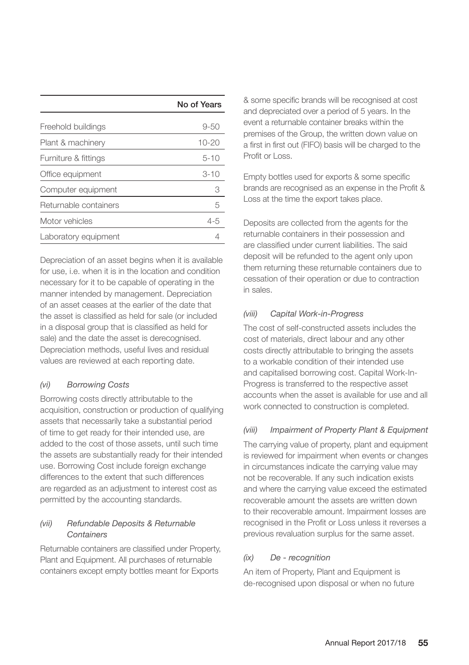|                       | No of Years |
|-----------------------|-------------|
| Freehold buildings    | $9 - 50$    |
| Plant & machinery     | $10 - 20$   |
| Furniture & fittings  | $5 - 10$    |
| Office equipment      | $3 - 10$    |
| Computer equipment    | 3           |
| Returnable containers | 5           |
| Motor vehicles        | $4 - 5$     |
| Laboratory equipment  |             |
|                       |             |

Depreciation of an asset begins when it is available for use, i.e. when it is in the location and condition necessary for it to be capable of operating in the manner intended by management. Depreciation of an asset ceases at the earlier of the date that the asset is classified as held for sale (or included in a disposal group that is classified as held for sale) and the date the asset is derecognised. Depreciation methods, useful lives and residual values are reviewed at each reporting date.

#### *(vi) Borrowing Costs*

Borrowing costs directly attributable to the acquisition, construction or production of qualifying assets that necessarily take a substantial period of time to get ready for their intended use, are added to the cost of those assets, until such time the assets are substantially ready for their intended use. Borrowing Cost include foreign exchange differences to the extent that such differences are regarded as an adjustment to interest cost as permitted by the accounting standards.

#### *(vii) Refundable Deposits & Returnable Containers*

Returnable containers are classified under Property, Plant and Equipment. All purchases of returnable containers except empty bottles meant for Exports

& some specific brands will be recognised at cost and depreciated over a period of 5 years. In the event a returnable container breaks within the premises of the Group, the written down value on a first in first out (FIFO) basis will be charged to the Profit or Loss.

Empty bottles used for exports & some specific brands are recognised as an expense in the Profit & Loss at the time the export takes place.

Deposits are collected from the agents for the returnable containers in their possession and are classified under current liabilities. The said deposit will be refunded to the agent only upon them returning these returnable containers due to cessation of their operation or due to contraction in sales.

#### *(viii) Capital Work-in-Progress*

The cost of self-constructed assets includes the cost of materials, direct labour and any other costs directly attributable to bringing the assets to a workable condition of their intended use and capitalised borrowing cost. Capital Work-In-Progress is transferred to the respective asset accounts when the asset is available for use and all work connected to construction is completed.

#### *(viii) Impairment of Property Plant & Equipment*

The carrying value of property, plant and equipment is reviewed for impairment when events or changes in circumstances indicate the carrying value may not be recoverable. If any such indication exists and where the carrying value exceed the estimated recoverable amount the assets are written down to their recoverable amount. Impairment losses are recognised in the Profit or Loss unless it reverses a previous revaluation surplus for the same asset.

#### *(ix) De - recognition*

An item of Property, Plant and Fquipment is de-recognised upon disposal or when no future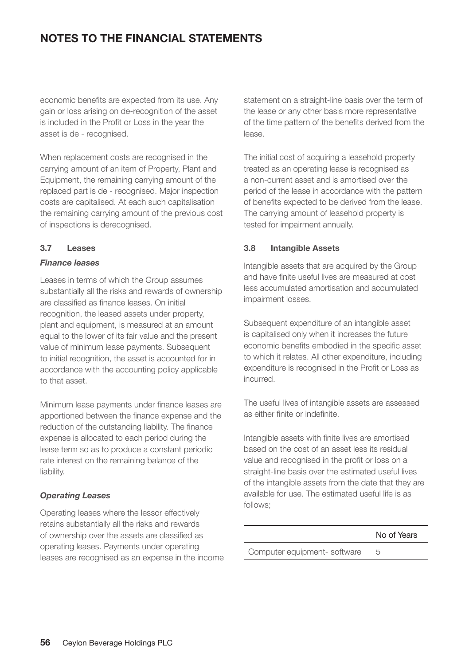economic benefits are expected from its use. Any gain or loss arising on de-recognition of the asset is included in the Profit or Loss in the year the asset is de - recognised.

When replacement costs are recognised in the carrying amount of an item of Property, Plant and Equipment, the remaining carrying amount of the replaced part is de - recognised. Major inspection costs are capitalised. At each such capitalisation the remaining carrying amount of the previous cost of inspections is derecognised.

#### **3.7 Leases**

#### *Finance leases*

Leases in terms of which the Group assumes substantially all the risks and rewards of ownership are classified as finance leases. On initial recognition, the leased assets under property, plant and equipment, is measured at an amount equal to the lower of its fair value and the present value of minimum lease payments. Subsequent to initial recognition, the asset is accounted for in accordance with the accounting policy applicable to that asset.

Minimum lease payments under finance leases are apportioned between the finance expense and the reduction of the outstanding liability. The finance expense is allocated to each period during the lease term so as to produce a constant periodic rate interest on the remaining balance of the liability.

#### *Operating Leases*

Operating leases where the lessor effectively retains substantially all the risks and rewards of ownership over the assets are classified as operating leases. Payments under operating leases are recognised as an expense in the income statement on a straight-line basis over the term of the lease or any other basis more representative of the time pattern of the benefits derived from the lease.

The initial cost of acquiring a leasehold property treated as an operating lease is recognised as a non-current asset and is amortised over the period of the lease in accordance with the pattern of benefits expected to be derived from the lease. The carrying amount of leasehold property is tested for impairment annually.

#### **3.8 Intangible Assets**

Intangible assets that are acquired by the Group and have finite useful lives are measured at cost less accumulated amortisation and accumulated impairment losses.

Subsequent expenditure of an intangible asset is capitalised only when it increases the future economic benefits embodied in the specific asset to which it relates. All other expenditure, including expenditure is recognised in the Profit or Loss as incurred.

The useful lives of intangible assets are assessed as either finite or indefinite.

Intangible assets with finite lives are amortised based on the cost of an asset less its residual value and recognised in the profit or loss on a straight-line basis over the estimated useful lives of the intangible assets from the date that they are available for use. The estimated useful life is as follows;

#### No of Years

Computer equipment- software 5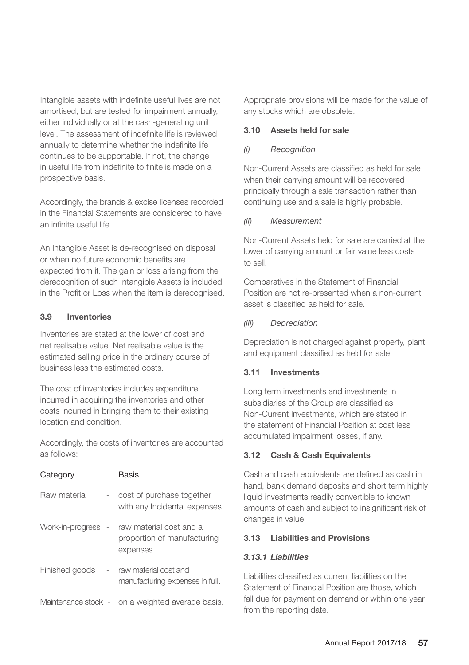Intangible assets with indefinite useful lives are not amortised, but are tested for impairment annually, either individually or at the cash-generating unit level. The assessment of indefinite life is reviewed annually to determine whether the indefinite life continues to be supportable. If not, the change in useful life from indefinite to finite is made on a prospective basis.

Accordingly, the brands & excise licenses recorded in the Financial Statements are considered to have an infinite useful life.

An Intangible Asset is de-recognised on disposal or when no future economic benefits are expected from it. The gain or loss arising from the derecognition of such Intangible Assets is included in the Profit or Loss when the item is derecognised.

#### **3.9 Inventories**

Inventories are stated at the lower of cost and net realisable value. Net realisable value is the estimated selling price in the ordinary course of business less the estimated costs.

The cost of inventories includes expenditure incurred in acquiring the inventories and other costs incurred in bringing them to their existing location and condition.

Accordingly, the costs of inventories are accounted as follows:

| Category                   | <b>Basis</b>                                                        |
|----------------------------|---------------------------------------------------------------------|
| Raw material               | cost of purchase together<br>with any Incidental expenses.          |
| Work-in-progress<br>$\sim$ | raw material cost and a<br>proportion of manufacturing<br>expenses. |
| Finished goods<br>$\sim$   | raw material cost and<br>manufacturing expenses in full.            |
|                            | Maintenance stock - on a weighted average basis.                    |

Appropriate provisions will be made for the value of any stocks which are obsolete.

#### **3.10 Assets held for sale**

#### *(i) Recognition*

Non-Current Assets are classified as held for sale when their carrying amount will be recovered principally through a sale transaction rather than continuing use and a sale is highly probable.

#### *(ii) Measurement*

Non-Current Assets held for sale are carried at the lower of carrying amount or fair value less costs to sell.

Comparatives in the Statement of Financial Position are not re-presented when a non-current asset is classified as held for sale.

#### *(iii) Depreciation*

Depreciation is not charged against property, plant and equipment classified as held for sale.

#### **3.11 Investments**

Long term investments and investments in subsidiaries of the Group are classified as Non-Current Investments, which are stated in the statement of Financial Position at cost less accumulated impairment losses, if any.

#### **3.12 Cash & Cash Equivalents**

Cash and cash equivalents are defined as cash in hand, bank demand deposits and short term highly liquid investments readily convertible to known amounts of cash and subject to insignificant risk of changes in value.

#### **3.13 Liabilities and Provisions**

#### *3.13.1 Liabilities*

Liabilities classified as current liabilities on the Statement of Financial Position are those, which fall due for payment on demand or within one year from the reporting date.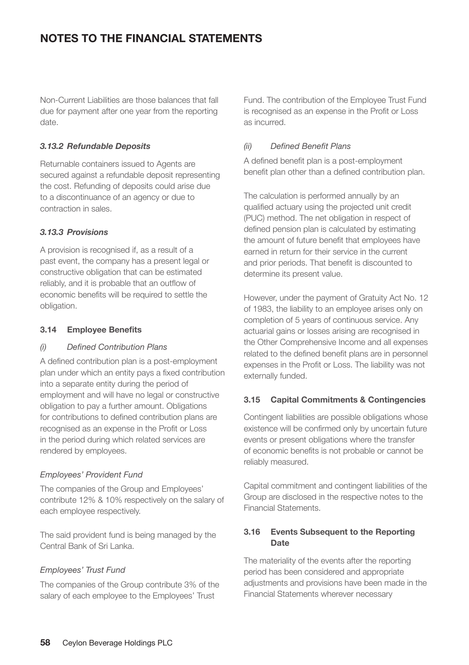Non-Current Liabilities are those balances that fall due for payment after one year from the reporting date.

#### *3.13.2 Refundable Deposits*

Returnable containers issued to Agents are secured against a refundable deposit representing the cost. Refunding of deposits could arise due to a discontinuance of an agency or due to contraction in sales.

#### *3.13.3 Provisions*

A provision is recognised if, as a result of a past event, the company has a present legal or constructive obligation that can be estimated reliably, and it is probable that an outflow of economic benefits will be required to settle the obligation.

#### **3.14 Employee Benefits**

#### *(i) Defined Contribution Plans*

A defined contribution plan is a post-employment plan under which an entity pays a fixed contribution into a separate entity during the period of employment and will have no legal or constructive obligation to pay a further amount. Obligations for contributions to defined contribution plans are recognised as an expense in the Profit or Loss in the period during which related services are rendered by employees.

#### *Employees' Provident Fund*

The companies of the Group and Employees' contribute 12% & 10% respectively on the salary of each employee respectively.

The said provident fund is being managed by the Central Bank of Sri Lanka.

#### *Employees' Trust Fund*

The companies of the Group contribute 3% of the salary of each employee to the Employees' Trust

Fund. The contribution of the Employee Trust Fund is recognised as an expense in the Profit or Loss as incurred.

#### *(ii) Defined Benefit Plans*

A defined benefit plan is a post-employment benefit plan other than a defined contribution plan.

The calculation is performed annually by an qualified actuary using the projected unit credit (PUC) method. The net obligation in respect of defined pension plan is calculated by estimating the amount of future benefit that employees have earned in return for their service in the current and prior periods. That benefit is discounted to determine its present value.

However, under the payment of Gratuity Act No. 12 of 1983, the liability to an employee arises only on completion of 5 years of continuous service. Any actuarial gains or losses arising are recognised in the Other Comprehensive Income and all expenses related to the defined benefit plans are in personnel expenses in the Profit or Loss. The liability was not externally funded.

#### **3.15 Capital Commitments & Contingencies**

Contingent liabilities are possible obligations whose existence will be confirmed only by uncertain future events or present obligations where the transfer of economic benefits is not probable or cannot be reliably measured.

Capital commitment and contingent liabilities of the Group are disclosed in the respective notes to the Financial Statements.

#### **3.16 Events Subsequent to the Reporting Date**

The materiality of the events after the reporting period has been considered and appropriate adjustments and provisions have been made in the Financial Statements wherever necessary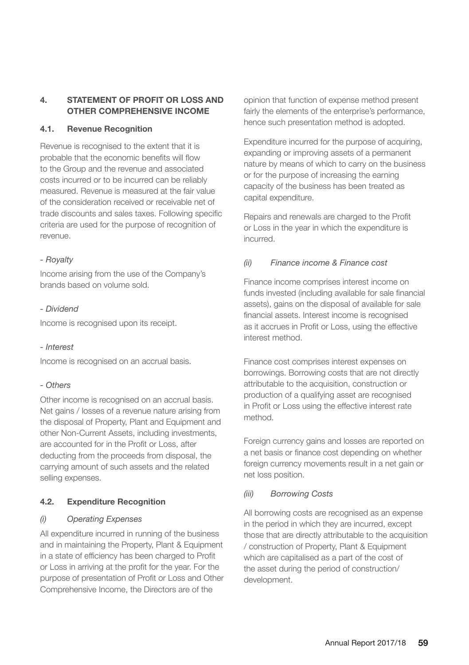#### **4. STATEMENT OF PROFIT OR LOSS AND OTHER COMPREHENSIVE INCOME**

#### **4.1. Revenue Recognition**

Revenue is recognised to the extent that it is probable that the economic benefits will flow to the Group and the revenue and associated costs incurred or to be incurred can be reliably measured. Revenue is measured at the fair value of the consideration received or receivable net of trade discounts and sales taxes. Following specific criteria are used for the purpose of recognition of revenue.

#### *- Royalty*

Income arising from the use of the Company's brands based on volume sold.

#### *- Dividend*

Income is recognised upon its receipt.

#### *- Interest*

Income is recognised on an accrual basis.

#### *- Others*

Other income is recognised on an accrual basis. Net gains / losses of a revenue nature arising from the disposal of Property, Plant and Equipment and other Non-Current Assets, including investments, are accounted for in the Profit or Loss, after deducting from the proceeds from disposal, the carrying amount of such assets and the related selling expenses.

#### **4.2. Expenditure Recognition**

#### *(i) Operating Expenses*

All expenditure incurred in running of the business and in maintaining the Property, Plant & Equipment in a state of efficiency has been charged to Profit or Loss in arriving at the profit for the year. For the purpose of presentation of Profit or Loss and Other Comprehensive Income, the Directors are of the

opinion that function of expense method present fairly the elements of the enterprise's performance. hence such presentation method is adopted.

Expenditure incurred for the purpose of acquiring, expanding or improving assets of a permanent nature by means of which to carry on the business or for the purpose of increasing the earning capacity of the business has been treated as capital expenditure.

Repairs and renewals are charged to the Profit or Loss in the year in which the expenditure is incurred.

#### *(ii) Finance income & Finance cost*

Finance income comprises interest income on funds invested (including available for sale financial assets), gains on the disposal of available for sale financial assets. Interest income is recognised as it accrues in Profit or Loss, using the effective interest method.

Finance cost comprises interest expenses on borrowings. Borrowing costs that are not directly attributable to the acquisition, construction or production of a qualifying asset are recognised in Profit or Loss using the effective interest rate method.

Foreign currency gains and losses are reported on a net basis or finance cost depending on whether foreign currency movements result in a net gain or net loss position.

#### *(iii) Borrowing Costs*

All borrowing costs are recognised as an expense in the period in which they are incurred, except those that are directly attributable to the acquisition / construction of Property, Plant & Equipment which are capitalised as a part of the cost of the asset during the period of construction/ development.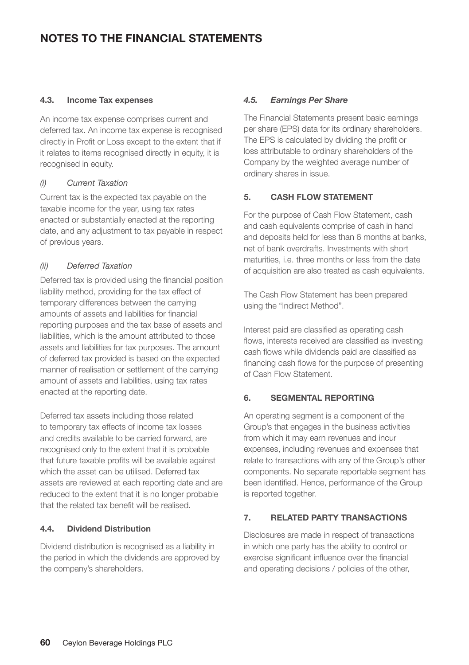#### **4.3. Income Tax expenses**

An income tax expense comprises current and deferred tax. An income tax expense is recognised directly in Profit or Loss except to the extent that if it relates to items recognised directly in equity, it is recognised in equity.

#### *(i) Current Taxation*

Current tax is the expected tax payable on the taxable income for the year, using tax rates enacted or substantially enacted at the reporting date, and any adjustment to tax payable in respect of previous years.

#### *(ii) Deferred Taxation*

Deferred tax is provided using the financial position liability method, providing for the tax effect of temporary differences between the carrying amounts of assets and liabilities for financial reporting purposes and the tax base of assets and liabilities, which is the amount attributed to those assets and liabilities for tax purposes. The amount of deferred tax provided is based on the expected manner of realisation or settlement of the carrying amount of assets and liabilities, using tax rates enacted at the reporting date.

Deferred tax assets including those related to temporary tax effects of income tax losses and credits available to be carried forward, are recognised only to the extent that it is probable that future taxable profits will be available against which the asset can be utilised. Deferred tax assets are reviewed at each reporting date and are reduced to the extent that it is no longer probable that the related tax benefit will be realised.

#### **4.4. Dividend Distribution**

Dividend distribution is recognised as a liability in the period in which the dividends are approved by the company's shareholders.

#### *4.5. Earnings Per Share*

The Financial Statements present basic earnings per share (EPS) data for its ordinary shareholders. The EPS is calculated by dividing the profit or loss attributable to ordinary shareholders of the Company by the weighted average number of ordinary shares in issue.

#### **5. CASH FLOW STATEMENT**

For the purpose of Cash Flow Statement, cash and cash equivalents comprise of cash in hand and deposits held for less than 6 months at banks, net of bank overdrafts. Investments with short maturities, i.e. three months or less from the date of acquisition are also treated as cash equivalents.

The Cash Flow Statement has been prepared using the "Indirect Method".

Interest paid are classified as operating cash flows, interests received are classified as investing cash flows while dividends paid are classified as financing cash flows for the purpose of presenting of Cash Flow Statement.

#### **6. SEGMENTAL REPORTING**

An operating segment is a component of the Group's that engages in the business activities from which it may earn revenues and incur expenses, including revenues and expenses that relate to transactions with any of the Group's other components. No separate reportable segment has been identified. Hence, performance of the Group is reported together.

#### **7. RELATED PARTY TRANSACTIONS**

Disclosures are made in respect of transactions in which one party has the ability to control or exercise significant influence over the financial and operating decisions / policies of the other,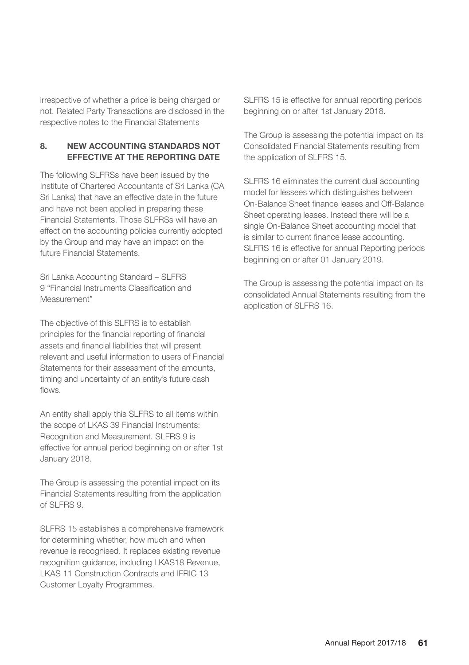irrespective of whether a price is being charged or not. Related Party Transactions are disclosed in the respective notes to the Financial Statements

#### **8. NEW ACCOUNTING STANDARDS NOT EFFECTIVE AT THE REPORTING DATE**

The following SLFRSs have been issued by the Institute of Chartered Accountants of Sri Lanka (CA Sri Lanka) that have an effective date in the future and have not been applied in preparing these Financial Statements. Those SLFRSs will have an effect on the accounting policies currently adopted by the Group and may have an impact on the future Financial Statements.

Sri Lanka Accounting Standard – SLFRS 9 "Financial Instruments Classification and Measurement"

The objective of this SLFRS is to establish principles for the financial reporting of financial assets and financial liabilities that will present relevant and useful information to users of Financial Statements for their assessment of the amounts, timing and uncertainty of an entity's future cash flows.

An entity shall apply this SLFRS to all items within the scope of LKAS 39 Financial Instruments: Recognition and Measurement. SLFRS 9 is effective for annual period beginning on or after 1st January 2018.

The Group is assessing the potential impact on its Financial Statements resulting from the application of SLFRS 9.

SLFRS 15 establishes a comprehensive framework for determining whether, how much and when revenue is recognised. It replaces existing revenue recognition guidance, including LKAS18 Revenue, LKAS 11 Construction Contracts and IFRIC 13 Customer Loyalty Programmes.

SLFRS 15 is effective for annual reporting periods beginning on or after 1st January 2018.

The Group is assessing the potential impact on its Consolidated Financial Statements resulting from the application of SLFRS 15.

SLFRS 16 eliminates the current dual accounting model for lessees which distinguishes between On-Balance Sheet finance leases and Off-Balance Sheet operating leases. Instead there will be a single On-Balance Sheet accounting model that is similar to current finance lease accounting. SLFRS 16 is effective for annual Reporting periods beginning on or after 01 January 2019.

The Group is assessing the potential impact on its consolidated Annual Statements resulting from the application of SLFRS 16.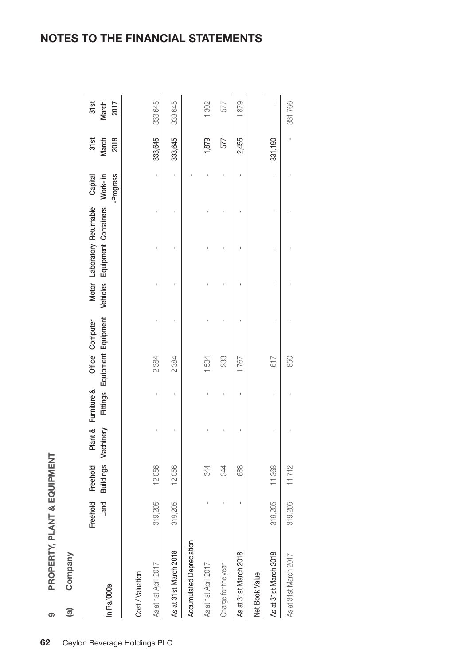PROPERTY, PLANT & EQUIPMENT **PROPERTY, PLANT & EQUIPMENT**

**9**

Company **(a) Company**  $\widehat{a}$ 

| In Rs.'000s              | Land    | Freehold Freehold | Plant & Furniture & Office Computer |       | Buildings Machinery Fittings Equipment Equipment | Vehicles Equipment Containers Work- in<br>Motor Laboratory Returnable Capital | -Progress | 2018<br>31st<br>March | 31st<br>March<br>2017 |
|--------------------------|---------|-------------------|-------------------------------------|-------|--------------------------------------------------|-------------------------------------------------------------------------------|-----------|-----------------------|-----------------------|
| Cost / Valuation         |         |                   |                                     |       |                                                  |                                                                               |           |                       |                       |
| As at 1st April 2017     | 319,205 | 12,056            |                                     | 2,384 |                                                  |                                                                               |           | 333,645               | 333,645               |
| As at 31st March 2018    | 319,205 | 12,056            |                                     | 2,384 |                                                  |                                                                               |           | 333,645               | 333,645               |
| Accumulated Depreciation |         |                   |                                     |       |                                                  |                                                                               |           |                       |                       |
| As at 1st April 2017     |         | 344               |                                     | 1,534 |                                                  |                                                                               |           | 1,879                 | 1,302                 |
| Charge for the year      |         | 344               |                                     | 233   |                                                  |                                                                               |           | 577                   | 577                   |
| As at 31st March 2018    |         | 688               |                                     | 1,767 |                                                  |                                                                               |           | 2,455                 | 1,879                 |
| Net Book Value           |         |                   |                                     |       |                                                  |                                                                               |           |                       |                       |
| As at 31st March 2018    | 319,205 | 11,368            |                                     | 617   |                                                  |                                                                               |           | 331,190               |                       |
| As at 31st March 2017    | 319,205 | 11,712            |                                     | 850   |                                                  |                                                                               |           |                       | 331,766               |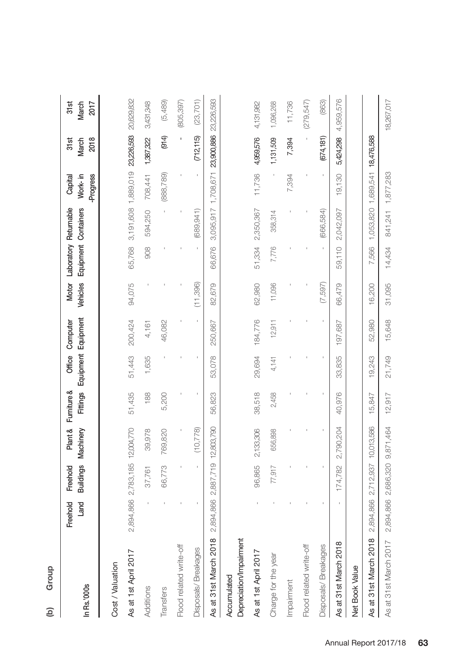| In Rs.'000s                           | Land<br>Freehold | Freehold                       | Plant &<br>Buildings Machinery | Fumiture & |        | Fittings Equipment Equipment<br>Office Computer |           |        | Vehicles Equipment Containers<br>Motor Laboratory Returnable | -Progress<br>Work- in<br>Capital | 2018<br>31st<br>March          | 31 st<br>March<br>2017 |
|---------------------------------------|------------------|--------------------------------|--------------------------------|------------|--------|-------------------------------------------------|-----------|--------|--------------------------------------------------------------|----------------------------------|--------------------------------|------------------------|
| Cost / Valuation                      |                  |                                |                                |            |        |                                                 |           |        |                                                              |                                  |                                |                        |
| As at 1st April 2017                  |                  | 2,894,866 2,783,185 12,004,770 |                                | 51,435     | 51,443 | 200,424                                         | 94,075    | 65,768 |                                                              |                                  | 3,191,608 1,889,019 23,226,593 | 20,629,832             |
| Additions                             |                  | 37,761                         | 39,978                         | 188        | 1,635  | 4,161                                           |           | 908    | 594,250                                                      | 708,441                          | 1,387,322                      | 3,431,348              |
| Transfers                             |                  | 66,773                         | 769,820                        | 5,200      |        | 46,082                                          |           |        |                                                              | (885,789)                        | (614)                          | (5,489)                |
| Flood related write-off               |                  |                                |                                |            |        |                                                 |           |        |                                                              |                                  |                                | (805, 397)             |
| Disposals/Breakages                   |                  |                                | (10, 778)                      |            |        |                                                 | (11, 396) |        | (689, 941)                                                   |                                  | (712, 115)                     | (23, 701)              |
| As at 31st March 2018                 |                  | 2,894,866 2,887,719            | 12,803,790                     | 56,823     | 53,078 | 250,667                                         | 82,679    | 66,676 | 3,095,917 1,708,671                                          |                                  | 23,900,886                     | 23,226,593             |
| Depreciation/Impaiment<br>Accumulated |                  |                                |                                |            |        |                                                 |           |        |                                                              |                                  |                                |                        |
| As at 1st April 2017                  |                  | 96,865                         | 2,133,306                      | 38,518     | 29,694 | 184,776                                         | 62,980    |        | 51,334 2,350,367                                             | 11,736                           | 4,959,576                      | 4,131,982              |
| Charge for the year                   |                  | 77,917                         | 656,898                        | 2,458      | 4,141  | 12,911                                          | 11,096    | 7,776  | 358,314                                                      |                                  | 1,131,509                      | 1,096,268              |
| Impairment                            |                  |                                |                                |            |        |                                                 |           |        |                                                              | 7,394                            | 7,394                          | 11,736                 |
| Flood related write-off               |                  |                                |                                |            |        |                                                 |           |        |                                                              |                                  |                                | (279, 547)             |
| Disposals/Breakages                   |                  |                                |                                |            |        |                                                 | (7,597)   |        | (666,584)                                                    |                                  | (674, 181)                     | (863)                  |
| As at 31st March 2018                 |                  | 174,782                        | 2,790,204                      | 40,976     | 33,835 | 197,687                                         | 66,479    | 59,110 | 2,042,097                                                    | 19,130                           | 5,424,298                      | 4,959,576              |
| Net Book Value                        |                  |                                |                                |            |        |                                                 |           |        |                                                              |                                  |                                |                        |
| As at 31st March 2018                 |                  | 2,894,866 2,712,937 10,013,586 |                                | 15,847     | 19,243 | 52,980                                          | 16,200    | 7,566  | 1,053,820 1,689,541 18,476,588                               |                                  |                                |                        |
| As at 31st March 2017                 |                  | 2,894,866 2,686,320 9,871,464  |                                | 12,917     | 21,749 | 15,648                                          | 31,095    | 14,434 |                                                              | 841,241 1,877,283                |                                | 18,267,017             |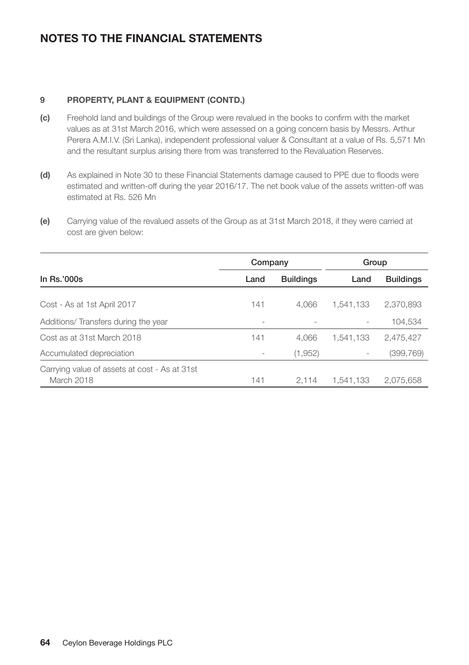#### **9 PROPERTY, PLANT & EQUIPMENT (CONTD.)**

- **(c)** Freehold land and buildings of the Group were revalued in the books to confirm with the market values as at 31st March 2016, which were assessed on a going concern basis by Messrs. Arthur Perera A.M.I.V. (Sri Lanka), independent professional valuer & Consultant at a value of Rs. 5,571 Mn and the resultant surplus arising there from was transferred to the Revaluation Reserves.
- **(d)** As explained in Note 30 to these Financial Statements damage caused to PPE due to floods were estimated and written-off during the year 2016/17. The net book value of the assets written-off was estimated at Rs. 526 Mn
- **(e)** Carrying value of the revalued assets of the Group as at 31st March 2018, if they were carried at cost are given below:

|                                                             | Company |                  | Group     |                  |
|-------------------------------------------------------------|---------|------------------|-----------|------------------|
| In $Rs.'000s$                                               | Land    | <b>Buildings</b> | Land      | <b>Buildings</b> |
| Cost - As at 1st April 2017                                 | 141     | 4.066            | 1.541.133 | 2,370,893        |
| Additions/Transfers during the year                         |         |                  |           | 104,534          |
| Cost as at 31st March 2018                                  | 141     | 4.066            | 1.541.133 | 2,475,427        |
| Accumulated depreciation                                    |         | (1,952)          |           | (399, 769)       |
| Carrying value of assets at cost - As at 31st<br>March 2018 | 141     | 2.114            | 1.541.133 | 2,075,658        |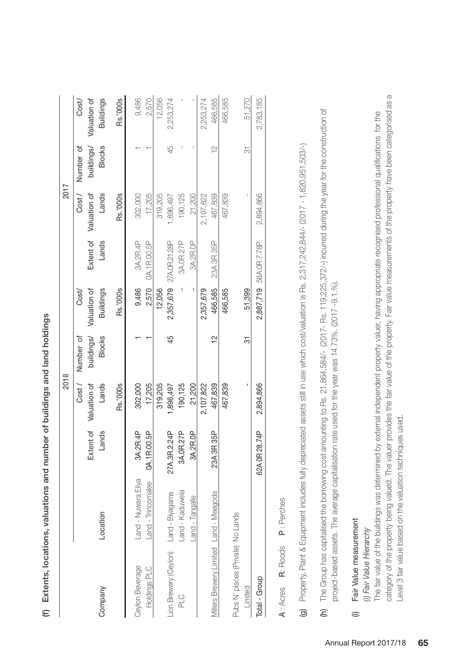| J<br>D.<br>ţ<br>ï<br>5<br>J<br>I                                                                  |
|---------------------------------------------------------------------------------------------------|
| ¢<br>ļ                                                                                            |
| ĵ<br>۱<br>í<br>j<br>¢                                                                             |
| Ù<br>Ś<br>i<br>ì<br>5<br>š                                                                        |
| ï<br>i<br>ŝ                                                                                       |
| ş<br>$\frac{1}{2}$<br>Ï<br><b>CONTRACT</b><br>j<br>Í                                              |
| č<br>֦֦֧֦֧֦֧֦֦֧֦֧ׅ֦֧ׅ֦֦֧֦֧֦֧֦֧֦֧֧֧֪֪֪֧֪֚֚֚֚֚֚֚֚֚֚֚֚֚֚֚֚֚֚֬֘֟֓֡֟֓֡֟֓֡֓֞֡֜֓֞֬֜֓֞֓֞֡֬֞֝֬֝֬֞֝֬֝֬֝֬֝֬֝ |
| U<br>١<br>j<br>ï<br>Í<br>١<br>i<br>í<br>I<br>S<br>O<br>ĭ                                          |
| Ù<br>J<br>č<br>i<br>ì<br>Ī<br>١<br>֡֡֡֡֡֡֡֡<br>I<br>¢<br>١<br>Í                                   |
| nte<br>$\frac{1}{2}$<br>"ter"<br>ш                                                                |
| G<br>í                                                                                            |

|                                        |                     |                    | 2018                  |                                  |                                                      |                         | 2017                            |                                                |                                           |
|----------------------------------------|---------------------|--------------------|-----------------------|----------------------------------|------------------------------------------------------|-------------------------|---------------------------------|------------------------------------------------|-------------------------------------------|
| Company                                | Location            | Extent of<br>Lands | Valuation of<br>Lands | <b>Blocks</b><br>Cost/ Number of | buildings/ Valuation of<br><b>Buildings</b><br>Cost/ | Lands                   | Extent of Valuation of<br>Lands | <b>Blocks</b><br>buildings/<br>Cost/ Number of | <b>Buildings</b><br>Valuation of<br>Cost/ |
|                                        |                     |                    | Rs.'000s              |                                  | Rs.'000s                                             |                         | Rs.'000s                        |                                                | Rs.'000s                                  |
| Ceylon Beverage                        | Land - Nuwara Eliya | 3A.2R.4P           | 302,000               |                                  | 9,486                                                | 3A.2R.4P                | 302,000                         |                                                | 9,486                                     |
| Holdings PLC                           | Land - Trincomalee  | 0A.1R.00.5P        | 17,205                |                                  |                                                      | 2,570 OA.1R.00.5P       | 17,205                          |                                                | 2,570                                     |
|                                        |                     |                    | 319,205               |                                  | 12,056                                               |                         | 319,205                         |                                                | 12,056                                    |
| Lion Brewery (Ceylon) Land - Biyagama  |                     | 27A.3R.2.24P       | ,896,497              | 45                               |                                                      | 2,357,679 27A.0R.21.28P | ,896,497                        | 45                                             | 2,253,274                                 |
| <u>o</u> ld                            | Land - Kaduwela     | 3A. OR .27P        | 190,125               |                                  |                                                      | 3A.0R.27P               | 190,125                         |                                                |                                           |
|                                        | Land - Tangalle     | 3A.2R.0P           | 21,200                |                                  |                                                      | 3A.2R.0P                | 21,200                          |                                                |                                           |
|                                        |                     |                    | 2,107,822             |                                  | 2,357,679                                            |                         | 2,107,822                       |                                                | 2,253,274                                 |
| Millers Brewery Limited Land - Meegoda |                     | 23A 3R 35P         | 467,839               | $\approx$                        | 466,585                                              | 23A 3R 35P              | 467,839                         | $\frac{1}{2}$                                  | 466,585                                   |
|                                        |                     |                    | 467,839               |                                  | 466,585                                              |                         | 467,839                         |                                                | 466,585                                   |
| Pubs N' places (Private) No Lands      |                     |                    |                       |                                  |                                                      |                         |                                 |                                                |                                           |
| Limited                                |                     |                    |                       | 5                                | 51,399                                               |                         |                                 | 5                                              | 51,270                                    |
| Total - Group                          |                     | 62A OR 28.74P      | 2,894,866             |                                  |                                                      | 2.887,719 58A.OR.7.78P. | 2,894,866                       |                                                | 2,783,185                                 |
|                                        |                     |                    |                       |                                  |                                                      |                         |                                 |                                                |                                           |

P: Perches A : Acres R: Roods P : Perches A: Acres R: Roods (g) Property, Plant & Equipment includes fully depreciated assets still in use which cost/valuation is Rs. 2,317,242,844/- (2017 - 1,820,951,503/-) (g) Property, Plant & Equipment includes fully depreciated assets still in use which cost/valuation is Rs. 2,317,242,844/- (2017 - 1,820,951,503/-)

The Group has capitalised the borrowing cost amounting to Rs. 21,864,584/- (2017-Rs. 119,225,372/-) incurred during the year for the construction of (h) The Group has capitalised the borrowing cost amounting to Rs. 21,864,584/- (2017- Rs. 119,225,372/-) incurred during the year for the construction of project-based assets. The average capitalisation rate used for the year was 14.73%. (2017 -9.1.%). project-based assets. The average capitalisation rate used for the year was 14.73%. (2017 -9.1.%).  $\widehat{E}$ 

# Fair Value measurement (i) Fair Value measurement  $\equiv$

# (i) Fair Value Hierarchy *(i) Fair Value Hierarchy*

category of the property being valued. The valuer provides the fair value of the property. Fair value measurements of the property have been categorised as a category of the property being valued. The valuer provides the fair value of the property. Fair value measurements of the property have been categorised as a The fair value of the buildings was determined by external independent property valuer, having appropriate recognised professional qualifications for the The fair value of the buildings was determined by external independent property valuer, having appropriate recognised professional qualifications for the evel 3 fair value based on the valuation techniques used. Level 3 fair value based on the valuation techniques used.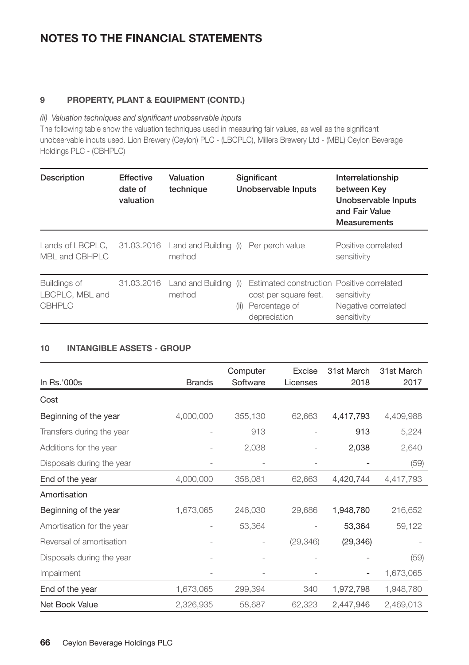#### **9 PROPERTY, PLANT & EQUIPMENT (CONTD.)**

#### *(ii) Valuation techniques and significant unobservable inputs*

The following table show the valuation techniques used in measuring fair values, as well as the significant unobservable inputs used. Lion Brewery (Ceylon) PLC - (LBCPLC), Millers Brewery Ltd - (MBL) Ceylon Beverage Holdings PLC - (CBHPLC)

| Description                                      | <b>Effective</b><br>date of<br>valuation | Valuation<br>technique                          |      | Significant<br>Unobservable Inputs                                                                   | Interrelationship<br>between Key<br>Unobservable Inputs<br>and Fair Value<br><b>Measurements</b> |
|--------------------------------------------------|------------------------------------------|-------------------------------------------------|------|------------------------------------------------------------------------------------------------------|--------------------------------------------------------------------------------------------------|
| Lands of LBCPLC,<br>MBL and CBHPLC               | 31.03.2016                               | Land and Building (i) Per perch value<br>method |      |                                                                                                      | Positive correlated<br>sensitivity                                                               |
| Buildings of<br>LBCPLC, MBL and<br><b>CBHPLC</b> | 31.03.2016                               | Land and Building (i)<br>method                 | (ii) | Estimated construction Positive correlated<br>cost per square feet.<br>Percentage of<br>depreciation | sensitivity<br>Negative correlated<br>sensitivity                                                |

#### **10 INTANGIBLE ASSETS - GROUP**

| In Rs.'000s               | <b>Brands</b> | Computer<br>Software | Excise<br>Licenses       | 31st March<br>2018 | 31st March<br>2017 |
|---------------------------|---------------|----------------------|--------------------------|--------------------|--------------------|
| Cost                      |               |                      |                          |                    |                    |
| Beginning of the year     | 4,000,000     | 355,130              | 62,663                   | 4,417,793          | 4,409,988          |
| Transfers during the year |               | 913                  |                          | 913                | 5,224              |
| Additions for the year    |               | 2,038                |                          | 2,038              | 2,640              |
| Disposals during the year |               | $\overline{a}$       | $\overline{\phantom{0}}$ |                    | (59)               |
| End of the year           | 4,000,000     | 358,081              | 62,663                   | 4,420,744          | 4,417,793          |
| Amortisation              |               |                      |                          |                    |                    |
| Beginning of the year     | 1,673,065     | 246,030              | 29,686                   | 1,948,780          | 216,652            |
| Amortisation for the year |               | 53,364               |                          | 53,364             | 59,122             |
| Reversal of amortisation  |               |                      | (29, 346)                | (29, 346)          |                    |
| Disposals during the year |               | $\overline{a}$       |                          |                    | (59)               |
| Impairment                |               |                      |                          |                    | 1,673,065          |
| End of the year           | 1,673,065     | 299,394              | 340                      | 1,972,798          | 1,948,780          |
| Net Book Value            | 2,326,935     | 58,687               | 62,323                   | 2,447,946          | 2,469,013          |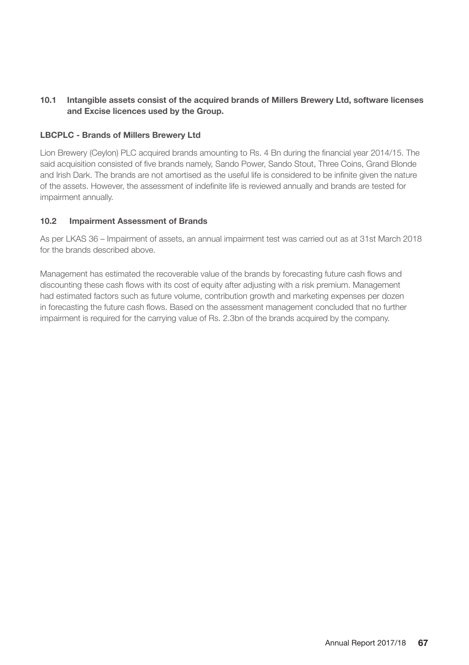#### **10.1 Intangible assets consist of the acquired brands of Millers Brewery Ltd, software licenses and Excise licences used by the Group.**

#### **LBCPLC - Brands of Millers Brewery Ltd**

Lion Brewery (Ceylon) PLC acquired brands amounting to Rs. 4 Bn during the financial year 2014/15. The said acquisition consisted of five brands namely, Sando Power, Sando Stout, Three Coins, Grand Blonde and Irish Dark. The brands are not amortised as the useful life is considered to be infinite given the nature of the assets. However, the assessment of indefinite life is reviewed annually and brands are tested for impairment annually.

#### **10.2 Impairment Assessment of Brands**

As per LKAS 36 – Impairment of assets, an annual impairment test was carried out as at 31st March 2018 for the brands described above.

Management has estimated the recoverable value of the brands by forecasting future cash flows and discounting these cash flows with its cost of equity after adjusting with a risk premium. Management had estimated factors such as future volume, contribution growth and marketing expenses per dozen in forecasting the future cash flows. Based on the assessment management concluded that no further impairment is required for the carrying value of Rs. 2.3bn of the brands acquired by the company.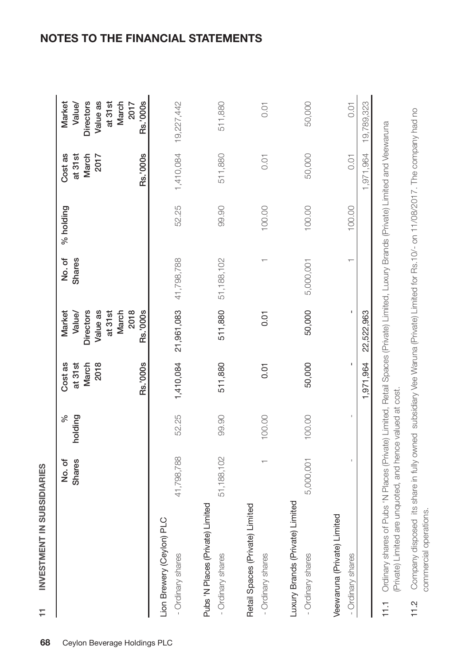|                                                       | Shares<br>No. of | holding<br>$\%$ | Cost as<br>at 31st        | Value/<br>Market                                              | No. of<br>Shares | % holding | Cost as<br>at 31st        | Market<br>Value/                                              |
|-------------------------------------------------------|------------------|-----------------|---------------------------|---------------------------------------------------------------|------------------|-----------|---------------------------|---------------------------------------------------------------|
|                                                       |                  |                 | March<br>2018<br>Rs.'000s | Directors<br>Value as<br>March<br>2018<br>Rs.'000s<br>at 31st |                  |           | Rs.'000s<br>March<br>2017 | Directors<br>Value as<br>Rs.'000s<br>March<br>at 31st<br>2017 |
| Lion Brewery (Ceylon) PLC<br>- Ordinary shares        | 41,798,788       | 52.25           |                           | 1,410,084 21,961,083 41,798,788                               |                  | 52.25     | 1,410,084                 | 19,227,442                                                    |
| Pubs 'N Places (Private) Limited<br>- Ordinary shares | 51,188,102       | 99.90           | 511,880                   | 511,880                                                       | 51,188,102       | 99.90     | 511,880                   | 511,880                                                       |
| Retail Spaces (Private) Limited<br>- Ordinary shares  |                  | 100.00          | 0.01                      | 0.01                                                          |                  | 100.00    | 0.01                      | 0.01                                                          |
| Luxury Brands (Private) Limited<br>- Ordinary shares  | 5,000,001        | 100.00          | 50,000                    | 50,000                                                        | 5,000,001        | 100.00    | 50,000                    | 50,000                                                        |
| Veewaruna (Private) Limited<br>- Ordinary shares      |                  |                 |                           |                                                               |                  | 100.00    | 0.01                      | 0.01                                                          |
|                                                       |                  |                 | 1,971,964                 | 22,522,963                                                    |                  |           | 1,971,964                 | 19,789,323                                                    |

Company disposed its share in fully owned subsidiary Vee Waruna (Private) Limited for Rs.10/- on 11/08/2017. The company had no 11.2 Company disposed its share in fully owned subsidiary Vee Waruna (Private) Limited for Rs.10/- on 11/08/2017. The company had no commercial operations. commercial operations. $11.2$ 

# **NOTES TO THE FINANCIAL STATEMENTS**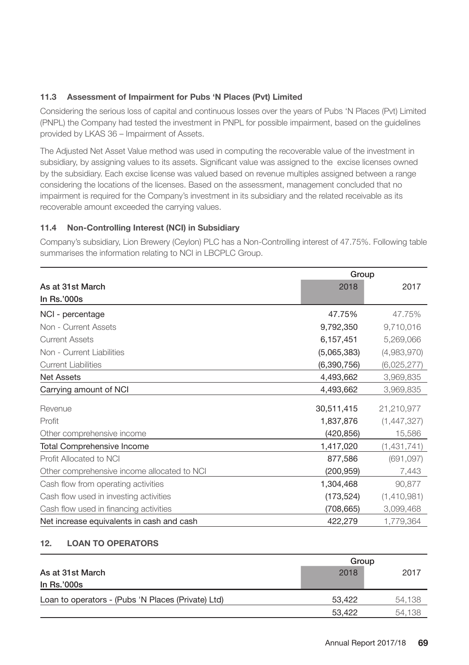#### **11.3 Assessment of Impairment for Pubs 'N Places (Pvt) Limited**

Considering the serious loss of capital and continuous losses over the years of Pubs 'N Places (Pvt) Limited (PNPL) the Company had tested the investment in PNPL for possible impairment, based on the guidelines provided by LKAS 36 – Impairment of Assets.

The Adjusted Net Asset Value method was used in computing the recoverable value of the investment in subsidiary, by assigning values to its assets. Significant value was assigned to the excise licenses owned by the subsidiary. Each excise license was valued based on revenue multiples assigned between a range considering the locations of the licenses. Based on the assessment, management concluded that no impairment is required for the Company's investment in its subsidiary and the related receivable as its recoverable amount exceeded the carrying values.

#### **11.4 Non-Controlling Interest (NCI) in Subsidiary**

Company's subsidiary, Lion Brewery (Ceylon) PLC has a Non-Controlling interest of 47.75%. Following table summarises the information relating to NCI in LBCPLC Group.

|                                             | Group       |             |
|---------------------------------------------|-------------|-------------|
| As at 31st March                            | 2018        | 2017        |
| In Rs.'000s                                 |             |             |
| NCI - percentage                            | 47.75%      | 47.75%      |
| Non - Current Assets                        | 9,792,350   | 9,710,016   |
| <b>Current Assets</b>                       | 6,157,451   | 5,269,066   |
| Non - Current Liabilities                   | (5,065,383) | (4,983,970) |
| <b>Current Liabilities</b>                  | (6,390,756) | (6,025,277) |
| <b>Net Assets</b>                           | 4,493,662   | 3,969,835   |
| Carrying amount of NCI                      | 4,493,662   | 3,969,835   |
| Revenue                                     | 30,511,415  | 21,210,977  |
| Profit                                      | 1,837,876   | (1,447,327) |
| Other comprehensive income                  | (420, 856)  | 15,586      |
| <b>Total Comprehensive Income</b>           | 1,417,020   | (1,431,741) |
| Profit Allocated to NCI                     | 877,586     | (691, 097)  |
| Other comprehensive income allocated to NCI | (200, 959)  | 7,443       |
| Cash flow from operating activities         | 1,304,468   | 90,877      |
| Cash flow used in investing activities      | (173, 524)  | (1,410,981) |
| Cash flow used in financing activities      | (708, 665)  | 3,099,468   |
| Net increase equivalents in cash and cash   | 422,279     | 1,779,364   |

#### **12. LOAN TO OPERATORS**

|                                                    | Group  |        |
|----------------------------------------------------|--------|--------|
| As at 31st March                                   | 2018   | 2017   |
| In Rs.'000s                                        |        |        |
| Loan to operators - (Pubs 'N Places (Private) Ltd) | 53.422 | 54,138 |
|                                                    | 53.422 | 54.    |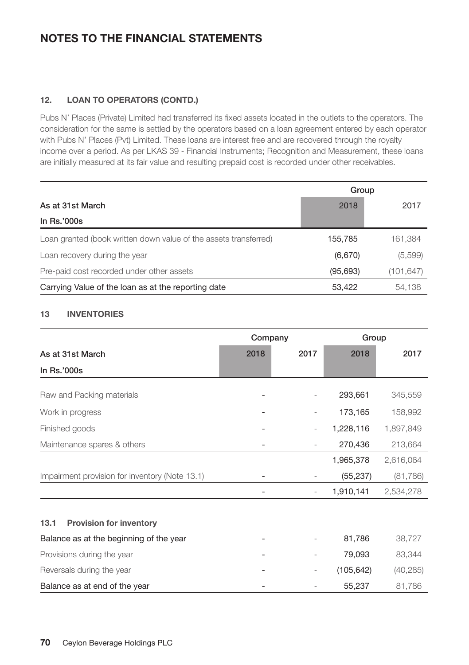#### **12. LOAN TO OPERATORS (CONTD.)**

Pubs N' Places (Private) Limited had transferred its fixed assets located in the outlets to the operators. The consideration for the same is settled by the operators based on a loan agreement entered by each operator with Pubs N' Places (Pvt) Limited. These loans are interest free and are recovered through the royalty income over a period. As per LKAS 39 - Financial Instruments; Recognition and Measurement, these loans are initially measured at its fair value and resulting prepaid cost is recorded under other receivables.

|                                                                  | Group     |            |  |
|------------------------------------------------------------------|-----------|------------|--|
| As at 31st March                                                 | 2018      | 2017       |  |
| In Rs.'000s                                                      |           |            |  |
| Loan granted (book written down value of the assets transferred) | 155,785   | 161,384    |  |
| Loan recovery during the year                                    | (6,670)   | (5,599)    |  |
| Pre-paid cost recorded under other assets                        | (95, 693) | (101, 647) |  |
| Carrying Value of the loan as at the reporting date              | 53,422    | 54.138     |  |

#### **13 INVENTORIES**

|                                                | Company |      | Group      |           |
|------------------------------------------------|---------|------|------------|-----------|
| As at 31st March                               | 2018    | 2017 | 2018       | 2017      |
| In Rs.'000s                                    |         |      |            |           |
| Raw and Packing materials                      |         |      | 293,661    | 345,559   |
| Work in progress                               |         |      | 173,165    | 158,992   |
| Finished goods                                 |         |      | 1,228,116  | 1,897,849 |
| Maintenance spares & others                    |         |      | 270,436    | 213,664   |
|                                                |         |      | 1,965,378  | 2,616,064 |
| Impairment provision for inventory (Note 13.1) |         |      | (55, 237)  | (81,786)  |
|                                                |         |      | 1,910,141  | 2,534,278 |
| 13.1<br><b>Provision for inventory</b>         |         |      |            |           |
| Balance as at the beginning of the year        |         |      | 81,786     | 38,727    |
| Provisions during the year                     |         |      | 79,093     | 83,344    |
| Reversals during the year                      |         |      | (105, 642) | (40, 285) |
| Balance as at end of the year                  |         |      | 55,237     | 81,786    |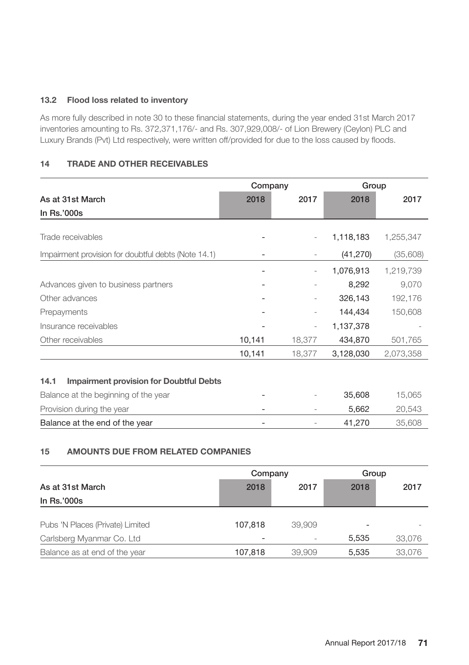## **13.2 Flood loss related to inventory**

As more fully described in note 30 to these financial statements, during the year ended 31st March 2017 inventories amounting to Rs. 372,371,176/- and Rs. 307,929,008/- of Lion Brewery (Ceylon) PLC and Luxury Brands (Pvt) Ltd respectively, were written off/provided for due to the loss caused by floods.

## **14 TRADE AND OTHER RECEIVABLES**

|                                                     | Company |        | Group     |           |
|-----------------------------------------------------|---------|--------|-----------|-----------|
| As at 31st March                                    | 2018    | 2017   | 2018      | 2017      |
| In Rs.'000s                                         |         |        |           |           |
|                                                     |         |        |           |           |
| Trade receivables                                   |         |        | 1,118,183 | 1,255,347 |
| Impairment provision for doubtful debts (Note 14.1) |         |        | (41, 270) | (35,608)  |
|                                                     |         |        | 1,076,913 | 1,219,739 |
| Advances given to business partners                 |         |        | 8,292     | 9,070     |
| Other advances                                      |         |        | 326,143   | 192,176   |
| Prepayments                                         |         |        | 144,434   | 150,608   |
| Insurance receivables                               |         |        | 1,137,378 |           |
| Other receivables                                   | 10,141  | 18,377 | 434,870   | 501,765   |
|                                                     | 10,141  | 18,377 | 3,128,030 | 2,073,358 |
|                                                     |         |        |           |           |

## **14.1 Impairment provision for Doubtful Debts**

| Balance at the end of the year       |   |   | 41.270 | 35.608 |
|--------------------------------------|---|---|--------|--------|
| Provision during the year            | - | - | 5.662  | 20.543 |
| Balance at the beginning of the year |   |   | 35,608 | 15.065 |

## **15 AMOUNTS DUE FROM RELATED COMPANIES**

|                                  | Company |        | Group |        |
|----------------------------------|---------|--------|-------|--------|
| As at 31st March                 | 2018    | 2017   | 2018  | 2017   |
| In Rs.'000s                      |         |        |       |        |
|                                  |         |        |       |        |
| Pubs 'N Places (Private) Limited | 107.818 | 39,909 |       |        |
| Carlsberg Myanmar Co. Ltd        |         |        | 5.535 | 33,076 |
| Balance as at end of the year    | 107.818 | 39,909 | 5.535 | 33,076 |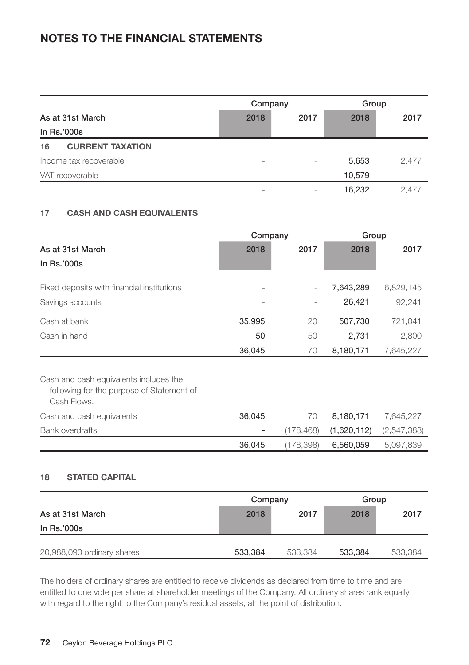|                               | Company                  |                          | Group  |       |
|-------------------------------|--------------------------|--------------------------|--------|-------|
| As at 31st March              | 2018                     | 2017                     | 2018   | 2017  |
| In Rs.'000s                   |                          |                          |        |       |
| 16<br><b>CURRENT TAXATION</b> |                          |                          |        |       |
| Income tax recoverable        | $\qquad \qquad$          | $\overline{\phantom{0}}$ | 5,653  | 2.477 |
| VAT recoverable               | $\overline{\phantom{a}}$ | $\overline{\phantom{a}}$ | 10.579 |       |
|                               |                          |                          | 16.232 | 2.477 |

## **17 CASH AND CASH EQUIVALENTS**

|                                                                                                    | Company |            | Group       |             |
|----------------------------------------------------------------------------------------------------|---------|------------|-------------|-------------|
| As at 31st March                                                                                   | 2018    | 2017       | 2018        | 2017        |
| In Rs.'000s                                                                                        |         |            |             |             |
|                                                                                                    |         |            |             |             |
| Fixed deposits with financial institutions                                                         |         |            | 7,643,289   | 6,829,145   |
| Savings accounts                                                                                   |         |            | 26,421      | 92,241      |
| Cash at bank                                                                                       | 35,995  | 20         | 507,730     | 721,041     |
| Cash in hand                                                                                       | 50      | 50         | 2,731       | 2,800       |
|                                                                                                    | 36,045  | 70         | 8,180,171   | 7,645,227   |
| Cash and cash equivalents includes the<br>following for the purpose of Statement of<br>Cash Flows. |         |            |             |             |
| Cash and cash equivalents                                                                          | 36,045  | 70         | 8,180,171   | 7,645,227   |
| <b>Bank overdrafts</b>                                                                             |         | (178, 468) | (1,620,112) | (2,547,388) |
|                                                                                                    | 36,045  | (178, 398) | 6,560,059   | 5,097,839   |

## **18 STATED CAPITAL**

|                            | Company |         | Group   |         |
|----------------------------|---------|---------|---------|---------|
| As at 31st March           | 2018    | 2017    | 2018    | 2017    |
| In Rs.'000s                |         |         |         |         |
|                            |         |         |         |         |
| 20,988,090 ordinary shares | 533.384 | 533,384 | 533,384 | 533,384 |

The holders of ordinary shares are entitled to receive dividends as declared from time to time and are entitled to one vote per share at shareholder meetings of the Company. All ordinary shares rank equally with regard to the right to the Company's residual assets, at the point of distribution.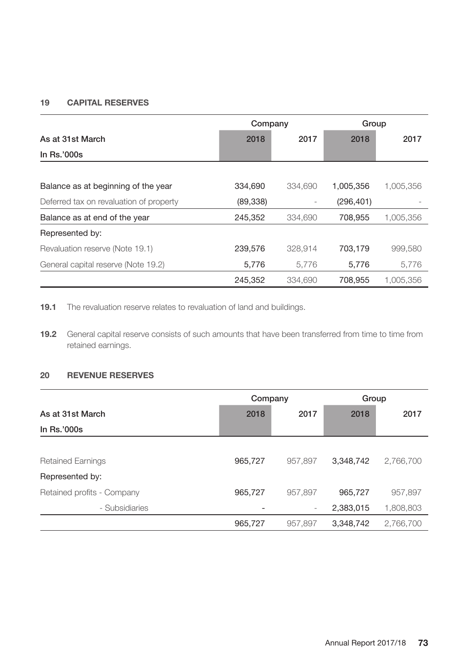## **19 CAPITAL RESERVES**

|                                         | Company   |         | Group      |           |  |
|-----------------------------------------|-----------|---------|------------|-----------|--|
| As at 31st March                        | 2018      | 2017    | 2018       | 2017      |  |
| In $Rs.'000s$                           |           |         |            |           |  |
|                                         |           |         |            |           |  |
| Balance as at beginning of the year     | 334,690   | 334.690 | 1,005,356  | 1,005,356 |  |
| Deferred tax on revaluation of property | (89, 338) |         | (296, 401) |           |  |
| Balance as at end of the year           | 245,352   | 334.690 | 708.955    | 1,005,356 |  |
| Represented by:                         |           |         |            |           |  |
| Revaluation reserve (Note 19.1)         | 239,576   | 328,914 | 703.179    | 999.580   |  |
| General capital reserve (Note 19.2)     | 5.776     | 5.776   | 5.776      | 5,776     |  |
|                                         | 245,352   | 334.690 | 708.955    | 1.005.356 |  |

**19.1** The revaluation reserve relates to revaluation of land and buildings.

**19.2** General capital reserve consists of such amounts that have been transferred from time to time from retained earnings.

## **20 REVENUE RESERVES**

|                            | Company |         | Group     |           |  |
|----------------------------|---------|---------|-----------|-----------|--|
| As at 31st March           | 2018    | 2017    | 2018      | 2017      |  |
| In Rs.'000s                |         |         |           |           |  |
|                            |         |         |           |           |  |
| <b>Retained Earnings</b>   | 965,727 | 957,897 | 3,348,742 | 2,766,700 |  |
| Represented by:            |         |         |           |           |  |
| Retained profits - Company | 965,727 | 957,897 | 965,727   | 957,897   |  |
| - Subsidiaries             |         |         | 2,383,015 | 1,808,803 |  |
|                            | 965,727 | 957,897 | 3,348,742 | 2,766,700 |  |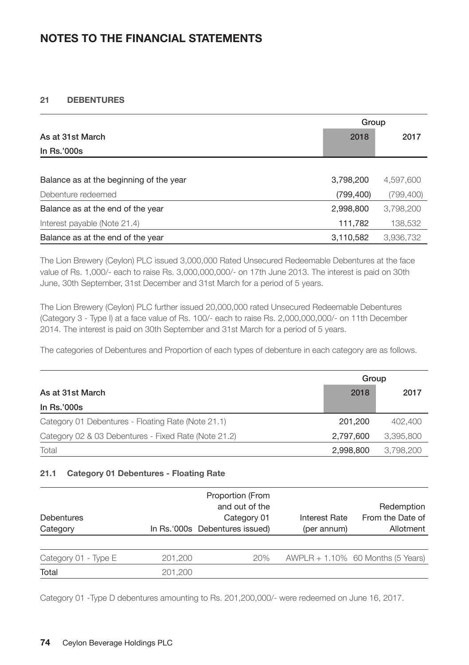## **21 DEBENTURES**

|                                         | Group      |            |  |
|-----------------------------------------|------------|------------|--|
| As at 31st March                        | 2018       | 2017       |  |
| In Rs.'000s                             |            |            |  |
|                                         |            |            |  |
| Balance as at the beginning of the year | 3,798,200  | 4,597,600  |  |
| Debenture redeemed                      | (799, 400) | (799, 400) |  |
| Balance as at the end of the year       | 2,998,800  | 3,798,200  |  |
| Interest payable (Note 21.4)            | 111,782    | 138,532    |  |
| Balance as at the end of the year       | 3,110,582  | 3,936,732  |  |

The Lion Brewery (Ceylon) PLC issued 3,000,000 Rated Unsecured Redeemable Debentures at the face value of Rs. 1,000/- each to raise Rs. 3,000,000,000/- on 17th June 2013. The interest is paid on 30th June, 30th September, 31st December and 31st March for a period of 5 years.

The Lion Brewery (Ceylon) PLC further issued 20,000,000 rated Unsecured Redeemable Debentures (Category 3 - Type I) at a face value of Rs. 100/- each to raise Rs. 2,000,000,000/- on 11th December 2014. The interest is paid on 30th September and 31st March for a period of 5 years.

The categories of Debentures and Proportion of each types of debenture in each category are as follows.

|                                                      |           | Group     |
|------------------------------------------------------|-----------|-----------|
| As at 31st March                                     | 2018      | 2017      |
| In Rs.'000s                                          |           |           |
| Category 01 Debentures - Floating Rate (Note 21.1)   | 201.200   | 402,400   |
| Category 02 & 03 Debentures - Fixed Rate (Note 21.2) | 2.797.600 | 3.395.800 |
| Total                                                | 2.998.800 | 3.798.200 |

## **21.1 Category 01 Debentures - Floating Rate**

| <b>Debentures</b><br>Category |         | Proportion (From<br>and out of the<br>Category 01<br>In Rs.'000s Debentures issued) | <b>Interest Rate</b><br>(per annum) | Redemption<br>From the Date of<br>Allotment |
|-------------------------------|---------|-------------------------------------------------------------------------------------|-------------------------------------|---------------------------------------------|
|                               |         |                                                                                     |                                     |                                             |
| Category 01 - Type E          | 201.200 | 20%                                                                                 |                                     | $AWPLR + 1.10\%$ 60 Months (5 Years)        |
| Total                         | 201,200 |                                                                                     |                                     |                                             |

Category 01 -Type D debentures amounting to Rs. 201,200,000/- were redeemed on June 16, 2017.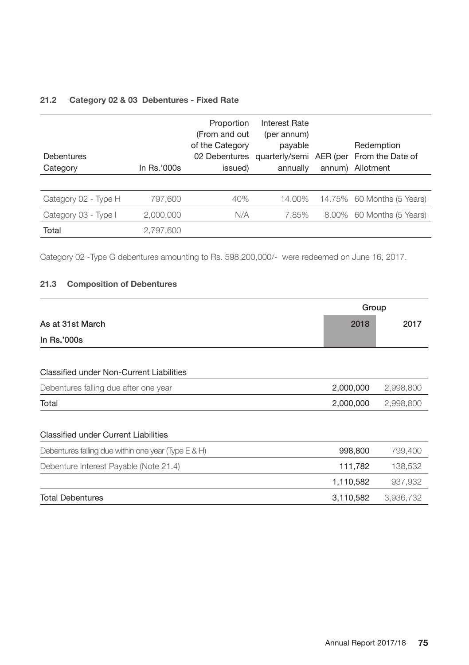## **21.2 Category 02 & 03 Debentures - Fixed Rate**

| Debentures<br>Category | In Rs.'000s | Proportion<br>(From and out<br>of the Category<br>02 Debentures<br>issued) | Interest Rate<br>(per annum)<br>payable<br>annually | Redemption<br>quarterly/semi AER (per From the Date of<br>annum) Allotment |
|------------------------|-------------|----------------------------------------------------------------------------|-----------------------------------------------------|----------------------------------------------------------------------------|
|                        |             |                                                                            |                                                     |                                                                            |
| Category 02 - Type H   | 797,600     | 40%                                                                        | 14.00%                                              | 14.75% 60 Months (5 Years)                                                 |
| Category 03 - Type I   | 2.000.000   | N/A                                                                        | 7.85%                                               | 8.00% 60 Months (5 Years)                                                  |
| Total                  | 2,797,600   |                                                                            |                                                     |                                                                            |

Category 02 -Type G debentures amounting to Rs. 598,200,000/- were redeemed on June 16, 2017.

## **21.3 Composition of Debentures**

|                                                        | Group     |           |
|--------------------------------------------------------|-----------|-----------|
| As at 31st March                                       | 2018      | 2017      |
| In Rs.'000s                                            |           |           |
|                                                        |           |           |
| <b>Classified under Non-Current Liabilities</b>        |           |           |
| Debentures falling due after one year                  | 2,000,000 | 2,998,800 |
| Total                                                  | 2,000,000 | 2,998,800 |
|                                                        |           |           |
| Classified under Current Liabilities                   |           |           |
| Debentures falling due within one year (Type $E 8 H$ ) | 998,800   | 799,400   |
| Debenture Interest Payable (Note 21.4)                 | 111,782   | 138,532   |
|                                                        | 1,110,582 | 937,932   |
| <b>Total Debentures</b>                                | 3,110,582 | 3,936,732 |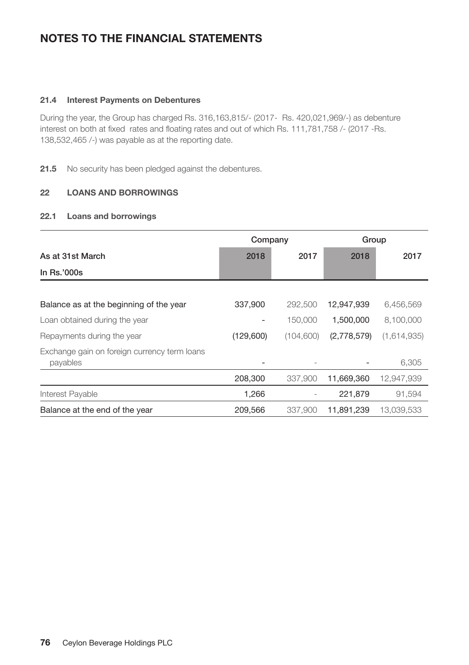#### **21.4 Interest Payments on Debentures**

During the year, the Group has charged Rs. 316,163,815/- (2017- Rs. 420,021,969/-) as debenture interest on both at fixed rates and floating rates and out of which Rs. 111,781,758 /- (2017 -Rs. 138,532,465 /-) was payable as at the reporting date.

**21.5** No security has been pledged against the debentures.

## **22 LOANS AND BORROWINGS**

## **22.1 Loans and borrowings**

|                                                          | Company   |           |             | Group       |  |
|----------------------------------------------------------|-----------|-----------|-------------|-------------|--|
| As at 31st March                                         | 2018      | 2017      | 2018        | 2017        |  |
| In Rs.'000s                                              |           |           |             |             |  |
|                                                          |           |           |             |             |  |
| Balance as at the beginning of the year                  | 337,900   | 292,500   | 12,947,939  | 6,456,569   |  |
| Loan obtained during the year                            |           | 150,000   | 1,500,000   | 8.100.000   |  |
| Repayments during the year                               | (129,600) | (104,600) | (2,778,579) | (1,614,935) |  |
| Exchange gain on foreign currency term loans<br>payables |           |           |             | 6,305       |  |
|                                                          | 208,300   | 337,900   | 11,669,360  | 12,947,939  |  |
| Interest Payable                                         | 1,266     |           | 221,879     | 91,594      |  |
| Balance at the end of the year                           | 209,566   | 337.900   | 11,891,239  | 13.039.533  |  |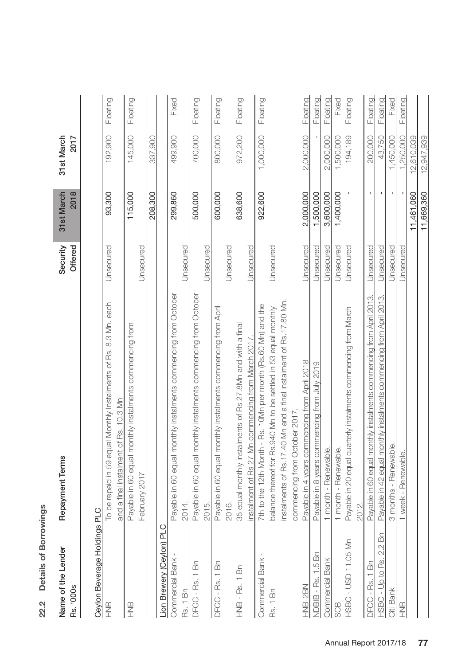| ı<br>٠<br>S |
|-------------|
| ı           |
| .,          |
|             |

| <b>Yist Marc.</b><br><b>1st March</b> | 2017<br>2018  |  |
|---------------------------------------|---------------|--|
| Securit <sub>)</sub>                  | <b>hfered</b> |  |
|                                       |               |  |
|                                       |               |  |

 $\overline{\phantom{a}}$ 

# Cevion Beverage Holdings PLC Ceylon Beverage Holdings PLC

| 9<br>NB                    | To be repaid in 59 equal Monthly Instalments of Rs. 8.3 Mn. each         | Unsecured | 93,300     | 192,900    | Floating |
|----------------------------|--------------------------------------------------------------------------|-----------|------------|------------|----------|
|                            | and a final instalment of Rs. 10.3 Mn                                    |           |            |            |          |
| 9<br>全                     | Payable in 60 equal monthly instalments commencing from                  |           | 115,000    | 145,000    | Floating |
|                            | February 2017                                                            | Unsecured |            |            |          |
|                            |                                                                          |           | 208,300    | 337,900    |          |
| Lion Brewery (Ceylon) PLC  |                                                                          |           |            |            |          |
| Commercial Bank-           | Payable in 60 equal monthly instalments commencing from October          |           | 299,860    | 499,900    | Fixed    |
| Rs. 1 Bn                   | 2014.                                                                    | Unsecured |            |            |          |
| DFCC-Rs. 1 Bn              | Payable in 60 equal monthly instalments commencing from October<br>2015. | Unsecured | 500,000    | 700,000    | Floating |
| DFCC-Rs. 1 Bn              | Payable in 60 equal monthly instalments commencing from April            |           | 600,000    | 800,000    | Floating |
|                            | 2016.                                                                    | Unsecured |            |            |          |
| HNB-Rs. 1 Bn               | 35 equal monthly instalments of Rs 27.8Mn and with a final               |           | 638,600    | 972,200    | Floating |
|                            | nstalment of Rs 27 Mn commencing from March 2017.                        | Unsecured |            |            |          |
| Commercial Bank            | 7th to the 12th Month - Rs. 10Mn per month (Rs.60 Mn) and the            |           | 922,600    | 1,000,000  | Floating |
| Rs. 1 Bn                   | balance thereof for Rs.940 Mn to be settled in 53 equal monthly          | Unsecured |            |            |          |
|                            | instalments of Rs.17.40 Mn and a final instalment of Rs.17.80 Mn.        |           |            |            |          |
|                            | commencing from October 2017                                             |           |            |            |          |
| HNB-2BN                    | Payable in 4 years commencing from April 2018                            | Unsecured | 2,000,000  | 2,000,000  | Floating |
| NDBIB-Rs. 1.5 Bn           | Payable in 8 years commencing from July 2019                             | Unsecured | 1,500,000  |            | Floating |
| Commercial Bank            | 1 month - Renewable.                                                     | Unsecured | 3,600,000  | 2,000,000  | Floating |
| SCB                        | 1 month - Renewable.                                                     | Unsecured | 1.400.000  | 1,500.000  | Fixed    |
| HSBC-USD 11.05 Mn          | Payable in 20 equal quarterly instalments commencing from March          | Unsecured |            | 194,189    | Floating |
|                            | 2012.                                                                    |           |            |            |          |
| DFCC-Rs. 1 Bn              | Payable in 60 equal monthly instalments commencing from April 2013.      | Unsecured |            | 200.000    | Floating |
| $2.2$ Bn<br>HSBC-Up to Rs. | Payable in 42 equal monthly instalments commencing from April 2013.      | Unsecured |            | 43,750     | Floating |
| Citi Bank                  | 3 months - Renewable.                                                    | Unsecured |            | 1,450,000  | Fixed    |
| 음<br>이내                    | 1 week - Renewable.                                                      | Unsecured |            | 1,250,000  | Floating |
|                            |                                                                          |           | 11.461.060 | 12.610.039 |          |
|                            |                                                                          |           | 11,669,360 | 12,947,939 |          |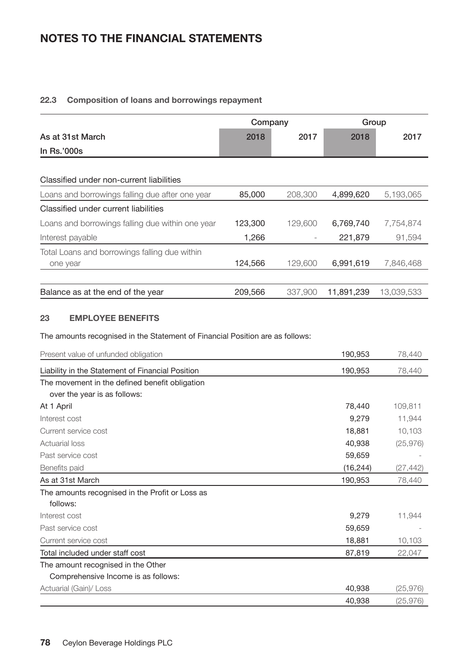## **22.3 Composition of loans and borrowings repayment**

|                                                  | Company |         |            | Group      |  |
|--------------------------------------------------|---------|---------|------------|------------|--|
| As at 31st March                                 | 2018    | 2017    | 2018       | 2017       |  |
| In Rs.'000s                                      |         |         |            |            |  |
|                                                  |         |         |            |            |  |
| Classified under non-current liabilities         |         |         |            |            |  |
| Loans and borrowings falling due after one year  | 85,000  | 208,300 | 4,899,620  | 5,193,065  |  |
| Classified under current liabilities             |         |         |            |            |  |
| Loans and borrowings falling due within one year | 123.300 | 129.600 | 6.769.740  | 7.754.874  |  |
| Interest payable                                 | 1,266   |         | 221,879    | 91,594     |  |
| Total Loans and borrowings falling due within    |         |         |            |            |  |
| one year                                         | 124,566 | 129,600 | 6,991,619  | 7,846,468  |  |
|                                                  |         |         |            |            |  |
| Balance as at the end of the year                | 209.566 | 337,900 | 11,891,239 | 13,039,533 |  |

## **23 EMPLOYEE BENEFITS**

The amounts recognised in the Statement of Financial Position are as follows:

| Present value of unfunded obligation             | 190,953   | 78.440    |
|--------------------------------------------------|-----------|-----------|
| Liability in the Statement of Financial Position | 190,953   | 78,440    |
| The movement in the defined benefit obligation   |           |           |
| over the year is as follows:                     |           |           |
| At 1 April                                       | 78,440    | 109,811   |
| Interest cost                                    | 9.279     | 11,944    |
| Current service cost                             | 18,881    | 10,103    |
| Actuarial loss                                   | 40,938    | (25, 976) |
| Past service cost                                | 59,659    |           |
| Benefits paid                                    | (16, 244) | (27,442)  |
| As at 31st March                                 | 190,953   | 78,440    |
| The amounts recognised in the Profit or Loss as  |           |           |
| follows:                                         |           |           |
| Interest cost                                    | 9.279     | 11,944    |
| Past service cost                                | 59,659    |           |
| Current service cost                             | 18,881    | 10,103    |
| Total included under staff cost                  | 87,819    | 22,047    |
| The amount recognised in the Other               |           |           |
| Comprehensive Income is as follows:              |           |           |
| Actuarial (Gain)/ Loss                           | 40.938    | (25,976)  |
|                                                  | 40,938    | (25,976)  |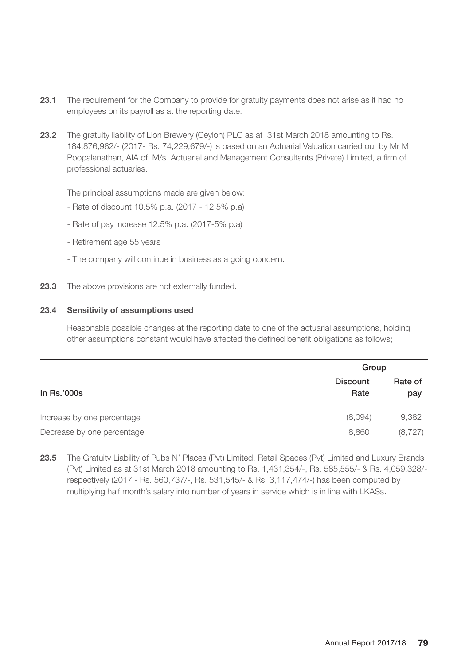- **23.1** The requirement for the Company to provide for gratuity payments does not arise as it had no employees on its payroll as at the reporting date.
- 23.2 The gratuity liability of Lion Brewery (Ceylon) PLC as at 31st March 2018 amounting to Rs. 184,876,982/- (2017- Rs. 74,229,679/-) is based on an Actuarial Valuation carried out by Mr M Poopalanathan, AIA of M/s. Actuarial and Management Consultants (Private) Limited, a firm of professional actuaries.

The principal assumptions made are given below:

- Rate of discount 10.5% p.a. (2017 12.5% p.a)
- Rate of pay increase 12.5% p.a. (2017-5% p.a)
- Retirement age 55 years
- The company will continue in business as a going concern.
- 23.3 The above provisions are not externally funded.

## **23.4 Sensitivity of assumptions used**

Reasonable possible changes at the reporting date to one of the actuarial assumptions, holding other assumptions constant would have affected the defined benefit obligations as follows;

|                            | Group                   |                |
|----------------------------|-------------------------|----------------|
| In Rs.'000s                | <b>Discount</b><br>Rate | Rate of<br>pay |
| Increase by one percentage | (8,094)                 | 9,382          |
| Decrease by one percentage | 8.860                   | (8, 727)       |

23.5 The Gratuity Liability of Pubs N' Places (Pvt) Limited, Retail Spaces (Pvt) Limited and Luxury Brands (Pvt) Limited as at 31st March 2018 amounting to Rs. 1,431,354/-, Rs. 585,555/- & Rs. 4,059,328/ respectively (2017 - Rs. 560,737/-, Rs. 531,545/- & Rs. 3,117,474/-) has been computed by multiplying half month's salary into number of years in service which is in line with LKASs.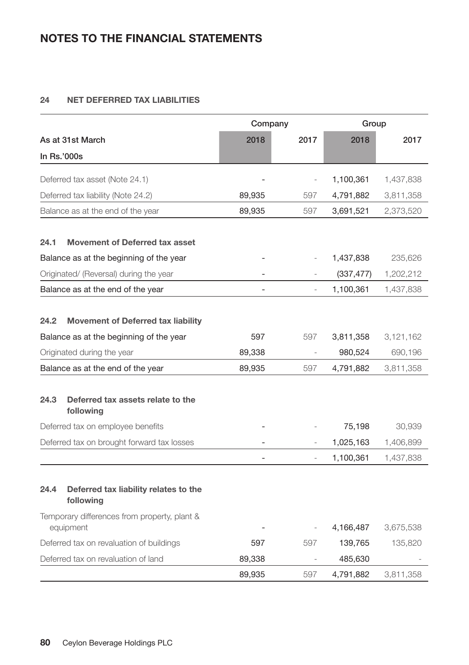## **24 NET DEFERRED TAX LIABILITIES**

|                                                                                       | Company |      | Group      |           |
|---------------------------------------------------------------------------------------|---------|------|------------|-----------|
| As at 31st March                                                                      | 2018    | 2017 | 2018       | 2017      |
| In Rs.'000s                                                                           |         |      |            |           |
| Deferred tax asset (Note 24.1)                                                        |         |      | 1,100,361  | 1,437,838 |
| Deferred tax liability (Note 24.2)                                                    | 89,935  | 597  | 4,791,882  | 3,811,358 |
| Balance as at the end of the year                                                     | 89,935  | 597  | 3,691,521  | 2,373,520 |
| <b>Movement of Deferred tax asset</b><br>24.1                                         |         |      |            |           |
| Balance as at the beginning of the year                                               |         |      | 1,437,838  | 235,626   |
| Originated/ (Reversal) during the year                                                |         |      | (337, 477) | 1,202,212 |
| Balance as at the end of the year                                                     |         |      | 1,100,361  | 1,437,838 |
| 24.2<br>Movement of Deferred tax liability<br>Balance as at the beginning of the year | 597     | 597  | 3,811,358  | 3,121,162 |
| Originated during the year                                                            | 89,338  |      | 980,524    | 690,196   |
| Balance as at the end of the year                                                     | 89,935  | 597  | 4,791,882  | 3,811,358 |
| Deferred tax assets relate to the<br>24.3<br>following                                |         |      |            |           |
| Deferred tax on employee benefits                                                     |         |      | 75,198     | 30,939    |
| Deferred tax on brought forward tax losses                                            |         |      | 1,025,163  | 1,406,899 |
|                                                                                       |         |      | 1,100,361  | 1,437,838 |
| 24.4<br>Deferred tax liability relates to the<br>following                            |         |      |            |           |
| Temporary differences from property, plant &<br>equipment                             |         |      | 4,166,487  | 3,675,538 |
| Deferred tax on revaluation of buildings                                              | 597     | 597  | 139,765    | 135,820   |
| Deferred tax on revaluation of land                                                   | 89,338  |      | 485,630    |           |
|                                                                                       | 89,935  | 597  | 4,791,882  | 3,811,358 |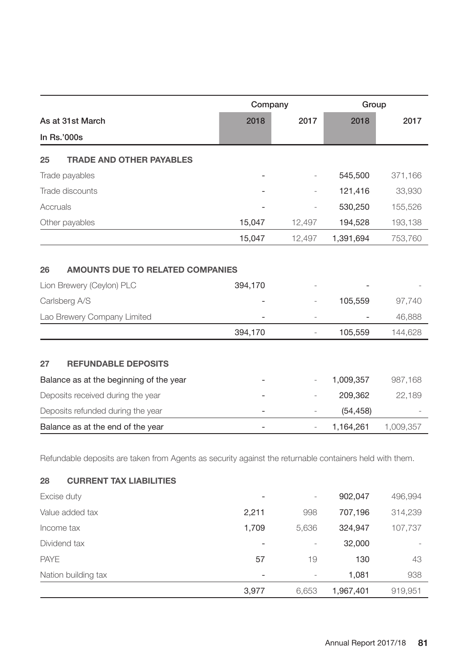|                                                                                      | Company |                | Group     |           |
|--------------------------------------------------------------------------------------|---------|----------------|-----------|-----------|
| As at 31st March                                                                     | 2018    | 2017           | 2018      | 2017      |
| In Rs.'000s                                                                          |         |                |           |           |
| 25<br><b>TRADE AND OTHER PAYABLES</b>                                                |         |                |           |           |
| Trade payables                                                                       |         |                | 545,500   | 371,166   |
| Trade discounts                                                                      |         |                | 121,416   | 33,930    |
| Accruals                                                                             |         |                | 530,250   | 155,526   |
| Other payables                                                                       | 15,047  | 12,497         | 194,528   | 193,138   |
|                                                                                      | 15,047  | 12,497         | 1,391,694 | 753,760   |
| AMOUNTS DUE TO RELATED COMPANIES<br>26<br>Lion Brewery (Ceylon) PLC<br>Carlsberg A/S | 394,170 |                | 105,559   | 97,740    |
| Lao Brewery Company Limited                                                          |         |                |           | 46,888    |
|                                                                                      | 394,170 |                | 105,559   | 144,628   |
| <b>REFUNDABLE DEPOSITS</b><br>27                                                     |         |                |           |           |
| Balance as at the beginning of the year                                              |         |                | 1,009,357 | 987,168   |
| Deposits received during the year                                                    |         |                | 209,362   | 22,189    |
| Deposits refunded during the year                                                    |         |                | (54, 458) |           |
| Balance as at the end of the year                                                    |         | $\overline{a}$ | 1,164,261 | 1,009,357 |

Refundable deposits are taken from Agents as security against the returnable containers held with them.

| 28<br><b>CURRENT TAX LIABILITIES</b> |                          |                          |           |         |
|--------------------------------------|--------------------------|--------------------------|-----------|---------|
| Excise duty                          | $\overline{\phantom{0}}$ | $\overline{\phantom{a}}$ | 902,047   | 496,994 |
| Value added tax                      | 2,211                    | 998                      | 707,196   | 314,239 |
| Income tax                           | 1,709                    | 5,636                    | 324.947   | 107,737 |
| Dividend tax                         | $\overline{\phantom{0}}$ | $\overline{\phantom{a}}$ | 32,000    |         |
| <b>PAYE</b>                          | 57                       | 19                       | 130       | 43      |
| Nation building tax                  | $\overline{\phantom{0}}$ | $\overline{\phantom{a}}$ | 1,081     | 938     |
|                                      | 3.977                    | 6,653                    | 1.967.401 | 919.951 |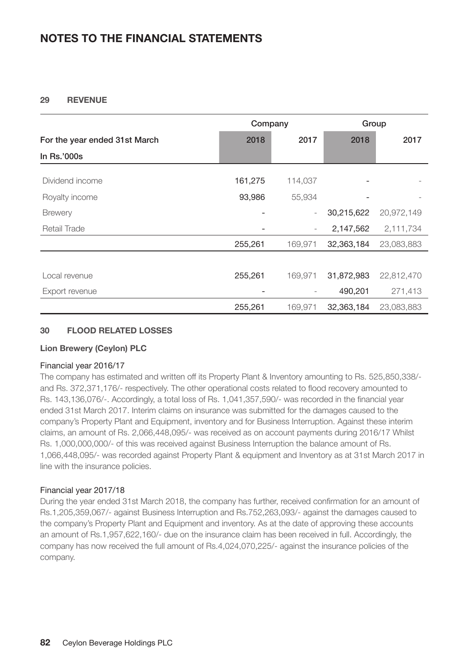## **29 REVENUE**

|                               | Company           |                          |            | Group      |  |
|-------------------------------|-------------------|--------------------------|------------|------------|--|
| For the year ended 31st March | 2018              | 2017                     | 2018       | 2017       |  |
| In Rs.'000s                   |                   |                          |            |            |  |
| Dividend income               | 161,275           | 114,037                  |            |            |  |
| Royalty income                | 93,986            | 55,934                   |            |            |  |
| <b>Brewery</b>                |                   | $\overline{a}$           | 30,215,622 | 20,972,149 |  |
| Retail Trade                  | $\qquad \qquad -$ | $\overline{\phantom{0}}$ | 2,147,562  | 2,111,734  |  |
|                               | 255,261           | 169,971                  | 32,363,184 | 23,083,883 |  |
|                               |                   |                          |            |            |  |
| Local revenue                 | 255,261           | 169,971                  | 31,872,983 | 22,812,470 |  |
| Export revenue                |                   |                          | 490,201    | 271,413    |  |
|                               | 255,261           | 169.971                  | 32,363,184 | 23,083,883 |  |

## **30 FLOOD RELATED LOSSES**

#### **Lion Brewery (Ceylon) PLC**

#### Financial year 2016/17

The company has estimated and written off its Property Plant & Inventory amounting to Rs. 525,850,338/ and Rs. 372,371,176/- respectively. The other operational costs related to flood recovery amounted to Rs. 143,136,076/-. Accordingly, a total loss of Rs. 1,041,357,590/- was recorded in the financial year ended 31st March 2017. Interim claims on insurance was submitted for the damages caused to the company's Property Plant and Equipment, inventory and for Business Interruption. Against these interim claims, an amount of Rs. 2,066,448,095/- was received as on account payments during 2016/17 Whilst Rs. 1,000,000,000/- of this was received against Business Interruption the balance amount of Rs. 1,066,448,095/- was recorded against Property Plant & equipment and Inventory as at 31st March 2017 in line with the insurance policies.

#### Financial year 2017/18

During the year ended 31st March 2018, the company has further, received confirmation for an amount of Rs.1,205,359,067/- against Business Interruption and Rs.752,263,093/- against the damages caused to the company's Property Plant and Equipment and inventory. As at the date of approving these accounts an amount of Rs.1,957,622,160/- due on the insurance claim has been received in full. Accordingly, the company has now received the full amount of Rs.4,024,070,225/- against the insurance policies of the company.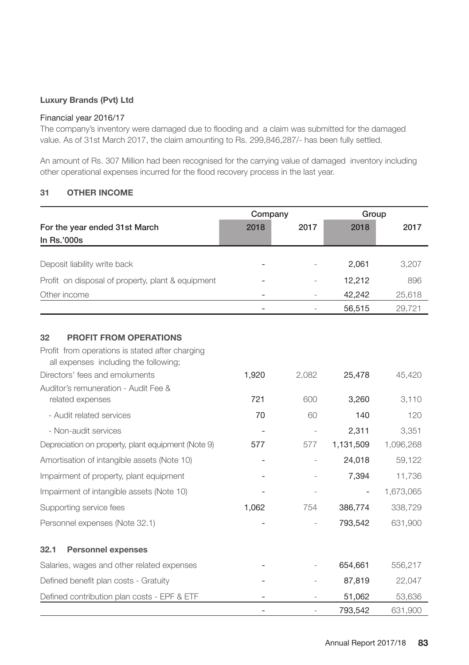## **Luxury Brands (Pvt) Ltd**

## Financial year 2016/17

The company's inventory were damaged due to flooding and a claim was submitted for the damaged value. As of 31st March 2017, the claim amounting to Rs. 299,846,287/- has been fully settled.

An amount of Rs. 307 Million had been recognised for the carrying value of damaged inventory including other operational expenses incurred for the flood recovery process in the last year.

## **31 OTHER INCOME**

|                                                                                          | Company                  |       | Group                    |           |  |
|------------------------------------------------------------------------------------------|--------------------------|-------|--------------------------|-----------|--|
| For the year ended 31st March                                                            | 2018                     | 2017  | 2018                     | 2017      |  |
| In Rs.'000s                                                                              |                          |       |                          |           |  |
| Deposit liability write back                                                             |                          |       | 2,061                    | 3,207     |  |
| Profit on disposal of property, plant & equipment                                        |                          |       | 12,212                   | 896       |  |
| Other income                                                                             | $\overline{\phantom{0}}$ |       | 42,242                   | 25,618    |  |
|                                                                                          |                          |       | 56,515                   | 29,721    |  |
| <b>PROFIT FROM OPERATIONS</b><br>32                                                      |                          |       |                          |           |  |
| Profit from operations is stated after charging<br>all expenses including the following; |                          |       |                          |           |  |
| Directors' fees and emoluments                                                           | 1,920                    | 2,082 | 25,478                   | 45,420    |  |
| Auditor's remuneration - Audit Fee &<br>related expenses                                 | 721                      | 600   | 3,260                    | 3,110     |  |
| - Audit related services                                                                 | 70                       | 60    | 140                      | 120       |  |
| - Non-audit services                                                                     |                          |       | 2.311                    | 3.351     |  |
| Depreciation on property, plant equipment (Note 9)                                       | 577                      | 577   | 1,131,509                | 1,096,268 |  |
| Amortisation of intangible assets (Note 10)                                              |                          |       | 24,018                   | 59,122    |  |
| Impairment of property, plant equipment                                                  |                          |       | 7,394                    | 11,736    |  |
| Impairment of intangible assets (Note 10)                                                |                          |       | $\overline{\phantom{0}}$ | 1,673,065 |  |
| Supporting service fees                                                                  |                          |       |                          | 338,729   |  |
|                                                                                          | 1,062                    | 754   | 386,774                  |           |  |
| Personnel expenses (Note 32.1)                                                           |                          |       | 793,542                  | 631,900   |  |
| <b>Personnel expenses</b><br>32.1                                                        |                          |       |                          |           |  |
| Salaries, wages and other related expenses                                               |                          |       | 654,661                  | 556,217   |  |
| Defined benefit plan costs - Gratuity                                                    |                          |       | 87,819                   | 22,047    |  |
| Defined contribution plan costs - EPF & ETF                                              |                          |       | 51,062                   | 53,636    |  |
|                                                                                          |                          |       | 793,542                  | 631,900   |  |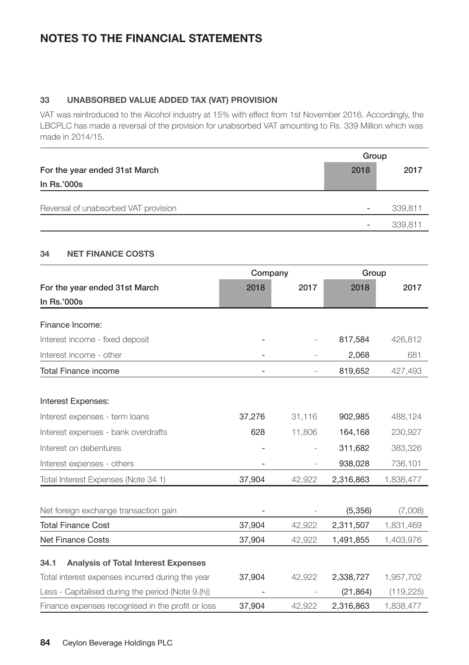## **33 UNABSORBED VALUE ADDED TAX (VAT) PROVISION**

VAT was reintroduced to the Alcohol industry at 15% with effect from 1st November 2016. Accordingly, the LBCPLC has made a reversal of the provision for unabsorbed VAT amounting to Rs. 339 Million which was made in 2014/15.

|                                      |      | Group   |
|--------------------------------------|------|---------|
| For the year ended 31st March        | 2018 | 2017    |
| In Rs.'000s                          |      |         |
| Reversal of unabsorbed VAT provision |      | 339,811 |
|                                      |      | 339,811 |

## **34 NET FINANCE COSTS**

|                                                    | Company |        | Group     |            |  |
|----------------------------------------------------|---------|--------|-----------|------------|--|
| For the year ended 31st March                      | 2018    | 2017   | 2018      | 2017       |  |
| In Rs.'000s                                        |         |        |           |            |  |
|                                                    |         |        |           |            |  |
| Finance Income:                                    |         |        |           |            |  |
| Interest income - fixed deposit                    |         |        | 817,584   | 426,812    |  |
| Interest income - other                            |         |        | 2,068     | 681        |  |
| <b>Total Finance income</b>                        |         |        | 819,652   | 427,493    |  |
| Interest Expenses:                                 |         |        |           |            |  |
| Interest expenses - term loans                     | 37,276  | 31,116 | 902,985   | 488,124    |  |
| Interest expenses - bank overdrafts                | 628     | 11,806 | 164,168   | 230,927    |  |
| Interest on debentures                             |         |        | 311,682   | 383,326    |  |
| Interest expenses - others                         |         |        | 938,028   | 736,101    |  |
| Total Interest Expenses (Note 34.1)                | 37,904  | 42,922 | 2,316,863 | 1,838,477  |  |
|                                                    |         |        |           |            |  |
| Net foreign exchange transaction gain              |         |        | (5,356)   | (7,008)    |  |
| <b>Total Finance Cost</b>                          | 37,904  | 42,922 | 2,311,507 | 1,831,469  |  |
| <b>Net Finance Costs</b>                           | 37,904  | 42,922 | 1,491,855 | 1,403,976  |  |
| 34.1<br><b>Analysis of Total Interest Expenses</b> |         |        |           |            |  |
| Total interest expenses incurred during the year   | 37,904  | 42,922 | 2,338,727 | 1,957,702  |  |
| Less - Capitalised during the period (Note 9.(h))  |         |        | (21, 864) | (119, 225) |  |
| Finance expenses recognised in the profit or loss  | 37,904  | 42,922 | 2,316,863 | 1,838,477  |  |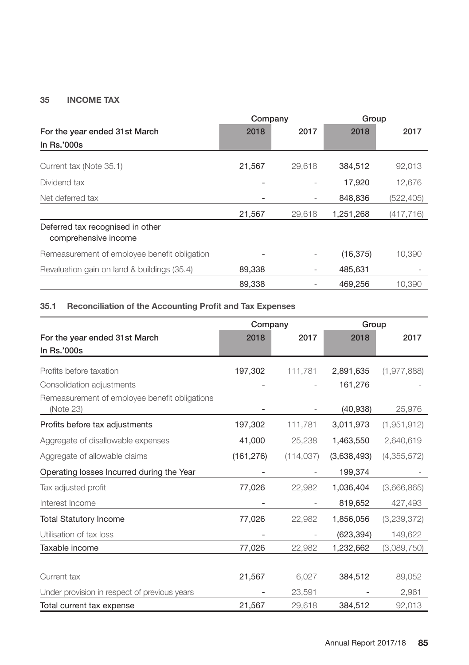## **35 INCOME TAX**

|                                                          | Company |        | Group     |            |  |
|----------------------------------------------------------|---------|--------|-----------|------------|--|
| For the year ended 31st March<br>In Rs.'000s             | 2018    | 2017   | 2018      | 2017       |  |
| Current tax (Note 35.1)                                  | 21,567  | 29.618 | 384,512   | 92,013     |  |
| Dividend tax                                             |         |        | 17,920    | 12,676     |  |
| Net deferred tax                                         |         |        | 848,836   | (522,405)  |  |
|                                                          | 21,567  | 29,618 | 1,251,268 | (417, 716) |  |
| Deferred tax recognised in other<br>comprehensive income |         |        |           |            |  |
| Remeasurement of employee benefit obligation             |         |        | (16, 375) | 10,390     |  |
| Revaluation gain on land & buildings (35.4)              | 89,338  |        | 485,631   |            |  |
|                                                          | 89,338  |        | 469.256   | 10.390     |  |

## **35.1 Reconciliation of the Accounting Profit and Tax Expenses**

|                                                            | Company    |            | Group       |               |  |
|------------------------------------------------------------|------------|------------|-------------|---------------|--|
| For the year ended 31st March                              | 2018       | 2017       | 2018        | 2017          |  |
| In Rs.'000s                                                |            |            |             |               |  |
| Profits before taxation                                    | 197.302    | 111,781    | 2.891.635   | (1, 977, 888) |  |
| Consolidation adjustments                                  |            |            | 161,276     |               |  |
| Remeasurement of employee benefit obligations<br>(Note 23) |            |            | (40, 938)   | 25,976        |  |
| Profits before tax adjustments                             | 197,302    | 111,781    | 3,011,973   | (1, 951, 912) |  |
| Aggregate of disallowable expenses                         | 41,000     | 25,238     | 1,463,550   | 2,640,619     |  |
| Aggregate of allowable claims                              | (161, 276) | (114, 037) | (3,638,493) | (4,355,572)   |  |
| Operating losses Incurred during the Year                  |            |            | 199,374     |               |  |
| Tax adjusted profit                                        | 77,026     | 22,982     | 1,036,404   | (3,666,865)   |  |
| Interest Income                                            |            |            | 819,652     | 427,493       |  |
| <b>Total Statutory Income</b>                              | 77,026     | 22,982     | 1,856,056   | (3,239,372)   |  |
| Utilisation of tax loss                                    |            |            | (623, 394)  | 149,622       |  |
| Taxable income                                             | 77,026     | 22,982     | 1,232,662   | (3,089,750)   |  |
|                                                            |            |            |             |               |  |
| Current tax                                                | 21,567     | 6,027      | 384,512     | 89,052        |  |
| Under provision in respect of previous years               |            | 23,591     |             | 2,961         |  |
| Total current tax expense                                  | 21,567     | 29,618     | 384,512     | 92,013        |  |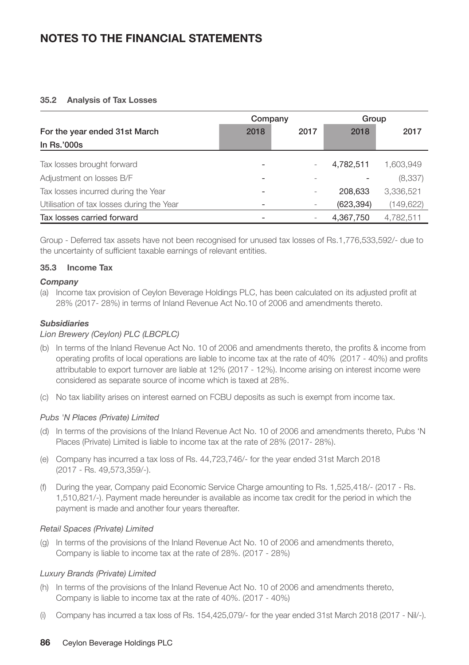## **35.2 Analysis of Tax Losses**

|                                           | Company |      | Group      |            |  |
|-------------------------------------------|---------|------|------------|------------|--|
| For the year ended 31st March             | 2018    | 2017 | 2018       | 2017       |  |
| In Rs.'000s                               |         |      |            |            |  |
| Tax losses brought forward                |         |      | 4,782,511  | 1,603,949  |  |
| Adjustment on losses B/F                  |         |      |            | (8,337)    |  |
| Tax losses incurred during the Year       |         |      | 208.633    | 3,336,521  |  |
| Utilisation of tax losses during the Year |         |      | (623, 394) | (149, 622) |  |
| Tax losses carried forward                |         |      | 4,367,750  | 4,782,511  |  |

Group - Deferred tax assets have not been recognised for unused tax losses of Rs.1,776,533,592/- due to the uncertainty of sufficient taxable earnings of relevant entities.

## **35.3 Income Tax**

## *Company*

(a) Income tax provision of Ceylon Beverage Holdings PLC, has been calculated on its adjusted profit at 28% (2017- 28%) in terms of Inland Revenue Act No.10 of 2006 and amendments thereto.

## *Subsidiaries*

#### *Lion Brewery (Ceylon) PLC (LBCPLC)*

- (b) In terms of the Inland Revenue Act No. 10 of 2006 and amendments thereto, the profits & income from operating profits of local operations are liable to income tax at the rate of 40% (2017 - 40%) and profits attributable to export turnover are liable at 12% (2017 - 12%). Income arising on interest income were considered as separate source of income which is taxed at 28%.
- (c) No tax liability arises on interest earned on FCBU deposits as such is exempt from income tax.

#### *Pubs 'N Places (Private) Limited*

- (d) In terms of the provisions of the Inland Revenue Act No. 10 of 2006 and amendments thereto, Pubs 'N Places (Private) Limited is liable to income tax at the rate of 28% (2017- 28%).
- (e) Company has incurred a tax loss of Rs. 44,723,746/- for the year ended 31st March 2018 (2017 - Rs. 49,573,359/-).
- (f) During the year, Company paid Economic Service Charge amounting to Rs. 1,525,418/- (2017 Rs. 1,510,821/-). Payment made hereunder is available as income tax credit for the period in which the payment is made and another four years thereafter.

#### *Retail Spaces (Private) Limited*

(g) In terms of the provisions of the Inland Revenue Act No. 10 of 2006 and amendments thereto, Company is liable to income tax at the rate of 28%. (2017 - 28%)

#### *Luxury Brands (Private) Limited*

- (h) In terms of the provisions of the Inland Revenue Act No. 10 of 2006 and amendments thereto, Company is liable to income tax at the rate of 40%. (2017 - 40%)
- (i) Company has incurred a tax loss of Rs. 154,425,079/- for the year ended 31st March 2018 (2017 Nil/-).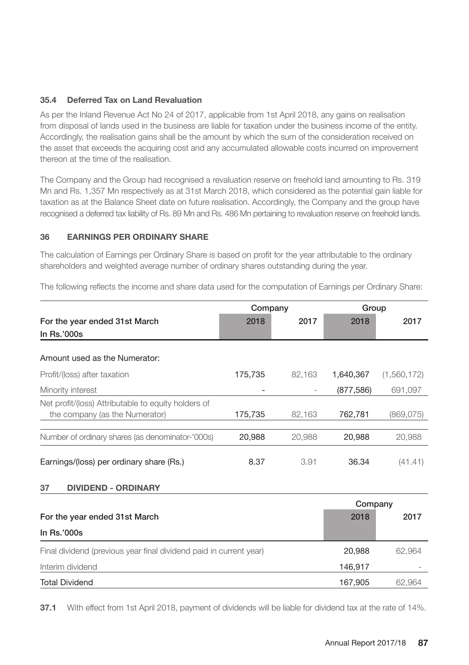## **35.4 Deferred Tax on Land Revaluation**

As per the Inland Revenue Act No 24 of 2017, applicable from 1st April 2018, any gains on realisation from disposal of lands used in the business are liable for taxation under the business income of the entity. Accordingly, the realisation gains shall be the amount by which the sum of the consideration received on the asset that exceeds the acquiring cost and any accumulated allowable costs incurred on improvement thereon at the time of the realisation.

The Company and the Group had recognised a revaluation reserve on freehold land amounting to Rs. 319 Mn and Rs. 1,357 Mn respectively as at 31st March 2018, which considered as the potential gain liable for taxation as at the Balance Sheet date on future realisation. Accordingly, the Company and the group have recognised a deferred tax liability of Rs. 89 Mn and Rs. 486 Mn pertaining to revaluation reserve on freehold lands.

## **36 EARNINGS PER ORDINARY SHARE**

The calculation of Earnings per Ordinary Share is based on profit for the year attributable to the ordinary shareholders and weighted average number of ordinary shares outstanding during the year.

The following reflects the income and share data used for the computation of Earnings per Ordinary Share:

|                                                                    | Company |        | Group      |             |  |
|--------------------------------------------------------------------|---------|--------|------------|-------------|--|
| For the year ended 31st March                                      | 2018    | 2017   | 2018       | 2017        |  |
| In Rs.'000s                                                        |         |        |            |             |  |
|                                                                    |         |        |            |             |  |
| Amount used as the Numerator:                                      |         |        |            |             |  |
| Profit/(loss) after taxation                                       | 175,735 | 82,163 | 1,640,367  | (1,560,172) |  |
| Minority interest                                                  |         |        | (877, 586) | 691,097     |  |
| Net profit/(loss) Attributable to equity holders of                |         |        |            |             |  |
| the company (as the Numerator)                                     | 175,735 | 82,163 | 762,781    | (869,075)   |  |
| Number of ordinary shares (as denominator-'000s)                   | 20,988  | 20,988 | 20.988     | 20,988      |  |
| Earnings/(loss) per ordinary share (Rs.)                           | 8.37    | 3.91   | 36.34      | (41.41)     |  |
| 37<br><b>DIVIDEND - ORDINARY</b>                                   |         |        |            |             |  |
|                                                                    |         |        | Company    |             |  |
| For the year ended 31st March                                      |         |        | 2018       | 2017        |  |
| In Rs.'000s                                                        |         |        |            |             |  |
| Final dividend (previous year final dividend paid in current year) |         |        | 20,988     | 62,964      |  |
| Interim dividend                                                   |         |        | 146,917    |             |  |
| <b>Total Dividend</b>                                              |         |        | 167,905    | 62.964      |  |
|                                                                    |         |        |            |             |  |

**37.1** With effect from 1st April 2018, payment of dividends will be liable for dividend tax at the rate of 14%.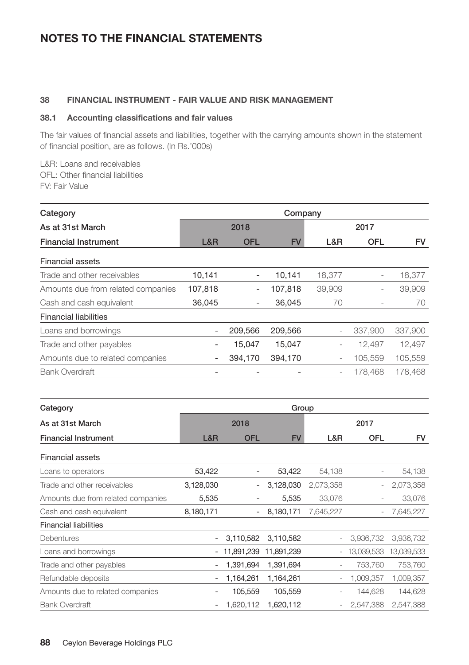## **38 FINANCIAL INSTRUMENT - FAIR VALUE AND RISK MANAGEMENT**

#### **38.1 Accounting classifications and fair values**

The fair values of financial assets and liabilities, together with the carrying amounts shown in the statement of financial position, are as follows. (In Rs.'000s)

L&R: Loans and receivables OFL: Other financial liabilities FV: Fair Value

| Company                  |                          |           |                          |         |         |
|--------------------------|--------------------------|-----------|--------------------------|---------|---------|
| 2018<br>2017             |                          |           |                          |         |         |
| L&R                      | <b>OFL</b>               | <b>FV</b> | L&R                      | OFL     | FV.     |
|                          |                          |           |                          |         |         |
| 10,141                   |                          | 10,141    | 18,377                   | -       | 18,377  |
| 107,818                  |                          | 107,818   | 39,909                   | -       | 39,909  |
| 36.045                   | $\overline{\phantom{a}}$ | 36,045    | 70                       |         | 70      |
|                          |                          |           |                          |         |         |
|                          | 209,566                  | 209,566   |                          | 337,900 | 337,900 |
| $\overline{\phantom{a}}$ | 15.047                   | 15.047    | $\overline{\phantom{0}}$ | 12.497  | 12,497  |
|                          | 394.170                  | 394.170   |                          | 105.559 | 105,559 |
|                          |                          |           |                          | 178.468 | 178,468 |
|                          |                          |           |                          |         |         |

| Category                           | Group     |            |            |                          |                          |            |  |
|------------------------------------|-----------|------------|------------|--------------------------|--------------------------|------------|--|
| As at 31st March                   |           | 2018       |            |                          | 2017                     |            |  |
| <b>Financial Instrument</b>        | L&R       | <b>OFL</b> | <b>FV</b>  | L&R                      | <b>OFL</b>               | <b>FV</b>  |  |
| Financial assets                   |           |            |            |                          |                          |            |  |
| Loans to operators                 | 53,422    | ۰          | 53,422     | 54,138                   | $\overline{\phantom{a}}$ | 54,138     |  |
| Trade and other receivables        | 3,128,030 |            | 3,128,030  | 2,073,358                |                          | 2,073,358  |  |
| Amounts due from related companies | 5,535     | ٠          | 5,535      | 33,076                   | -                        | 33,076     |  |
| Cash and cash equivalent           | 8,180,171 |            | 8,180,171  | 7,645,227                |                          | 7,645,227  |  |
| <b>Financial liabilities</b>       |           |            |            |                          |                          |            |  |
| <b>Debentures</b>                  |           | 3,110,582  | 3,110,582  |                          | 3,936,732                | 3,936,732  |  |
| Loans and borrowings               |           | 11,891,239 | 11,891,239 |                          | 13,039,533               | 13,039,533 |  |
| Trade and other payables           |           | 1,391,694  | 1,391,694  |                          | 753.760                  | 753,760    |  |
| Refundable deposits                |           | 1,164,261  | 1,164,261  |                          | 1,009,357                | 1,009,357  |  |
| Amounts due to related companies   | ۰         | 105,559    | 105,559    | $\overline{\phantom{0}}$ | 144,628                  | 144,628    |  |
| <b>Bank Overdraft</b>              |           | 1,620,112  | 1,620,112  |                          | 2.547.388                | 2.547.388  |  |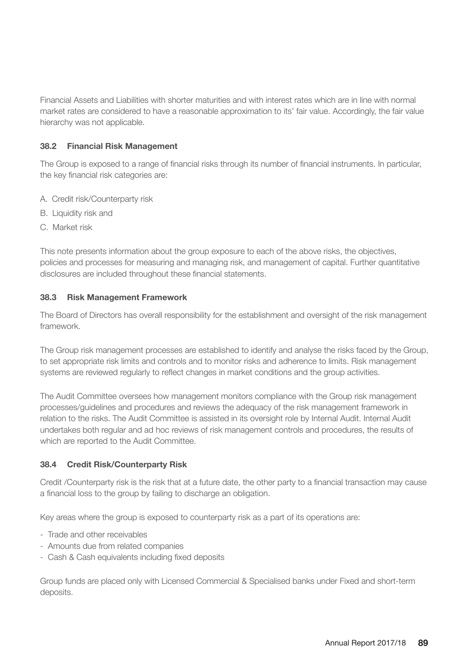Financial Assets and Liabilities with shorter maturities and with interest rates which are in line with normal market rates are considered to have a reasonable approximation to its' fair value. Accordingly, the fair value hierarchy was not applicable.

## **38.2 Financial Risk Management**

The Group is exposed to a range of financial risks through its number of financial instruments. In particular, the key financial risk categories are:

- A. Credit risk/Counterparty risk
- B. Liquidity risk and
- C. Market risk

This note presents information about the group exposure to each of the above risks, the objectives, policies and processes for measuring and managing risk, and management of capital. Further quantitative disclosures are included throughout these financial statements.

## **38.3 Risk Management Framework**

The Board of Directors has overall responsibility for the establishment and oversight of the risk management framework.

The Group risk management processes are established to identify and analyse the risks faced by the Group, to set appropriate risk limits and controls and to monitor risks and adherence to limits. Risk management systems are reviewed regularly to reflect changes in market conditions and the group activities.

The Audit Committee oversees how management monitors compliance with the Group risk management processes/guidelines and procedures and reviews the adequacy of the risk management framework in relation to the risks. The Audit Committee is assisted in its oversight role by Internal Audit. Internal Audit undertakes both regular and ad hoc reviews of risk management controls and procedures, the results of which are reported to the Audit Committee.

## **38.4 Credit Risk/Counterparty Risk**

Credit /Counterparty risk is the risk that at a future date, the other party to a financial transaction may cause a financial loss to the group by failing to discharge an obligation.

Key areas where the group is exposed to counterparty risk as a part of its operations are:

- Trade and other receivables
- Amounts due from related companies
- Cash & Cash equivalents including fixed deposits

Group funds are placed only with Licensed Commercial & Specialised banks under Fixed and short-term deposits.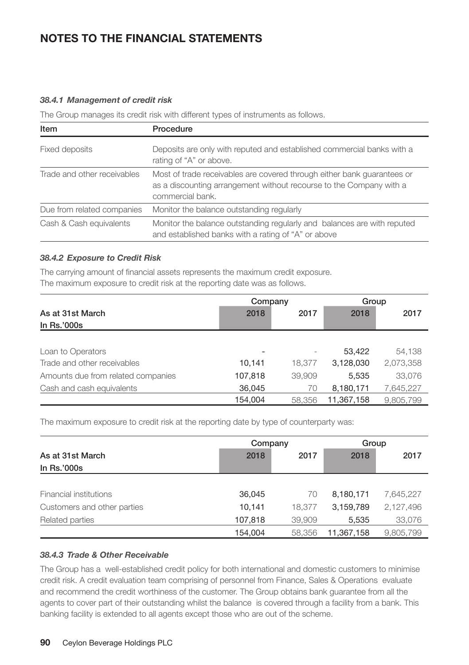## *38.4.1 Management of credit risk*

The Group manages its credit risk with different types of instruments as follows.

| Item                        | Procedure                                                                                                                                                          |
|-----------------------------|--------------------------------------------------------------------------------------------------------------------------------------------------------------------|
| Fixed deposits              | Deposits are only with reputed and established commercial banks with a<br>rating of "A" or above.                                                                  |
| Trade and other receivables | Most of trade receivables are covered through either bank quarantees or<br>as a discounting arrangement without recourse to the Company with a<br>commercial bank. |
| Due from related companies  | Monitor the balance outstanding regularly                                                                                                                          |
| Cash & Cash equivalents     | Monitor the balance outstanding regularly and balances are with reputed<br>and established banks with a rating of "A" or above                                     |

## *38.4.2 Exposure to Credit Risk*

The carrying amount of financial assets represents the maximum credit exposure. The maximum exposure to credit risk at the reporting date was as follows.

|                                    | Company                  |        |            | Group     |  |  |
|------------------------------------|--------------------------|--------|------------|-----------|--|--|
| As at 31st March                   | 2018                     | 2017   | 2018       | 2017      |  |  |
| In Rs.'000s                        |                          |        |            |           |  |  |
|                                    |                          |        |            |           |  |  |
| Loan to Operators                  | $\overline{\phantom{a}}$ |        | 53.422     | 54.138    |  |  |
| Trade and other receivables        | 10.141                   | 18.377 | 3.128.030  | 2,073,358 |  |  |
| Amounts due from related companies | 107,818                  | 39,909 | 5.535      | 33.076    |  |  |
| Cash and cash equivalents          | 36,045                   | 70     | 8,180,171  | 7,645,227 |  |  |
|                                    | 154.004                  | 58.356 | 11.367.158 | 9,805,799 |  |  |

The maximum exposure to credit risk at the reporting date by type of counterparty was:

|                             | Company |        | Group      |           |  |
|-----------------------------|---------|--------|------------|-----------|--|
| As at 31st March            | 2018    | 2017   | 2018       | 2017      |  |
| In Rs.'000s                 |         |        |            |           |  |
|                             |         |        |            |           |  |
| Financial institutions      | 36.045  | 70     | 8.180.171  | 7.645.227 |  |
| Customers and other parties | 10.141  | 18.377 | 3.159.789  | 2,127,496 |  |
| Related parties             | 107,818 | 39,909 | 5,535      | 33,076    |  |
|                             | 154,004 | 58,356 | 11,367,158 | 9,805,799 |  |

## *38.4.3 Trade & Other Receivable*

The Group has a well-established credit policy for both international and domestic customers to minimise credit risk. A credit evaluation team comprising of personnel from Finance, Sales & Operations evaluate and recommend the credit worthiness of the customer. The Group obtains bank guarantee from all the agents to cover part of their outstanding whilst the balance is covered through a facility from a bank. This banking facility is extended to all agents except those who are out of the scheme.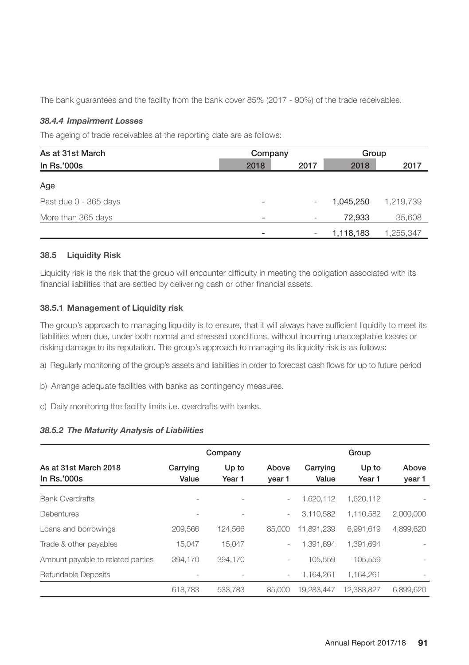The bank guarantees and the facility from the bank cover 85% (2017 - 90%) of the trade receivables.

#### *38.4.4 Impairment Losses*

The ageing of trade receivables at the reporting date are as follows:

| As at 31st March      | Company<br>2018<br>2017  |   | Group     |           |
|-----------------------|--------------------------|---|-----------|-----------|
| In Rs.'000s           |                          |   | 2018      | 2017      |
| Age                   |                          |   |           |           |
| Past due 0 - 365 days |                          |   | 1.045.250 | 1.219.739 |
| More than 365 days    | $\overline{\phantom{a}}$ | ۰ | 72.933    | 35,608    |
|                       |                          |   | 1,118,183 | 1.255.347 |

## **38.5 Liquidity Risk**

Liquidity risk is the risk that the group will encounter difficulty in meeting the obligation associated with its financial liabilities that are settled by delivering cash or other financial assets.

## **38.5.1 Management of Liquidity risk**

The group's approach to managing liquidity is to ensure, that it will always have sufficient liquidity to meet its liabilities when due, under both normal and stressed conditions, without incurring unacceptable losses or risking damage to its reputation. The group's approach to managing its liquidity risk is as follows:

a) Regularly monitoring of the group's assets and liabilities in order to forecast cash flows for up to future period

- b) Arrange adequate facilities with banks as contingency measures.
- c) Daily monitoring the facility limits i.e. overdrafts with banks.

## *38.5.2 The Maturity Analysis of Liabilities*

|                                        |                   | Company         |                          |                   | Group           |                 |
|----------------------------------------|-------------------|-----------------|--------------------------|-------------------|-----------------|-----------------|
| As at 31st March 2018<br>In $Rs.'000s$ | Carrying<br>Value | Up to<br>Year 1 | Above<br>year 1          | Carrying<br>Value | Up to<br>Year 1 | Above<br>year 1 |
| <b>Bank Overdrafts</b>                 |                   | ٠               | $\overline{\phantom{a}}$ | 1,620,112         | 1,620,112       |                 |
| <b>Debentures</b>                      |                   | -               | $\overline{\phantom{a}}$ | 3.110.582         | 1.110.582       | 2,000,000       |
| Loans and borrowings                   | 209,566           | 124.566         | 85,000                   | 11.891.239        | 6.991.619       | 4,899,620       |
| Trade & other payables                 | 15.047            | 15.047          | $\overline{\phantom{a}}$ | 1.391.694         | 1.391.694       |                 |
| Amount payable to related parties      | 394.170           | 394.170         | $\overline{\phantom{a}}$ | 105.559           | 105.559         |                 |
| Refundable Deposits                    |                   |                 | $\overline{\phantom{a}}$ | 1.164.261         | 1.164.261       |                 |
|                                        | 618.783           | 533.783         | 85,000                   | 19.283.447        | 12.383.827      | 6.899.620       |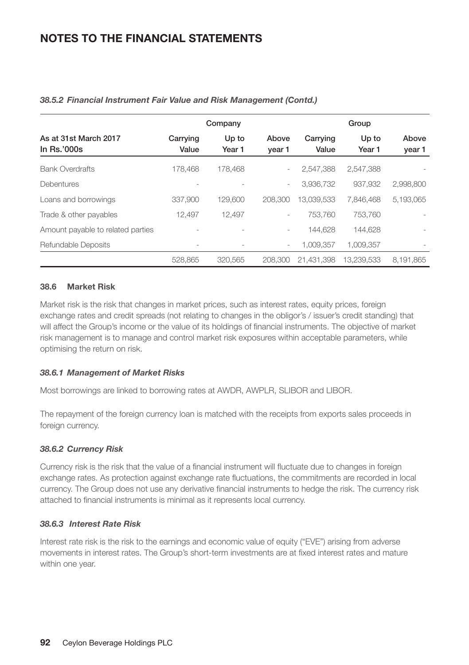|                                        |                   | Company         |                          |                   | Group           |                 |
|----------------------------------------|-------------------|-----------------|--------------------------|-------------------|-----------------|-----------------|
| As at 31st March 2017<br>In $Rs.'000s$ | Carrying<br>Value | Up to<br>Year 1 | Above<br>year 1          | Carrying<br>Value | Up to<br>Year 1 | Above<br>year 1 |
| <b>Bank Overdrafts</b>                 | 178.468           | 178.468         | $\overline{\phantom{a}}$ | 2.547.388         | 2.547.388       |                 |
| Debentures                             |                   |                 | $\overline{\phantom{a}}$ | 3.936.732         | 937.932         | 2.998.800       |
| Loans and borrowings                   | 337.900           | 129.600         | 208,300                  | 13.039.533        | 7.846.468       | 5.193.065       |
| Trade & other payables                 | 12.497            | 12.497          | $\overline{\phantom{a}}$ | 753.760           | 753.760         |                 |
| Amount payable to related parties      |                   |                 | $\overline{\phantom{a}}$ | 144.628           | 144.628         |                 |
| Refundable Deposits                    |                   | -               | $\overline{\phantom{a}}$ | 1.009.357         | 1.009.357       |                 |
|                                        | 528.865           | 320.565         | 208,300                  | 21.431.398        | 13.239.533      | 8.191.865       |

## *38.5.2 Financial Instrument Fair Value and Risk Management (Contd.)*

#### **38.6 Market Risk**

Market risk is the risk that changes in market prices, such as interest rates, equity prices, foreign exchange rates and credit spreads (not relating to changes in the obligor's / issuer's credit standing) that will affect the Group's income or the value of its holdings of financial instruments. The objective of market risk management is to manage and control market risk exposures within acceptable parameters, while optimising the return on risk.

## *38.6.1 Management of Market Risks*

Most borrowings are linked to borrowing rates at AWDR, AWPLR, SLIBOR and LIBOR.

The repayment of the foreign currency loan is matched with the receipts from exports sales proceeds in foreign currency.

## *38.6.2 Currency Risk*

Currency risk is the risk that the value of a financial instrument will fluctuate due to changes in foreign exchange rates. As protection against exchange rate fluctuations, the commitments are recorded in local currency. The Group does not use any derivative financial instruments to hedge the risk. The currency risk attached to financial instruments is minimal as it represents local currency.

## *38.6.3 Interest Rate Risk*

Interest rate risk is the risk to the earnings and economic value of equity ("EVE") arising from adverse movements in interest rates. The Group's short-term investments are at fixed interest rates and mature within one year.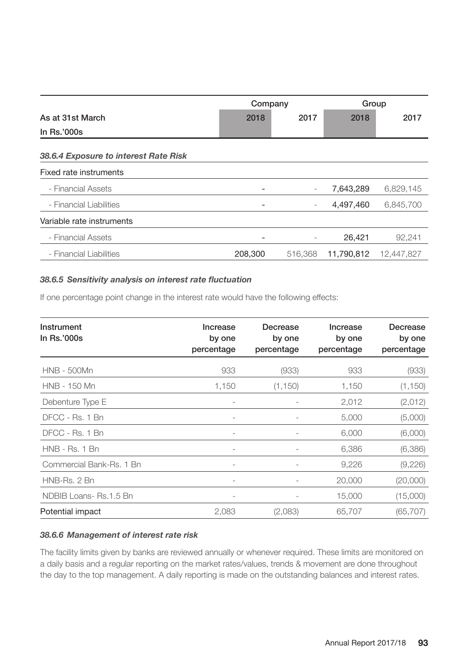|                                       | Company           |         | Group      |            |
|---------------------------------------|-------------------|---------|------------|------------|
| As at 31st March                      | 2018              | 2017    | 2018       | 2017       |
| In Rs.'000s                           |                   |         |            |            |
| 38.6.4 Exposure to interest Rate Risk |                   |         |            |            |
| Fixed rate instruments                |                   |         |            |            |
| - Financial Assets                    |                   |         | 7,643,289  | 6,829,145  |
| - Financial Liabilities               | $\qquad \qquad -$ |         | 4,497,460  | 6,845,700  |
| Variable rate instruments             |                   |         |            |            |
| - Financial Assets                    | $\qquad \qquad -$ |         | 26,421     | 92,241     |
| - Financial Liabilities               | 208,300           | 516,368 | 11,790,812 | 12,447,827 |

## *38.6.5 Sensitivity analysis on interest rate fluctuation*

If one percentage point change in the interest rate would have the following effects:

| Instrument<br>In Rs.'000s | Increase<br>by one<br>percentage | Decrease<br>by one<br>percentage | Increase<br>by one<br>percentage | Decrease<br>by one<br>percentage |
|---------------------------|----------------------------------|----------------------------------|----------------------------------|----------------------------------|
| <b>HNB - 500Mn</b>        | 933                              | (933)                            | 933                              | (933)                            |
| HNB - 150 Mn              | 1,150                            | (1, 150)                         | 1,150                            | (1, 150)                         |
| Debenture Type E          |                                  |                                  | 2,012                            | (2,012)                          |
| DFCC - Rs. 1 Bn           | $\overline{\phantom{a}}$         |                                  | 5,000                            | (5,000)                          |
| DFCC - Rs. 1 Bn           | $\overline{\phantom{0}}$         |                                  | 6,000                            | (6,000)                          |
| $HNB - Rs. 1 Bn$          |                                  |                                  | 6,386                            | (6,386)                          |
| Commercial Bank-Rs, 1 Bn  | $\overline{\phantom{a}}$         |                                  | 9,226                            | (9,226)                          |
| HNB-Rs. 2 Bn              | $\overline{\phantom{0}}$         | $\overline{\phantom{0}}$         | 20,000                           | (20,000)                         |
| NDBIB Loans-Rs.1.5 Bn     | $\overline{\phantom{a}}$         |                                  | 15,000                           | (15,000)                         |
| Potential impact          | 2,083                            | (2,083)                          | 65,707                           | (65, 707)                        |

## *38.6.6 Management of interest rate risk*

The facility limits given by banks are reviewed annually or whenever required. These limits are monitored on a daily basis and a regular reporting on the market rates/values, trends & movement are done throughout the day to the top management. A daily reporting is made on the outstanding balances and interest rates.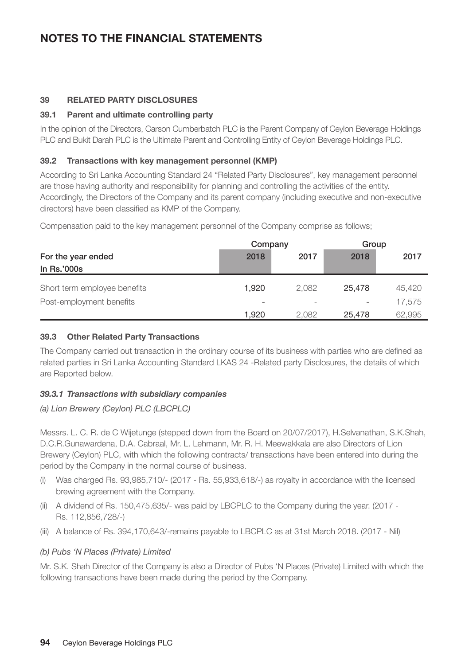## **39 RELATED PARTY DISCLOSURES**

## **39.1 Parent and ultimate controlling party**

In the opinion of the Directors, Carson Cumberbatch PLC is the Parent Company of Ceylon Beverage Holdings PLC and Bukit Darah PLC is the Ultimate Parent and Controlling Entity of Ceylon Beverage Holdings PLC.

## **39.2 Transactions with key management personnel (KMP)**

According to Sri Lanka Accounting Standard 24 "Related Party Disclosures", key management personnel are those having authority and responsibility for planning and controlling the activities of the entity. Accordingly, the Directors of the Company and its parent company (including executive and non-executive directors) have been classified as KMP of the Company.

Compensation paid to the key management personnel of the Company comprise as follows;

|                                   | Company                  |                          | Group  |        |
|-----------------------------------|--------------------------|--------------------------|--------|--------|
| For the year ended<br>In Rs.'000s | 2018                     | 2017                     | 2018   | 2017   |
| Short term employee benefits      | 1.920                    | 2.082                    | 25.478 | 45.420 |
| Post-employment benefits          | $\overline{\phantom{a}}$ | $\overline{\phantom{a}}$ |        | 17.575 |
|                                   | 1.920                    | 2.082                    | 25,478 | 62,995 |

## **39.3 Other Related Party Transactions**

The Company carried out transaction in the ordinary course of its business with parties who are defined as related parties in Sri Lanka Accounting Standard LKAS 24 -Related party Disclosures, the details of which are Reported below.

## *39.3.1 Transactions with subsidiary companies*

## *(a) Lion Brewery (Ceylon) PLC (LBCPLC)*

Messrs. L. C. R. de C Wijetunge (stepped down from the Board on 20/07/2017), H.Selvanathan, S.K.Shah, D.C.R.Gunawardena, D.A. Cabraal, Mr. L. Lehmann, Mr. R. H. Meewakkala are also Directors of Lion Brewery (Ceylon) PLC, with which the following contracts/ transactions have been entered into during the period by the Company in the normal course of business.

- Was charged Rs. 93,985,710/- (2017 Rs. 55,933,618/-) as royalty in accordance with the licensed brewing agreement with the Company.
- (ii) A dividend of Rs. 150,475,635/- was paid by LBCPLC to the Company during the year. (2017 Rs. 112,856,728/-)
- (iii) A balance of Rs. 394,170,643/-remains payable to LBCPLC as at 31st March 2018. (2017 Nil)

## *(b) Pubs 'N Places (Private) Limited*

Mr. S.K. Shah Director of the Company is also a Director of Pubs 'N Places (Private) Limited with which the following transactions have been made during the period by the Company.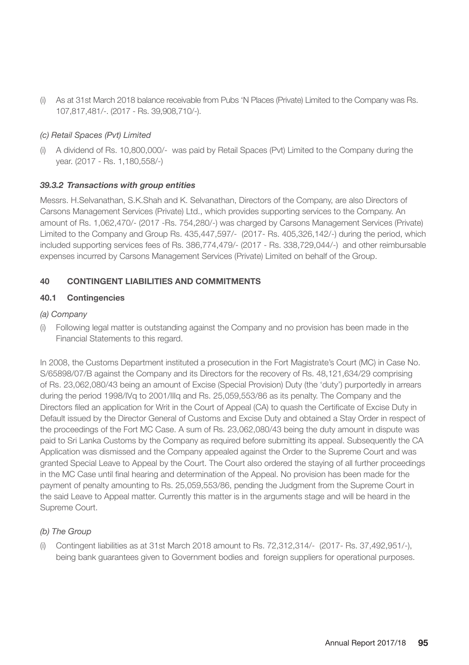(i) As at 31st March 2018 balance receivable from Pubs 'N Places (Private) Limited to the Company was Rs. 107,817,481/-. (2017 - Rs. 39,908,710/-).

## *(c) Retail Spaces (Pvt) Limited*

(i) A dividend of Rs. 10,800,000/- was paid by Retail Spaces (Pvt) Limited to the Company during the year. (2017 - Rs. 1,180,558/-)

## *39.3.2 Transactions with group entities*

Messrs. H.Selvanathan, S.K.Shah and K. Selvanathan, Directors of the Company, are also Directors of Carsons Management Services (Private) Ltd., which provides supporting services to the Company. An amount of Rs. 1,062,470/- (2017 -Rs. 754,280/-) was charged by Carsons Management Services (Private) Limited to the Company and Group Rs. 435,447,597/- (2017- Rs. 405,326,142/-) during the period, which included supporting services fees of Rs. 386,774,479/- (2017 - Rs. 338,729,044/-) and other reimbursable expenses incurred by Carsons Management Services (Private) Limited on behalf of the Group.

## **40 CONTINGENT LIABILITIES AND COMMITMENTS**

## **40.1 Contingencies**

## *(a) Company*

(i) Following legal matter is outstanding against the Company and no provision has been made in the Financial Statements to this regard.

In 2008, the Customs Department instituted a prosecution in the Fort Magistrate's Court (MC) in Case No. S/65898/07/B against the Company and its Directors for the recovery of Rs. 48,121,634/29 comprising of Rs. 23,062,080/43 being an amount of Excise (Special Provision) Duty (the 'duty') purportedly in arrears during the period 1998/IVg to 2001/IIIg and Rs. 25,059,553/86 as its penalty. The Company and the Directors filed an application for Writ in the Court of Appeal (CA) to quash the Certificate of Excise Duty in Default issued by the Director General of Customs and Excise Duty and obtained a Stay Order in respect of the proceedings of the Fort MC Case. A sum of Rs. 23,062,080/43 being the duty amount in dispute was paid to Sri Lanka Customs by the Company as required before submitting its appeal. Subsequently the CA Application was dismissed and the Company appealed against the Order to the Supreme Court and was granted Special Leave to Appeal by the Court. The Court also ordered the staying of all further proceedings in the MC Case until final hearing and determination of the Appeal. No provision has been made for the payment of penalty amounting to Rs. 25,059,553/86, pending the Judgment from the Supreme Court in the said Leave to Appeal matter. Currently this matter is in the arguments stage and will be heard in the Supreme Court.

## *(b) The Group*

(i) Contingent liabilities as at 31st March 2018 amount to Rs. 72,312,314/- (2017- Rs. 37,492,951/-), being bank guarantees given to Government bodies and foreign suppliers for operational purposes.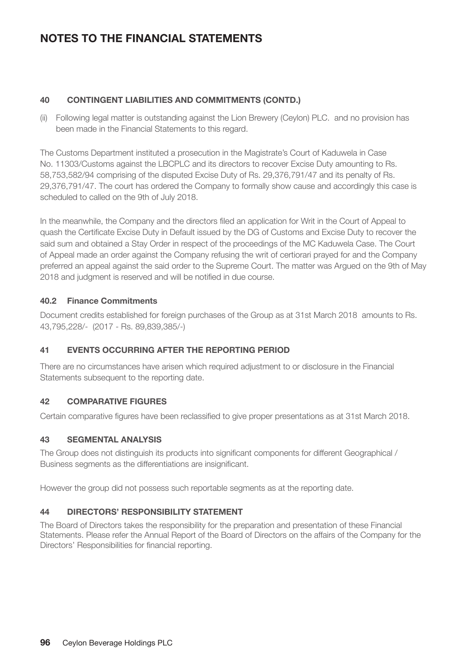## **40 CONTINGENT LIABILITIES AND COMMITMENTS (CONTD.)**

(ii) Following legal matter is outstanding against the Lion Brewery (Ceylon) PLC. and no provision has been made in the Financial Statements to this regard.

The Customs Department instituted a prosecution in the Magistrate's Court of Kaduwela in Case No. 11303/Customs against the LBCPLC and its directors to recover Excise Duty amounting to Rs. 58,753,582/94 comprising of the disputed Excise Duty of Rs. 29,376,791/47 and its penalty of Rs. 29,376,791/47. The court has ordered the Company to formally show cause and accordingly this case is scheduled to called on the 9th of July 2018.

In the meanwhile, the Company and the directors filed an application for Writ in the Court of Appeal to quash the Certificate Excise Duty in Default issued by the DG of Customs and Excise Duty to recover the said sum and obtained a Stay Order in respect of the proceedings of the MC Kaduwela Case. The Court of Appeal made an order against the Company refusing the writ of certiorari prayed for and the Company preferred an appeal against the said order to the Supreme Court. The matter was Argued on the 9th of May 2018 and judgment is reserved and will be notified in due course.

## **40.2 Finance Commitments**

Document credits established for foreign purchases of the Group as at 31st March 2018 amounts to Rs. 43,795,228/- (2017 - Rs. 89,839,385/-)

## **41 EVENTS OCCURRING AFTER THE REPORTING PERIOD**

There are no circumstances have arisen which required adjustment to or disclosure in the Financial Statements subsequent to the reporting date.

## **42 COMPARATIVE FIGURES**

Certain comparative figures have been reclassified to give proper presentations as at 31st March 2018.

## **43 SEGMENTAL ANALYSIS**

The Group does not distinguish its products into significant components for different Geographical / Business segments as the differentiations are insignificant.

However the group did not possess such reportable segments as at the reporting date.

## **44 DIRECTORS' RESPONSIBILITY STATEMENT**

The Board of Directors takes the responsibility for the preparation and presentation of these Financial Statements. Please refer the Annual Report of the Board of Directors on the affairs of the Company for the Directors' Responsibilities for financial reporting.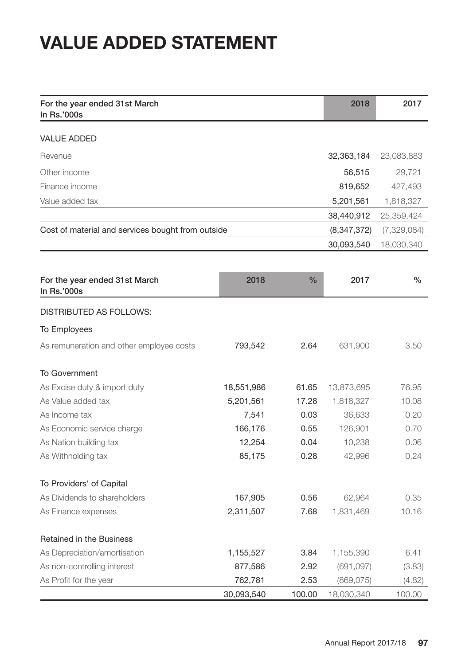# **VALUE ADDED STATEMENT**

| For the year ended 31st March<br>In Rs.'000s      |            |        | 2018        | 2017        |
|---------------------------------------------------|------------|--------|-------------|-------------|
| <b>VALUE ADDED</b>                                |            |        |             |             |
| Revenue                                           |            |        | 32,363,184  | 23,083,883  |
| Other income                                      |            |        | 56,515      | 29,721      |
| Finance income                                    |            |        | 819,652     | 427,493     |
| Value added tax                                   |            |        | 5,201,561   | 1,818,327   |
|                                                   |            |        | 38,440,912  | 25,359,424  |
| Cost of material and services bought from outside |            |        | (8,347,372) | (7,329,084) |
|                                                   |            |        | 30,093,540  | 18,030,340  |
|                                                   |            |        |             |             |
| For the year ended 31st March<br>In Rs.'000s      | 2018       | %      | 2017        | $\%$        |
| DISTRIBUTED AS FOLLOWS:                           |            |        |             |             |
| To Employees                                      |            |        |             |             |
| As remuneration and other employee costs          | 793,542    | 2.64   | 631,900     | 3.50        |
| <b>To Government</b>                              |            |        |             |             |
| As Excise duty & import duty                      | 18,551,986 | 61.65  | 13,873,695  | 76.95       |
| As Value added tax                                | 5,201,561  | 17.28  | 1,818,327   | 10.08       |
| As Income tax                                     | 7,541      | 0.03   | 36,633      | 0.20        |
| As Economic service charge                        | 166,176    | 0.55   | 126,901     | 0.70        |
| As Nation building tax                            | 12,254     | 0.04   | 10,238      | 0.06        |
| As Withholding tax                                | 85,175     | 0.28   | 42,996      | 0.24        |
| To Providers' of Capital                          |            |        |             |             |
| As Dividends to shareholders                      | 167,905    | 0.56   | 62,964      | 0.35        |
| As Finance expenses                               | 2,311,507  | 7.68   | 1,831,469   | 10.16       |
| <b>Retained in the Business</b>                   |            |        |             |             |
| As Depreciation/amortisation                      | 1,155,527  | 3.84   | 1,155,390   | 6.41        |
| As non-controlling interest                       | 877,586    | 2.92   | (691,097)   | (3.83)      |
| As Profit for the year                            | 762,781    | 2.53   | (869,075)   | (4.82)      |
|                                                   | 30,093,540 | 100.00 | 18,030,340  | 100.00      |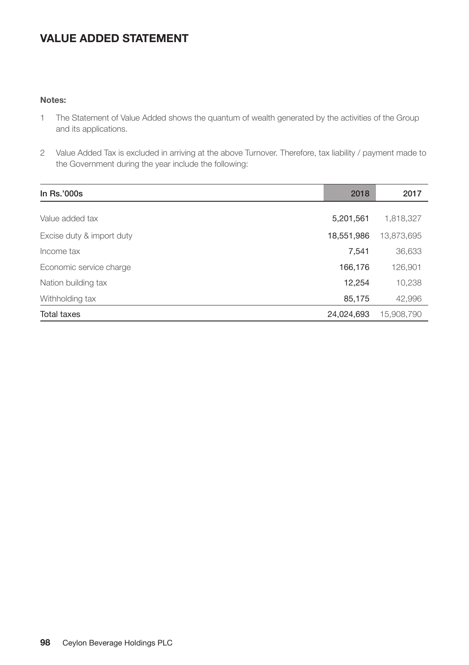## **VALUE ADDED STATEMENT**

## **Notes:**

- 1 The Statement of Value Added shows the quantum of wealth generated by the activities of the Group and its applications.
- 2 Value Added Tax is excluded in arriving at the above Turnover. Therefore, tax liability / payment made to the Government during the year include the following:

| In Rs.'000s               | 2018       | 2017       |
|---------------------------|------------|------------|
|                           |            |            |
| Value added tax           | 5,201,561  | 1,818,327  |
| Excise duty & import duty | 18,551,986 | 13,873,695 |
| Income tax                | 7,541      | 36,633     |
| Economic service charge   | 166,176    | 126,901    |
| Nation building tax       | 12,254     | 10,238     |
| Withholding tax           | 85,175     | 42,996     |
| <b>Total taxes</b>        | 24.024.693 | 15,908,790 |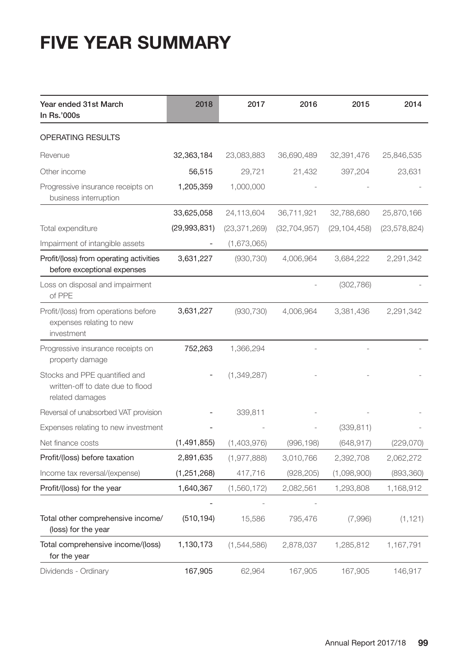# **FIVE YEAR SUMMARY**

| Year ended 31st March<br>In Rs.'000s                                                 | 2018          | 2017           | 2016           | 2015           | 2014           |
|--------------------------------------------------------------------------------------|---------------|----------------|----------------|----------------|----------------|
| OPERATING RESULTS                                                                    |               |                |                |                |                |
| Revenue                                                                              | 32,363,184    | 23,083,883     | 36,690,489     | 32,391,476     | 25,846,535     |
| Other income                                                                         | 56,515        | 29,721         | 21,432         | 397,204        | 23,631         |
| Progressive insurance receipts on<br>business interruption                           | 1,205,359     | 1,000,000      |                |                |                |
|                                                                                      | 33,625,058    | 24,113,604     | 36,711,921     | 32,788,680     | 25,870,166     |
| Total expenditure                                                                    | (29,993,831)  | (23, 371, 269) | (32, 704, 957) | (29, 104, 458) | (23, 578, 824) |
| Impairment of intangible assets                                                      |               | (1,673,065)    |                |                |                |
| Profit/(loss) from operating activities<br>before exceptional expenses               | 3,631,227     | (930, 730)     | 4,006,964      | 3,684,222      | 2,291,342      |
| Loss on disposal and impairment<br>of PPE                                            |               |                |                | (302, 786)     |                |
| Profit/(loss) from operations before<br>expenses relating to new<br>investment       | 3,631,227     | (930, 730)     | 4,006,964      | 3,381,436      | 2,291,342      |
| Progressive insurance receipts on<br>property damage                                 | 752,263       | 1,366,294      |                |                |                |
| Stocks and PPE quantified and<br>written-off to date due to flood<br>related damages |               | (1,349,287)    |                |                |                |
| Reversal of unabsorbed VAT provision                                                 |               | 339,811        |                |                |                |
| Expenses relating to new investment                                                  |               |                |                | (339, 811)     |                |
| Net finance costs                                                                    | (1,491,855)   | (1,403,976)    | (996, 198)     | (648, 917)     | (229,070)      |
| Profit/(loss) before taxation                                                        | 2,891,635     | (1,977,888)    | 3,010,766      | 2,392,708      | 2,062,272      |
| Income tax reversal/(expense)                                                        | (1, 251, 268) | 417,716        | (928, 205)     | (1,098,900)    | (893, 360)     |
| Profit/(loss) for the year                                                           | 1,640,367     | (1,560,172)    | 2,082,561      | 1,293,808      | 1,168,912      |
| Total other comprehensive income/<br>(loss) for the year                             | (510, 194)    | 15,586         | 795,476        | (7,996)        | (1, 121)       |
| Total comprehensive income/(loss)<br>for the year                                    | 1,130,173     | (1, 544, 586)  | 2,878,037      | 1,285,812      | 1,167,791      |
| Dividends - Ordinary                                                                 | 167,905       | 62,964         | 167,905        | 167,905        | 146,917        |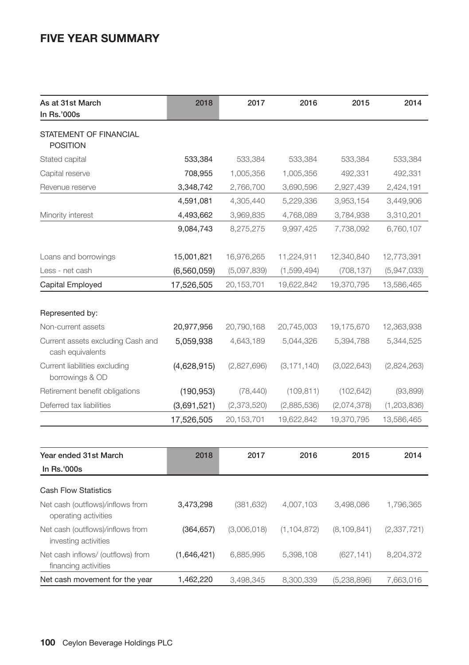## **FIVE YEAR SUMMARY**

| As at 31st March<br>In Rs.'000s                       | 2018        | 2017        | 2016          | 2015        | 2014        |
|-------------------------------------------------------|-------------|-------------|---------------|-------------|-------------|
| STATEMENT OF FINANCIAL<br><b>POSITION</b>             |             |             |               |             |             |
| Stated capital                                        | 533,384     | 533,384     | 533,384       | 533,384     | 533,384     |
| Capital reserve                                       | 708,955     | 1,005,356   | 1,005,356     | 492,331     | 492,331     |
| Revenue reserve                                       | 3,348,742   | 2,766,700   | 3,690,596     | 2,927,439   | 2,424,191   |
|                                                       | 4,591,081   | 4,305,440   | 5,229,336     | 3,953,154   | 3,449,906   |
| Minority interest                                     | 4,493,662   | 3,969,835   | 4,768,089     | 3,784,938   | 3,310,201   |
|                                                       | 9,084,743   | 8,275,275   | 9,997,425     | 7,738,092   | 6,760,107   |
| Loans and borrowings                                  | 15,001,821  | 16,976,265  | 11,224,911    | 12,340,840  | 12,773,391  |
| Less - net cash                                       | (6,560,059) | (5,097,839) | (1, 599, 494) | (708, 137)  | (5,947,033) |
| Capital Employed                                      | 17,526,505  | 20,153,701  | 19,622,842    | 19,370,795  | 13,586,465  |
|                                                       |             |             |               |             |             |
| Represented by:                                       |             |             |               |             |             |
| Non-current assets                                    | 20,977,956  | 20,790,168  | 20,745,003    | 19,175,670  | 12,363,938  |
| Current assets excluding Cash and<br>cash equivalents | 5,059,938   | 4,643,189   | 5,044,326     | 5,394,788   | 5,344,525   |
| Current liabilities excluding<br>borrowings & OD      | (4,628,915) | (2,827,696) | (3, 171, 140) | (3,022,643) | (2,824,263) |
| Retirement benefit obligations                        | (190, 953)  | (78, 440)   | (109, 811)    | (102, 642)  | (93, 899)   |
| Deferred tax liabilities                              | (3,691,521) | (2,373,520) | (2,885,536)   | (2,074,378) | (1,203,836) |
|                                                       | 17,526,505  | 20,153,701  | 19,622,842    | 19,370,795  | 13,586,465  |
|                                                       |             |             |               |             |             |
| Year ended 31st March                                 | 2018        | 2017        | 2016          | 2015        | 2014        |
| In Rs.'000s                                           |             |             |               |             |             |

| <b>Cash Flow Statistics</b>                               |             |             |               |             |             |
|-----------------------------------------------------------|-------------|-------------|---------------|-------------|-------------|
| Net cash (outflows)/inflows from<br>operating activities  | 3,473,298   | (381, 632)  | 4,007,103     | 3,498,086   | 1,796,365   |
| Net cash (outflows)/inflows from<br>investing activities  | (364, 657)  | (3.006.018) | (1, 104, 872) | (8,109,841) | (2,337,721) |
| Net cash inflows/ (outflows) from<br>financing activities | (1,646,421) | 6,885,995   | 5,398,108     | (627, 141)  | 8,204,372   |
| Net cash movement for the year                            | 1,462,220   | 3,498,345   | 8,300,339     | (5,238,896) | 7,663,016   |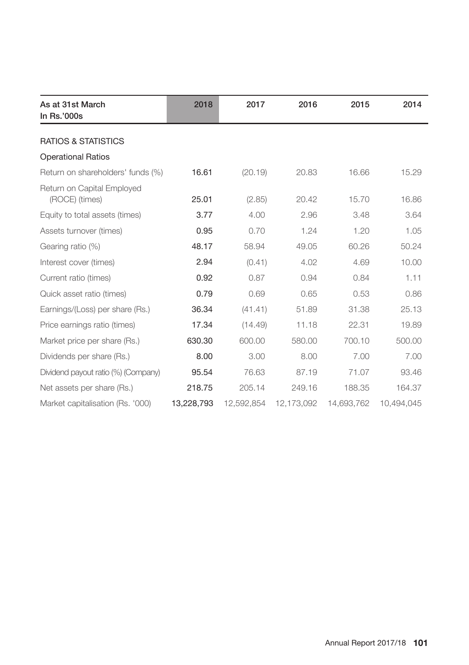| As at 31st March<br>In Rs.'000s              | 2018       | 2017       | 2016       | 2015       | 2014       |
|----------------------------------------------|------------|------------|------------|------------|------------|
| <b>RATIOS &amp; STATISTICS</b>               |            |            |            |            |            |
| <b>Operational Ratios</b>                    |            |            |            |            |            |
| Return on shareholders' funds (%)            | 16.61      | (20.19)    | 20.83      | 16.66      | 15.29      |
| Return on Capital Employed<br>(ROCE) (times) | 25.01      | (2.85)     | 20.42      | 15.70      | 16.86      |
| Equity to total assets (times)               | 3.77       | 4.00       | 2.96       | 3.48       | 3.64       |
| Assets turnover (times)                      | 0.95       | 0.70       | 1.24       | 1.20       | 1.05       |
| Gearing ratio (%)                            | 48.17      | 58.94      | 49.05      | 60.26      | 50.24      |
| Interest cover (times)                       | 2.94       | (0.41)     | 4.02       | 4.69       | 10.00      |
| Current ratio (times)                        | 0.92       | 0.87       | 0.94       | 0.84       | 1.11       |
| Quick asset ratio (times)                    | 0.79       | 0.69       | 0.65       | 0.53       | 0.86       |
| Earnings/(Loss) per share (Rs.)              | 36.34      | (41.41)    | 51.89      | 31.38      | 25.13      |
| Price earnings ratio (times)                 | 17.34      | (14.49)    | 11.18      | 22.31      | 19.89      |
| Market price per share (Rs.)                 | 630.30     | 600.00     | 580.00     | 700.10     | 500.00     |
| Dividends per share (Rs.)                    | 8.00       | 3.00       | 8.00       | 7.00       | 7.00       |
| Dividend payout ratio (%) (Company)          | 95.54      | 76.63      | 87.19      | 71.07      | 93.46      |
| Net assets per share (Rs.)                   | 218.75     | 205.14     | 249.16     | 188.35     | 164.37     |
| Market capitalisation (Rs. '000)             | 13,228,793 | 12,592,854 | 12,173,092 | 14,693,762 | 10.494.045 |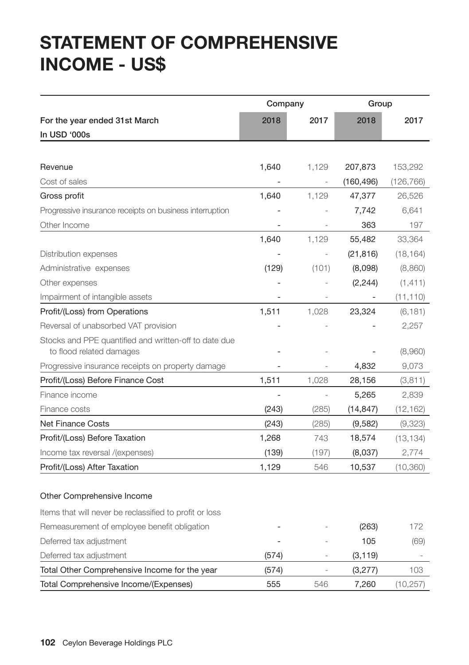# **STATEMENT OF COMPREHENSIVE INCOME - US\$**

|                                                         | Company |       | Group                    |            |
|---------------------------------------------------------|---------|-------|--------------------------|------------|
| For the year ended 31st March                           | 2018    | 2017  | 2018                     | 2017       |
| In USD '000s                                            |         |       |                          |            |
|                                                         |         |       |                          |            |
| Revenue                                                 | 1,640   | 1,129 | 207,873                  | 153,292    |
| Cost of sales                                           |         |       | (160,496)                | (126, 766) |
| Gross profit                                            | 1,640   | 1,129 | 47,377                   | 26,526     |
| Progressive insurance receipts on business interruption |         |       | 7,742                    | 6,641      |
| Other Income                                            |         |       | 363                      | 197        |
|                                                         | 1,640   | 1,129 | 55,482                   | 33,364     |
| Distribution expenses                                   |         |       | (21, 816)                | (18, 164)  |
| Administrative expenses                                 | (129)   | (101) | (8,098)                  | (8,860)    |
| Other expenses                                          |         |       | (2, 244)                 | (1, 411)   |
| Impairment of intangible assets                         |         | ÷     | $\overline{\phantom{a}}$ | (11, 110)  |
| Profit/(Loss) from Operations                           | 1,511   | 1,028 | 23,324                   | (6, 181)   |
| Reversal of unabsorbed VAT provision                    |         |       |                          | 2,257      |
| Stocks and PPE quantified and written-off to date due   |         |       |                          |            |
| to flood related damages                                |         |       |                          | (8,960)    |
| Progressive insurance receipts on property damage       |         |       | 4,832                    | 9,073      |
| Profit/(Loss) Before Finance Cost                       | 1,511   | 1,028 | 28,156                   | (3,811)    |
| Finance income                                          |         |       | 5,265                    | 2,839      |
| Finance costs                                           | (243)   | (285) | (14, 847)                | (12, 162)  |
| <b>Net Finance Costs</b>                                | (243)   | (285) | (9,582)                  | (9,323)    |
| Profit/(Loss) Before Taxation                           | 1,268   | 743   | 18,574                   | (13, 134)  |
| Income tax reversal /(expenses)                         | (139)   | (197) | (8,037)                  | 2,774      |
| Profit/(Loss) After Taxation                            | 1,129   | 546   | 10,537                   | (10, 360)  |
|                                                         |         |       |                          |            |
| Other Comprehensive Income                              |         |       |                          |            |
| Items that will never be reclassified to profit or loss |         |       |                          |            |
| Remeasurement of employee benefit obligation            |         |       | (263)                    | 172        |
| Deferred tax adjustment                                 |         |       | 105                      | (69)       |
| Deferred tax adjustment                                 | (574)   |       | (3, 119)                 |            |
| Total Other Comprehensive Income for the year           | (574)   |       | (3,277)                  | 103        |
| Total Comprehensive Income/(Expenses)                   | 555     | 546   | 7,260                    | (10, 257)  |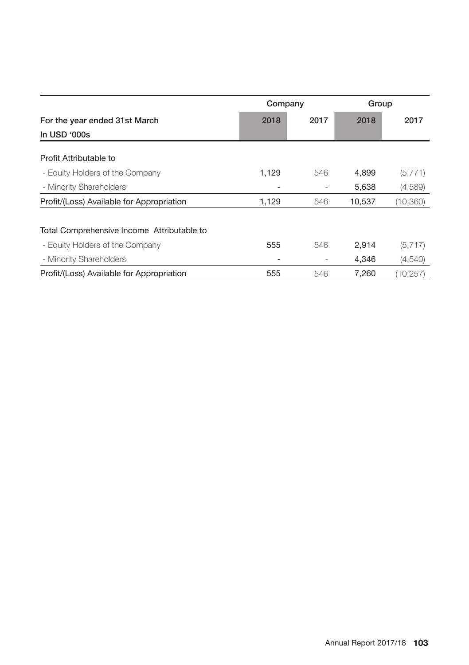|                                            |       | Company |        | Group     |  |
|--------------------------------------------|-------|---------|--------|-----------|--|
| For the year ended 31st March              | 2018  | 2017    | 2018   | 2017      |  |
| In USD '000s                               |       |         |        |           |  |
| Profit Attributable to                     |       |         |        |           |  |
| - Equity Holders of the Company            | 1,129 | 546     | 4,899  | (5, 771)  |  |
| - Minority Shareholders                    |       |         | 5,638  | (4,589)   |  |
| Profit/(Loss) Available for Appropriation  | 1,129 | 546     | 10,537 | (10, 360) |  |
| Total Comprehensive Income Attributable to |       |         |        |           |  |
| - Equity Holders of the Company            | 555   | 546     | 2,914  | (5, 717)  |  |
| - Minority Shareholders                    |       |         | 4,346  | (4,540)   |  |
| Profit/(Loss) Available for Appropriation  | 555   | 546     | 7.260  | (10, 257) |  |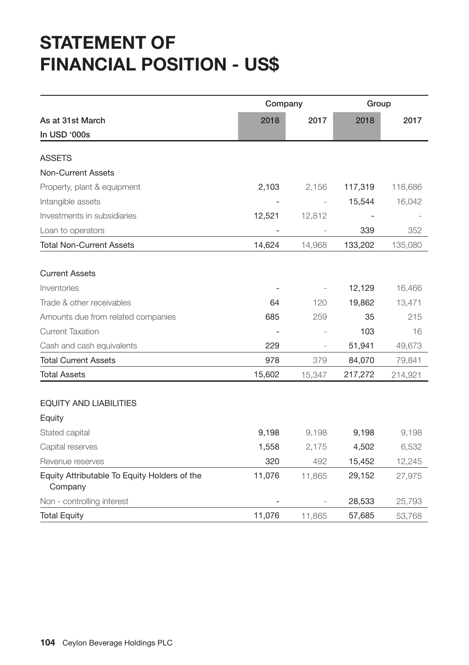# **STATEMENT OF FINANCIAL POSITION - US\$**

|                                                         | Company |        | Group   |         |
|---------------------------------------------------------|---------|--------|---------|---------|
| As at 31st March                                        | 2018    | 2017   | 2018    | 2017    |
| In USD '000s                                            |         |        |         |         |
| <b>ASSETS</b>                                           |         |        |         |         |
| <b>Non-Current Assets</b>                               |         |        |         |         |
| Property, plant & equipment                             | 2,103   | 2,156  | 117,319 | 118,686 |
| Intangible assets                                       |         |        | 15,544  | 16,042  |
| Investments in subsidiaries                             | 12,521  | 12,812 |         |         |
| Loan to operators                                       |         |        | 339     | 352     |
| <b>Total Non-Current Assets</b>                         | 14,624  | 14,968 | 133,202 | 135,080 |
|                                                         |         |        |         |         |
| <b>Current Assets</b>                                   |         |        |         |         |
| Inventories                                             |         |        | 12,129  | 16,466  |
| Trade & other receivables                               | 64      | 120    | 19,862  | 13,471  |
| Amounts due from related companies                      | 685     | 259    | 35      | 215     |
| <b>Current Taxation</b>                                 |         |        | 103     | 16      |
| Cash and cash equivalents                               | 229     |        | 51,941  | 49,673  |
| <b>Total Current Assets</b>                             | 978     | 379    | 84,070  | 79,841  |
| <b>Total Assets</b>                                     | 15,602  | 15,347 | 217,272 | 214,921 |
|                                                         |         |        |         |         |
| <b>EQUITY AND LIABILITIES</b>                           |         |        |         |         |
| Equity                                                  |         |        |         |         |
| Stated capital                                          | 9,198   | 9,198  | 9,198   | 9,198   |
| Capital reserves                                        | 1,558   | 2,175  | 4,502   | 6,532   |
| Revenue reserves                                        | 320     | 492    | 15,452  | 12,245  |
| Equity Attributable To Equity Holders of the<br>Company | 11,076  | 11,865 | 29,152  | 27,975  |
| Non - controlling interest                              |         |        | 28,533  | 25,793  |
| <b>Total Equity</b>                                     | 11,076  | 11,865 | 57,685  | 53,768  |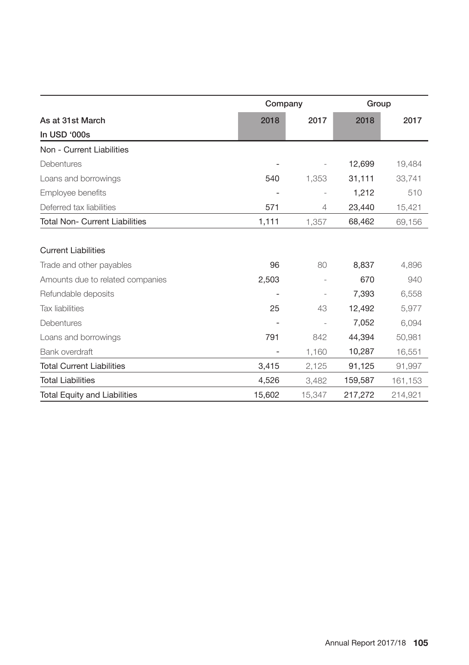|                                       |        | Company |         | Group   |  |
|---------------------------------------|--------|---------|---------|---------|--|
| As at 31st March                      | 2018   | 2017    | 2018    | 2017    |  |
| In USD '000s                          |        |         |         |         |  |
| Non - Current Liabilities             |        |         |         |         |  |
| <b>Debentures</b>                     |        |         | 12,699  | 19,484  |  |
| Loans and borrowings                  | 540    | 1,353   | 31,111  | 33,741  |  |
| Employee benefits                     |        |         | 1,212   | 510     |  |
| Deferred tax liabilities              | 571    | 4       | 23,440  | 15,421  |  |
| <b>Total Non- Current Liabilities</b> | 1,111  | 1,357   | 68,462  | 69,156  |  |
|                                       |        |         |         |         |  |
| <b>Current Liabilities</b>            |        |         |         |         |  |
| Trade and other payables              | 96     | 80      | 8,837   | 4,896   |  |
| Amounts due to related companies      | 2,503  |         | 670     | 940     |  |
| Refundable deposits                   |        |         | 7,393   | 6,558   |  |
| <b>Tax liabilities</b>                | 25     | 43      | 12,492  | 5,977   |  |
| Debentures                            |        |         | 7,052   | 6,094   |  |
| Loans and borrowings                  | 791    | 842     | 44,394  | 50,981  |  |
| Bank overdraft                        |        | 1,160   | 10,287  | 16,551  |  |
| <b>Total Current Liabilities</b>      | 3,415  | 2,125   | 91,125  | 91,997  |  |
| <b>Total Liabilities</b>              | 4,526  | 3,482   | 159,587 | 161,153 |  |
| <b>Total Equity and Liabilities</b>   | 15,602 | 15,347  | 217,272 | 214,921 |  |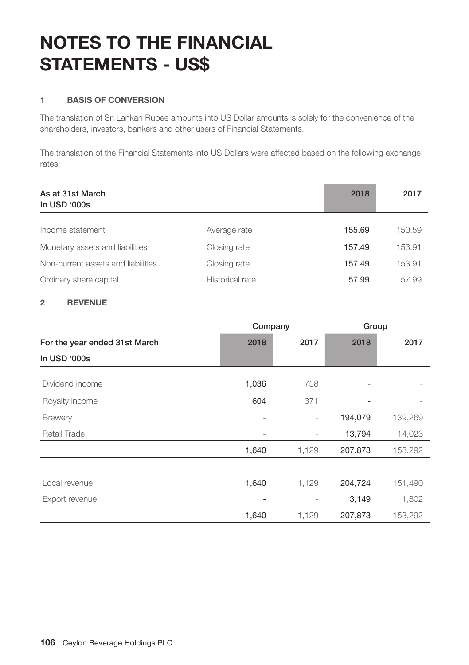## **1 BASIS OF CONVERSION**

The translation of Sri Lankan Rupee amounts into US Dollar amounts is solely for the convenience of the shareholders, investors, bankers and other users of Financial Statements.

The translation of the Financial Statements into US Dollars were affected based on the following exchange rates:

| As at 31st March<br>In USD '000s   |                 | 2018   | 2017   |
|------------------------------------|-----------------|--------|--------|
| Income statement                   | Average rate    | 155.69 | 150.59 |
| Monetary assets and liabilities    | Closing rate    | 157.49 | 153.91 |
| Non-current assets and liabilities | Closing rate    | 157.49 | 153.91 |
| Ordinary share capital             | Historical rate | 57.99  | 57.99  |

## **2 REVENUE**

|                               | Company |                          | Group   |         |
|-------------------------------|---------|--------------------------|---------|---------|
| For the year ended 31st March | 2018    | 2017                     | 2018    | 2017    |
| In USD '000s                  |         |                          |         |         |
| Dividend income               | 1,036   | 758                      |         |         |
| Royalty income                | 604     | 371                      |         |         |
| <b>Brewery</b>                |         | $\overline{\phantom{a}}$ | 194,079 | 139,269 |
| Retail Trade                  |         |                          | 13,794  | 14,023  |
|                               | 1,640   | 1,129                    | 207,873 | 153,292 |
|                               |         |                          |         |         |
| Local revenue                 | 1,640   | 1,129                    | 204,724 | 151,490 |
| Export revenue                |         |                          | 3,149   | 1,802   |
|                               | 1,640   | 1,129                    | 207,873 | 153,292 |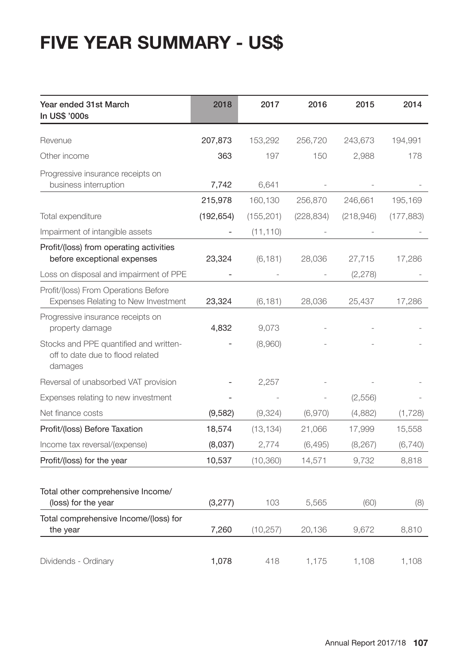# **FIVE YEAR SUMMARY - US\$**

| Year ended 31st March<br>In US\$ '000s                                                | 2018       | 2017       | 2016       | 2015      | 2014       |
|---------------------------------------------------------------------------------------|------------|------------|------------|-----------|------------|
| Revenue                                                                               | 207,873    | 153,292    | 256,720    | 243,673   | 194,991    |
| Other income                                                                          | 363        | 197        | 150        | 2,988     | 178        |
| Progressive insurance receipts on<br>business interruption                            | 7,742      | 6,641      |            |           |            |
|                                                                                       | 215,978    | 160,130    | 256,870    | 246,661   | 195,169    |
| Total expenditure                                                                     | (192, 654) | (155, 201) | (228, 834) | (218,946) | (177, 883) |
| Impairment of intangible assets                                                       |            | (11, 110)  |            |           |            |
| Profit/(loss) from operating activities<br>before exceptional expenses                | 23,324     | (6, 181)   | 28,036     | 27,715    | 17,286     |
| Loss on disposal and impairment of PPE                                                |            |            |            | (2, 278)  |            |
| Profit/(loss) From Operations Before<br>Expenses Relating to New Investment           | 23,324     | (6, 181)   | 28,036     | 25,437    | 17,286     |
| Progressive insurance receipts on<br>property damage                                  | 4,832      | 9,073      |            |           |            |
| Stocks and PPE quantified and written-<br>off to date due to flood related<br>damages |            | (8,960)    |            |           |            |
| Reversal of unabsorbed VAT provision                                                  |            | 2,257      |            |           |            |
| Expenses relating to new investment                                                   |            |            |            | (2,556)   |            |
| Net finance costs                                                                     | (9,582)    | (9,324)    | (6,970)    | (4,882)   | (1,728)    |
| Profit/(loss) Before Taxation                                                         | 18,574     | (13, 134)  | 21,066     | 17,999    | 15,558     |
| Income tax reversal/(expense)                                                         | (8,037)    | 2,774      | (6, 495)   | (8, 267)  | (6,740)    |
| Profit/(loss) for the year                                                            | 10,537     | (10, 360)  | 14,571     | 9,732     | 8,818      |
| Total other comprehensive Income/<br>(loss) for the year                              | (3,277)    | 103        | 5,565      | (60)      | (8)        |
| Total comprehensive Income/(loss) for<br>the year                                     | 7,260      | (10, 257)  | 20,136     | 9,672     | 8,810      |
| Dividends - Ordinary                                                                  | 1,078      | 418        | 1,175      | 1,108     | 1,108      |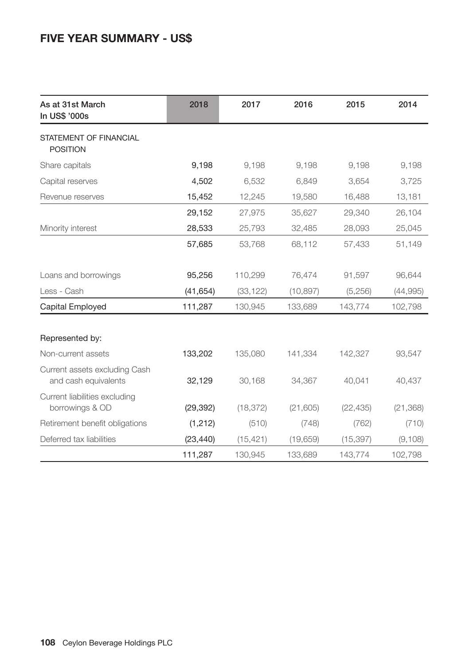## **FIVE YEAR SUMMARY - US\$**

| As at 31st March<br>In US\$ '000s                     | 2018      | 2017      | 2016      | 2015      | 2014      |
|-------------------------------------------------------|-----------|-----------|-----------|-----------|-----------|
| STATEMENT OF FINANCIAL<br><b>POSITION</b>             |           |           |           |           |           |
| Share capitals                                        | 9,198     | 9,198     | 9,198     | 9,198     | 9,198     |
| Capital reserves                                      | 4,502     | 6,532     | 6,849     | 3,654     | 3,725     |
| Revenue reserves                                      | 15,452    | 12,245    | 19,580    | 16,488    | 13,181    |
|                                                       | 29,152    | 27,975    | 35,627    | 29,340    | 26,104    |
| Minority interest                                     | 28,533    | 25,793    | 32,485    | 28,093    | 25,045    |
|                                                       | 57,685    | 53,768    | 68,112    | 57,433    | 51,149    |
| Loans and borrowings                                  | 95,256    | 110,299   | 76,474    | 91,597    | 96,644    |
| Less - Cash                                           | (41, 654) | (33, 122) | (10, 897) | (5,256)   | (44, 995) |
| Capital Employed                                      | 111,287   | 130,945   | 133,689   | 143,774   | 102,798   |
| Represented by:                                       |           |           |           |           |           |
| Non-current assets                                    | 133,202   | 135,080   | 141,334   | 142,327   | 93,547    |
| Current assets excluding Cash<br>and cash equivalents | 32,129    | 30,168    | 34,367    | 40,041    | 40,437    |
| Current liabilities excluding<br>borrowings & OD      | (29, 392) | (18, 372) | (21, 605) | (22, 435) | (21, 368) |
| Retirement benefit obligations                        | (1, 212)  | (510)     | (748)     | (762)     | (710)     |
| Deferred tax liabilities                              | (23, 440) | (15, 421) | (19, 659) | (15, 397) | (9, 108)  |
|                                                       | 111,287   | 130,945   | 133,689   | 143,774   | 102,798   |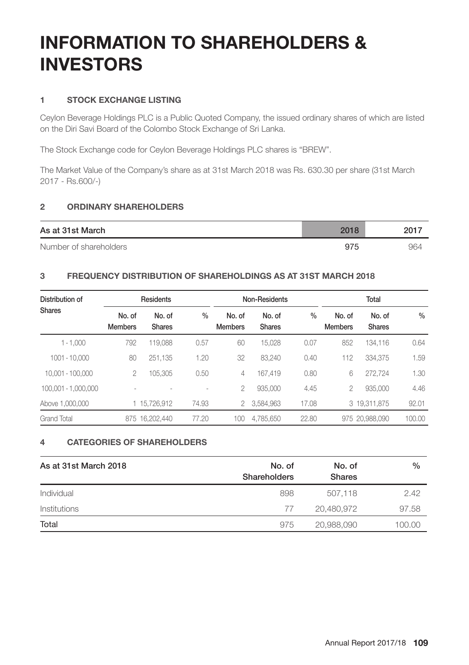## **INFORMATION TO SHAREHOLDERS & INVESTORS**

#### **1 STOCK EXCHANGE LISTING**

Ceylon Beverage Holdings PLC is a Public Quoted Company, the issued ordinary shares of which are listed on the Diri Savi Board of the Colombo Stock Exchange of Sri Lanka.

The Stock Exchange code for Ceylon Beverage Holdings PLC shares is "BREW".

The Market Value of the Company's share as at 31st March 2018 was Rs. 630.30 per share (31st March 2017 - Rs.600/-)

#### **2 ORDINARY SHAREHOLDERS**

| As at 31st March       | 2018 | 2017 |
|------------------------|------|------|
| Number of shareholders | 975  | 964  |

#### **3 FREQUENCY DISTRIBUTION OF SHAREHOLDINGS AS AT 31ST MARCH 2018**

| Distribution of     |                          | Residents        |               |                          | Non-Residents           |               |                          | Total            |        |
|---------------------|--------------------------|------------------|---------------|--------------------------|-------------------------|---------------|--------------------------|------------------|--------|
| <b>Shares</b>       | No. of<br><b>Members</b> | No. of<br>Shares | $\frac{0}{0}$ | No. of<br><b>Members</b> | No. of<br><b>Shares</b> | $\frac{0}{0}$ | No. of<br><b>Members</b> | No. of<br>Shares | $\%$   |
| $1 - 1.000$         | 792                      | 119.088          | 0.57          | 60                       | 15.028                  | 0.07          | 852                      | 134.116          | 0.64   |
| 1001 - 10.000       | 80                       | 251.135          | 1.20          | 32                       | 83.240                  | 0.40          | 112                      | 334.375          | 1.59   |
| 10,001 - 100,000    | 2                        | 105.305          | 0.50          | 4                        | 167.419                 | 0.80          | 6                        | 272.724          | 1.30   |
| 100.001 - 1.000.000 |                          |                  | ۰             | 2                        | 935.000                 | 4.45          | $\overline{2}$           | 935.000          | 4.46   |
| Above 1,000,000     |                          | 1 15.726.912     | 74.93         |                          | 3.584.963               | 17.08         |                          | 3 19.311.875     | 92.01  |
| Grand Total         |                          | 875 16.202.440   | 77.20         | 100                      | 4.785.650               | 22.80         |                          | 975 20.988.090   | 100.00 |

### **4 CATEGORIES OF SHAREHOLDERS**

| As at 31st March 2018 | No. of<br><b>Shareholders</b> | No. of<br><b>Shares</b> | $\%$   |
|-----------------------|-------------------------------|-------------------------|--------|
| Individual            | 898                           | 507.118                 | 2.42   |
| Institutions          | 77                            | 20.480.972              | 97.58  |
| Total                 | 975                           | 20,988,090              | 100.00 |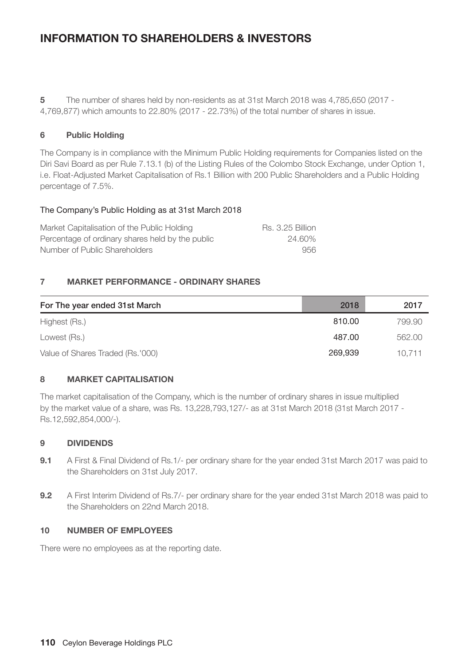### **INFORMATION TO SHAREHOLDERS & INVESTORS**

**5** The number of shares held by non-residents as at 31st March 2018 was 4,785,650 (2017 - 4,769,877) which amounts to 22.80% (2017 - 22.73%) of the total number of shares in issue.

#### **6 Public Holding**

The Company is in compliance with the Minimum Public Holding requirements for Companies listed on the Diri Savi Board as per Rule 7.13.1 (b) of the Listing Rules of the Colombo Stock Exchange, under Option 1, i.e. Float-Adjusted Market Capitalisation of Rs.1 Billion with 200 Public Shareholders and a Public Holding percentage of 7.5%.

#### The Company's Public Holding as at 31st March 2018

| Market Capitalisation of the Public Holding      | Rs. 3.25 Billion |
|--------------------------------------------------|------------------|
| Percentage of ordinary shares held by the public | 24.60%           |
| Number of Public Shareholders                    | 956              |

#### **7 MARKET PERFORMANCE - ORDINARY SHARES**

| For The year ended 31st March    | 2018    | 2017   |
|----------------------------------|---------|--------|
| Highest (Rs.)                    | 810.00  | 799.90 |
| Lowest (Rs.)                     | 487.00  | 562.00 |
| Value of Shares Traded (Rs.'000) | 269.939 | 10.711 |

### **8 MARKET CAPITALISATION**

The market capitalisation of the Company, which is the number of ordinary shares in issue multiplied by the market value of a share, was Rs. 13,228,793,127/- as at 31st March 2018 (31st March 2017 - Rs.12,592,854,000/-).

#### **9 DIVIDENDS**

- **9.1** A First & Final Dividend of Rs.1/- per ordinary share for the year ended 31st March 2017 was paid to the Shareholders on 31st July 2017.
- **9.2** A First Interim Dividend of Rs.7/- per ordinary share for the year ended 31st March 2018 was paid to the Shareholders on 22nd March 2018.

#### **10 NUMBER OF EMPLOYEES**

There were no employees as at the reporting date.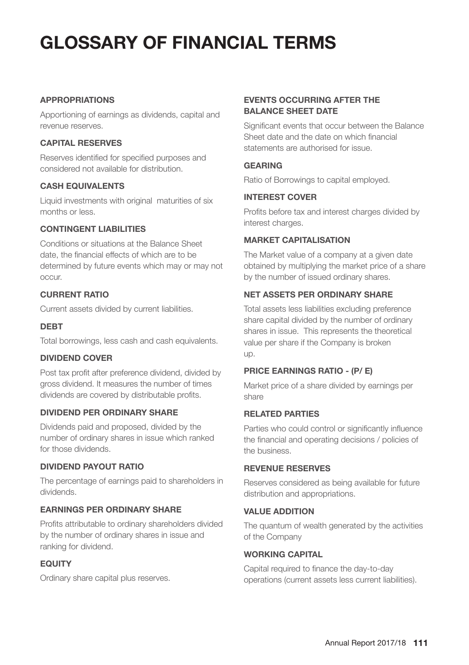# **GLOSSARY OF FINANCIAL TERMS**

#### **APPROPRIATIONS**

Apportioning of earnings as dividends, capital and revenue reserves.

#### **CAPITAL RESERVES**

Reserves identified for specified purposes and considered not available for distribution.

#### **CASH EQUIVALENTS**

Liquid investments with original maturities of six months or less.

#### **CONTINGENT LIABILITIES**

Conditions or situations at the Balance Sheet date, the financial effects of which are to be determined by future events which may or may not occur.

#### **CURRENT RATIO**

Current assets divided by current liabilities.

#### **DEBT**

Total borrowings, less cash and cash equivalents.

#### **DIVIDEND COVER**

Post tax profit after preference dividend, divided by gross dividend. It measures the number of times dividends are covered by distributable profits.

#### **DIVIDEND PER ORDINARY SHARE**

Dividends paid and proposed, divided by the number of ordinary shares in issue which ranked for those dividends.

### **DIVIDEND PAYOUT RATIO**

The percentage of earnings paid to shareholders in dividends.

### **EARNINGS PER ORDINARY SHARE**

Profits attributable to ordinary shareholders divided by the number of ordinary shares in issue and ranking for dividend.

#### **EQUITY**

Ordinary share capital plus reserves.

### **EVENTS OCCURRING AFTER THE BALANCE SHEET DATE**

Significant events that occur between the Balance Sheet date and the date on which financial statements are authorised for issue.

#### **GEARING**

Ratio of Borrowings to capital employed.

#### **INTEREST COVER**

Profits before tax and interest charges divided by interest charges.

#### **MARKET CAPITALISATION**

The Market value of a company at a given date obtained by multiplying the market price of a share by the number of issued ordinary shares.

#### **NET ASSETS PER ORDINARY SHARE**

Total assets less liabilities excluding preference share capital divided by the number of ordinary shares in issue. This represents the theoretical value per share if the Company is broken up.

#### **PRICE EARNINGS RATIO - (P/ E)**

Market price of a share divided by earnings per share

#### **RELATED PARTIES**

Parties who could control or significantly influence the financial and operating decisions / policies of the business.

#### **REVENUE RESERVES**

Reserves considered as being available for future distribution and appropriations.

#### **VALUE ADDITION**

The quantum of wealth generated by the activities of the Company

#### **WORKING CAPITAL**

Capital required to finance the day-to-day operations (current assets less current liabilities).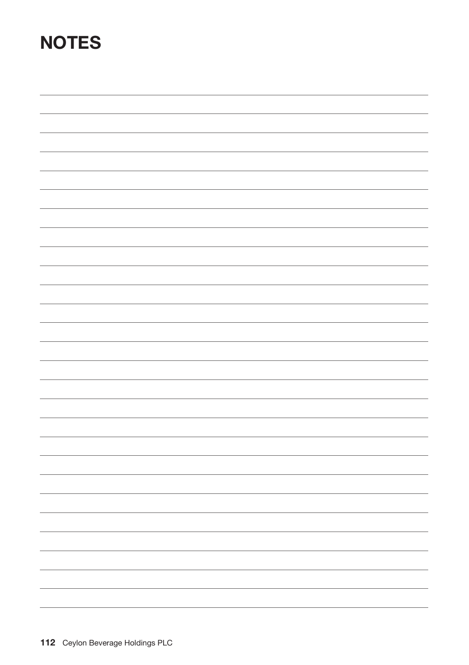## **NOTES**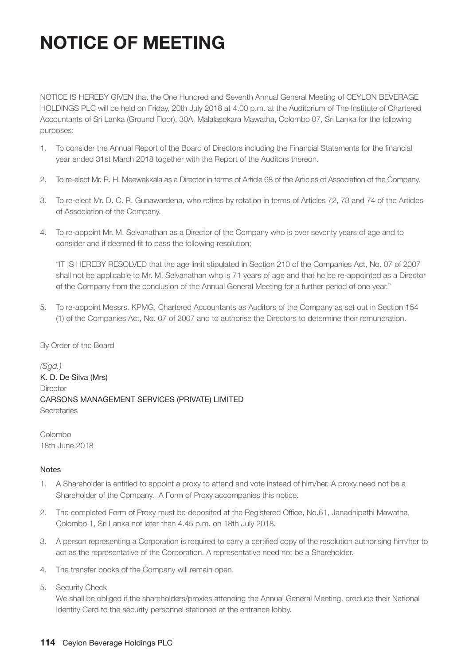# **NOTICE OF MEETING**

NOTICE IS HEREBY GIVEN that the One Hundred and Seventh Annual General Meeting of CEYLON BEVERAGE HOLDINGS PLC will be held on Friday, 20th July 2018 at 4.00 p.m. at the Auditorium of The Institute of Chartered Accountants of Sri Lanka (Ground Floor), 30A, Malalasekara Mawatha, Colombo 07, Sri Lanka for the following purposes:

- 1. To consider the Annual Report of the Board of Directors including the Financial Statements for the financial year ended 31st March 2018 together with the Report of the Auditors thereon.
- 2. To re-elect Mr. R. H. Meewakkala as a Director in terms of Article 68 of the Articles of Association of the Company.
- 3. To re-elect Mr. D. C. R. Gunawardena, who retires by rotation in terms of Articles 72, 73 and 74 of the Articles of Association of the Company.
- 4. To re-appoint Mr. M. Selvanathan as a Director of the Company who is over seventy years of age and to consider and if deemed fit to pass the following resolution;

"IT IS HEREBY RESOLVED that the age limit stipulated in Section 210 of the Companies Act, No. 07 of 2007 shall not be applicable to Mr. M. Selvanathan who is 71 years of age and that he be re-appointed as a Director of the Company from the conclusion of the Annual General Meeting for a further period of one year."

5. To re-appoint Messrs. KPMG, Chartered Accountants as Auditors of the Company as set out in Section 154 (1) of the Companies Act, No. 07 of 2007 and to authorise the Directors to determine their remuneration.

#### By Order of the Board

*(Sgd.)* K. D. De Silva (Mrs) **Director** CARSONS MANAGEMENT SERVICES (PRIVATE) LIMITED Secretaries

Colombo 18th June 2018

#### Notes

- 1. A Shareholder is entitled to appoint a proxy to attend and vote instead of him/her. A proxy need not be a Shareholder of the Company. A Form of Proxy accompanies this notice.
- 2. The completed Form of Proxy must be deposited at the Registered Office, No.61, Janadhipathi Mawatha, Colombo 1, Sri Lanka not later than 4.45 p.m. on 18th July 2018.
- 3. A person representing a Corporation is required to carry a certified copy of the resolution authorising him/her to act as the representative of the Corporation. A representative need not be a Shareholder.
- 4. The transfer books of the Company will remain open.
- 5. Security Check

We shall be obliged if the shareholders/proxies attending the Annual General Meeting, produce their National Identity Card to the security personnel stationed at the entrance lobby.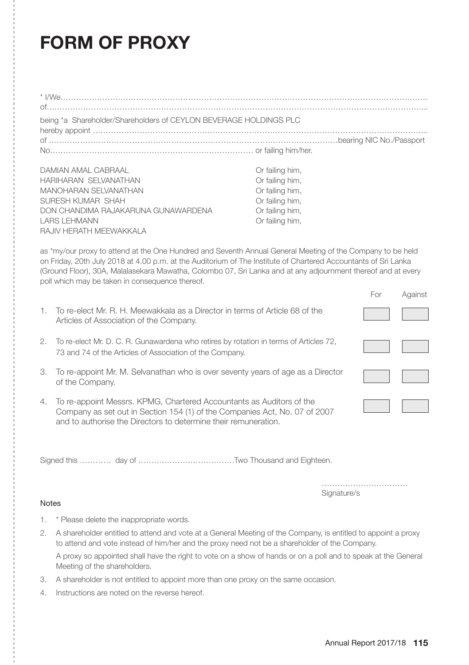# **FORM OF PROXY**

| being *a Shareholder/Shareholders of CEYLON BEVERAGE HOLDINGS PLC |  |
|-------------------------------------------------------------------|--|
|                                                                   |  |

| DAMIAN AMAL CABRAAL                 | Or failing him, |
|-------------------------------------|-----------------|
| HARIHARAN SELVANATHAN               | Or failing him, |
| <b>MANOHARAN SELVANATHAN</b>        | Or failing him, |
| SURESH KUMAR SHAH                   | Or failing him, |
| DON CHANDIMA RAJAKARUNA GUNAWARDENA | Or failing him, |
| <b>LARS LEHMANN</b>                 | Or failing him, |
| RAJIV HERATH MEEWAKKALA             |                 |

as \*my/our proxy to attend at the One Hundred and Seventh Annual General Meeting of the Company to be held on Friday, 20th July 2018 at 4.00 p.m. at the Auditorium of The Institute of Chartered Accountants of Sri Lanka (Ground Floor), 30A, Malalasekara Mawatha, Colombo 07, Sri Lanka and at any adjournment thereof and at every poll which may be taken in consequence thereof.

|    |                                                                                                                                                                                                                       | For | Against |
|----|-----------------------------------------------------------------------------------------------------------------------------------------------------------------------------------------------------------------------|-----|---------|
| 1. | To re-elect Mr. R. H. Meewakkala as a Director in terms of Article 68 of the<br>Articles of Association of the Company.                                                                                               |     |         |
| 2. | To re-elect Mr. D. C. R. Gunawardena who retires by rotation in terms of Articles 72,<br>73 and 74 of the Articles of Association of the Company.                                                                     |     |         |
| 3. | To re-appoint Mr. M. Selvanathan who is over seventy years of age as a Director<br>of the Company.                                                                                                                    |     |         |
| 4. | To re-appoint Messrs. KPMG, Chartered Accountants as Auditors of the<br>Company as set out in Section 154 (1) of the Companies Act, No. 07 of 2007<br>and to authorise the Directors to determine their remuneration. |     |         |

Signed this ………… day of ……………………………….Two Thousand and Eighteen.

 …………………………… Signature/s

#### Notes

- 1. \* Please delete the inappropriate words.
- 2. A shareholder entitled to attend and vote at a General Meeting of the Company, is entitled to appoint a proxy to attend and vote instead of him/her and the proxy need not be a shareholder of the Company. A proxy so appointed shall have the right to vote on a show of hands or on a poll and to speak at the General Meeting of the shareholders.
- 3. A shareholder is not entitled to appoint more than one proxy on the same occasion.
- 4. Instructions are noted on the reverse hereof.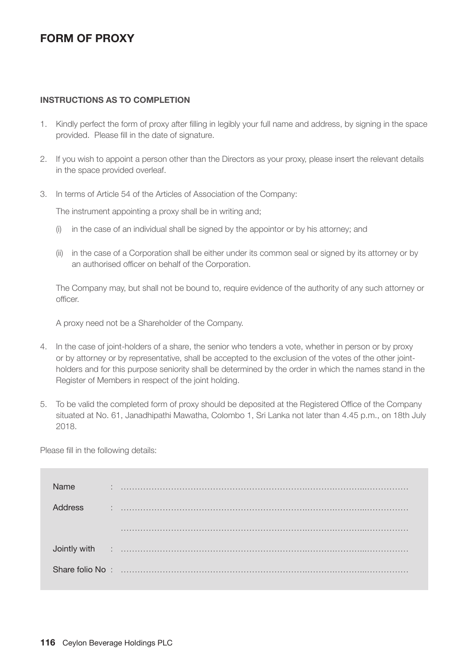### **FORM OF PROXY**

#### **INSTRUCTIONS AS TO COMPLETION**

- 1. Kindly perfect the form of proxy after filling in legibly your full name and address, by signing in the space provided. Please fill in the date of signature.
- 2. If you wish to appoint a person other than the Directors as your proxy, please insert the relevant details in the space provided overleaf.
- 3. In terms of Article 54 of the Articles of Association of the Company:

The instrument appointing a proxy shall be in writing and;

- (i) in the case of an individual shall be signed by the appointor or by his attorney; and
- (ii) in the case of a Corporation shall be either under its common seal or signed by its attorney or by an authorised officer on behalf of the Corporation.

The Company may, but shall not be bound to, require evidence of the authority of any such attorney or officer.

A proxy need not be a Shareholder of the Company.

- 4. In the case of joint-holders of a share, the senior who tenders a vote, whether in person or by proxy or by attorney or by representative, shall be accepted to the exclusion of the votes of the other jointholders and for this purpose seniority shall be determined by the order in which the names stand in the Register of Members in respect of the joint holding.
- 5. To be valid the completed form of proxy should be deposited at the Registered Office of the Company situated at No. 61, Janadhipathi Mawatha, Colombo 1, Sri Lanka not later than 4.45 p.m., on 18th July 2018.

Please fill in the following details:

| <b>Name</b>    | $\mathbb{R}^n$ |
|----------------|----------------|
| <b>Address</b> |                |
|                | .              |
|                |                |
|                |                |
|                |                |